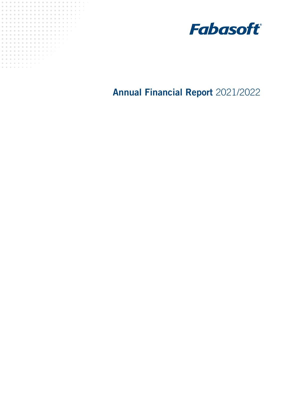



Annual Financial Report 2021/2022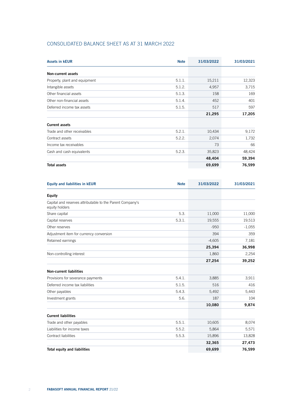# CONSOLIDATED BALANCE SHEET AS AT 31 MARCH 2022

| <b>Assets in kEUR</b>         | <b>Note</b> | 31/03/2022 | 31/03/2021 |
|-------------------------------|-------------|------------|------------|
| Non-current assets            |             |            |            |
| Property, plant and equipment | 5.1.1.      | 15,211     | 12,323     |
| Intangible assets             | 5.1.2.      | 4,957      | 3,715      |
| Other financial assets        | 5.1.3.      | 158        | 169        |
| Other non-financial assets    | 5.1.4.      | 452        | 401        |
| Deferred income tax assets    | 5.1.5.      | 517        | 597        |
|                               |             | 21,295     | 17,205     |
| <b>Current assets</b>         |             |            |            |
| Trade and other receivables   | 5.2.1.      | 10,434     | 9,172      |
| Contract assets               | 5.2.2.      | 2,074      | 1,732      |
| Income tax receivables        |             | 73         | 66         |
| Cash and cash equivalents     | 5.2.3.      | 35,823     | 48,424     |
|                               |             | 48,404     | 59,394     |
| <b>Total assets</b>           |             | 69,699     | 76,599     |

| <b>Equity and liabilities in KEUR</b>                                       | <b>Note</b> | 31/03/2022 | 31/03/2021 |
|-----------------------------------------------------------------------------|-------------|------------|------------|
| <b>Equity</b>                                                               |             |            |            |
| Capital and reserves attributable to the Parent Company's<br>equity holders |             |            |            |
| Share capital                                                               | 5.3.        | 11,000     | 11,000     |
| Capital reserves                                                            | 5.3.1.      | 19,555     | 19,513     |
| Other reserves                                                              |             | $-950$     | $-1,055$   |
| Adjustment item for currency conversion                                     |             | 394        | 359        |
| Retained earnings                                                           |             | $-4,605$   | 7,181      |
|                                                                             |             | 25,394     | 36,998     |
| Non-controlling interest                                                    |             | 1,860      | 2,254      |
|                                                                             |             | 27,254     | 39,252     |
| <b>Non-current liabilities</b>                                              |             |            |            |
| Provisions for severance payments                                           | 5.4.1.      | 3,885      | 3,911      |
| Deferred income tax liabilities                                             | 5.1.5.      | 516        | 416        |
| Other payables                                                              | 5.4.3.      | 5,492      | 5,443      |
| Investment grants                                                           | 5.6.        | 187        | 104        |
|                                                                             |             | 10,080     | 9,874      |
| <b>Current liabilities</b>                                                  |             |            |            |
| Trade and other payables                                                    | 5.5.1.      | 10,605     | 8,074      |
| Liabilities for income taxes                                                | 5.5.2.      | 5,864      | 5,571      |
| Contract liabilities                                                        | 5.5.3.      | 15,896     | 13,828     |
|                                                                             |             | 32,365     | 27,473     |
| <b>Total equity and liabilities</b>                                         |             | 69,699     | 76,599     |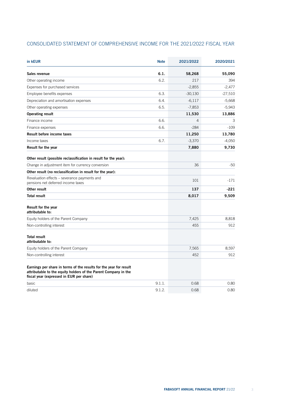|  | CONSOLIDATED STATEMENT OF COMPREHENSIVE INCOME FOR THE 2021/2022 FISCAL YEAR |  |
|--|------------------------------------------------------------------------------|--|
|--|------------------------------------------------------------------------------|--|

| in kEUR                                                                                                                                                                           | <b>Note</b> | 2021/2022      | 2020/2021 |
|-----------------------------------------------------------------------------------------------------------------------------------------------------------------------------------|-------------|----------------|-----------|
| Sales revenue                                                                                                                                                                     | 6.1.        | 58,268         | 55,090    |
| Other operating income                                                                                                                                                            | 6.2.        | 217            | 394       |
| Expenses for purchased services                                                                                                                                                   |             | $-2,855$       | $-2,477$  |
| Employee benefits expenses                                                                                                                                                        | 6.3.        | $-30,130$      | $-27,510$ |
| Depreciation and amortisation expenses                                                                                                                                            | 6.4.        | $-6,117$       | $-5,668$  |
| Other operating expenses                                                                                                                                                          | 6.5.        | $-7,853$       | $-5,943$  |
| <b>Operating result</b>                                                                                                                                                           |             | 11,530         | 13,886    |
| Finance income                                                                                                                                                                    | 6.6.        | $\overline{4}$ | 3         |
| Finance expenses                                                                                                                                                                  | 6.6.        | $-284$         | $-109$    |
| Result before income taxes                                                                                                                                                        |             | 11,250         | 13,780    |
| Income taxes                                                                                                                                                                      | 6.7.        | $-3,370$       | $-4,050$  |
| Result for the year                                                                                                                                                               |             | 7,880          | 9,730     |
| Other result (possible reclassification in result for the year):                                                                                                                  |             |                |           |
| Change in adjustment item for currency conversion                                                                                                                                 |             | 36             | $-50$     |
| Other result (no reclassification in result for the year):                                                                                                                        |             |                |           |
| Revaluation effects – severance payments and<br>pensions net deferred income taxes                                                                                                |             | 101            | $-171$    |
| Other result                                                                                                                                                                      |             | 137            | $-221$    |
| <b>Total result</b>                                                                                                                                                               |             | 8,017          | 9,509     |
| Result for the year<br>attributable to:                                                                                                                                           |             |                |           |
| Equity holders of the Parent Company                                                                                                                                              |             | 7,425          | 8,818     |
| Non-controlling interest                                                                                                                                                          |             | 455            | 912       |
| <b>Total result</b><br>attributable to:                                                                                                                                           |             |                |           |
| Equity holders of the Parent Company                                                                                                                                              |             | 7,565          | 8,597     |
| Non-controlling interest                                                                                                                                                          |             | 452            | 912       |
| Earnings per share in terms of the results for the year for result<br>attributable to the equity holders of the Parent Company in the<br>fiscal year (expressed in EUR per share) |             |                |           |
| basic                                                                                                                                                                             | 9.1.1.      | 0.68           | 0.80      |
| diluted                                                                                                                                                                           | 9.1.2.      | 0.68           | 0.80      |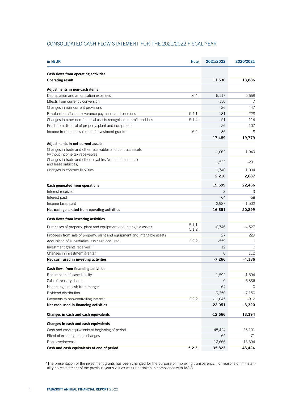| CONSOLIDATED CASH FLOW STATEMENT FOR THE 2021/2022 FISCAL YEAR |  |
|----------------------------------------------------------------|--|
|----------------------------------------------------------------|--|

| in kEUR                                                                                        | <b>Note</b>      | 2021/2022 | 2020/2021 |
|------------------------------------------------------------------------------------------------|------------------|-----------|-----------|
| Cash flows from operating activities                                                           |                  |           |           |
| <b>Operating result</b>                                                                        |                  | 11,530    | 13,886    |
| Adjustments in non-cash items                                                                  |                  |           |           |
| Depreciation and amortisation expenses                                                         | 6.4.             | 6,117     | 5,668     |
| Effects from currency conversion                                                               |                  | $-150$    | 7         |
| Changes in non-current provisions                                                              |                  | $-26$     | 447       |
| Revaluation effects - severance payments and pensions                                          | 5.4.1.           | 131       | $-228$    |
| Changes in other non-financial assets recognised in profit and loss                            | 5.1.4.           | $-51$     | 114       |
| Profit from disposal of property, plant and equipment                                          |                  | $-26$     | $-107$    |
| Income from the dissolution of investment grants*                                              | 6.2.             | $-36$     | -8        |
|                                                                                                |                  | 17,489    | 19,779    |
| Adjustments in net current assets                                                              |                  |           |           |
| Changes in trade and other receivables and contract assets<br>(without income tax receivables) |                  | $-1,063$  | 1,949     |
| Changes in trade and other payables (without income tax<br>and lease liabilities)              |                  | 1,533     | $-296$    |
| Changes in contract liabilities                                                                |                  | 1,740     | 1,034     |
|                                                                                                |                  | 2,210     | 2,687     |
| Cash generated from operations                                                                 |                  | 19,699    | 22,466    |
| Interest received                                                                              |                  | 3         | 3         |
| Interest paid                                                                                  |                  | $-64$     | $-68$     |
| Income taxes paid                                                                              |                  | $-2,987$  | $-1,502$  |
| Net cash generated from operating activities                                                   |                  | 16,651    | 20,899    |
| Cash flows from investing activities                                                           |                  |           |           |
| Purchases of property, plant and equipment and intangible assets                               | 5.1.1.<br>5.1.2. | $-6,746$  | $-4,527$  |
| Proceeds from sale of property, plant and equipment and intangible assets                      |                  | 27        | 229       |
| Acquisition of subsidiaries less cash acquired                                                 | 2.2.2.           | $-559$    | 0         |
| Investment grants received*                                                                    |                  | 12        | $\Omega$  |
| Changes in investment grants*                                                                  |                  | $\Omega$  | 112       |
| Net cash used in investing activities                                                          |                  | $-7,266$  | $-4,186$  |
| Cash flows from financing activities                                                           |                  |           |           |
| Redemption of lease liability                                                                  |                  | $-1,592$  | $-1,594$  |
| Sale of treasury shares                                                                        |                  | 0         | 6,336     |
| Net change in cash from merger                                                                 |                  | $-64$     | $\Omega$  |
| Dividend distribution                                                                          |                  | $-9,350$  | $-7,150$  |
| Payments to non-controlling interest                                                           | 2.2.2.           | $-11,045$ | $-912$    |
| Net cash used in financing activities                                                          |                  | $-22,051$ | $-3,320$  |
| Changes in cash and cash equivalents                                                           |                  | $-12,666$ | 13,394    |
| Changes in cash and cash equivalents                                                           |                  |           |           |
| Cash and cash equivalents at beginning of period                                               |                  | 48,424    | 35,101    |
| Effect of exchange rates changes                                                               |                  | 65        | -71       |
| Decrease/increase                                                                              |                  | $-12,666$ | 13,394    |
| Cash and cash equivalents at end of period                                                     | 5.2.3.           | 35,823    | 48,424    |

\*The presentation of the investment grants has been changed for the purpose of improving transparency. For reasons of immateriality no restatement of the previous year's values was undertaken in compliance with IAS 8.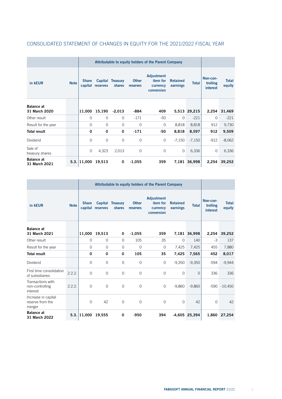|                                    |             |                | Attributable to equity holders of the Parent Company |                            |                          |                                                  |                             |              |                                         |                        |
|------------------------------------|-------------|----------------|------------------------------------------------------|----------------------------|--------------------------|--------------------------------------------------|-----------------------------|--------------|-----------------------------------------|------------------------|
| in kEUR                            | <b>Note</b> | <b>Share</b>   | capital reserves                                     | Capital Treasury<br>shares | <b>Other</b><br>reserves | Adjustment<br>item for<br>currency<br>conversion | <b>Retained</b><br>earnings | <b>Total</b> | Non-con-<br>trolling<br><b>interest</b> | <b>Total</b><br>equity |
| <b>Balance at</b><br>31 March 2020 |             | 11,000         | 15,190                                               | $-2,013$                   | -884                     | 409                                              |                             | 5,513 29,215 | 2,254                                   | 31,469                 |
| Other result                       |             | $\overline{O}$ | $\Omega$                                             | $\Omega$                   | $-171$                   | $-50$                                            | $\Omega$                    | $-221$       | $\Omega$                                | $-221$                 |
| Result for the year                |             | $\Omega$       | $\Omega$                                             | $\Omega$                   | $\Omega$                 | $\Omega$                                         | 8,818                       | 8,818        | 912                                     | 9,730                  |
| <b>Total result</b>                |             | 0              | 0                                                    | 0                          | $-171$                   | -50                                              | 8,818                       | 8,597        | 912                                     | 9,509                  |
| Dividend                           |             | $\overline{0}$ | $\Omega$                                             | $\circ$                    | $\circ$                  | $\circ$                                          | $-7,150$                    | $-7,150$     | $-912$                                  | $-8,062$               |
| Sale of<br>treasury shares         |             | $\circ$        | 4,323                                                | 2,013                      | $\mathbf 0$              | $\circ$                                          | $\circ$                     | 6,336        | $\circ$                                 | 6,336                  |
| <b>Balance at</b><br>31 March 2021 |             | $5.3.$ 11,000  | 19,513                                               | 0                          | $-1,055$                 | 359                                              |                             | 7,181 36,998 | 2,254                                   | 39,252                 |

# CONSOLIDATED STATEMENT OF CHANGES IN EQUITY FOR THE 2021/2022 FISCAL YEAR

|                                                   |             | Attributable to equity holders of the Parent Company |                  |                                   |                          |                                                         |                             |               |                                  |                        |
|---------------------------------------------------|-------------|------------------------------------------------------|------------------|-----------------------------------|--------------------------|---------------------------------------------------------|-----------------------------|---------------|----------------------------------|------------------------|
| in kEUR                                           | <b>Note</b> | <b>Share</b>                                         | capital reserves | <b>Capital Treasury</b><br>shares | <b>Other</b><br>reserves | <b>Adjustment</b><br>item for<br>currency<br>conversion | <b>Retained</b><br>earnings | <b>Total</b>  | Non-con-<br>trolling<br>interest | <b>Total</b><br>equity |
| <b>Balance at</b><br>31 March 2021                |             | 11,000                                               | 19,513           | 0                                 | $-1,055$                 | 359                                                     |                             | 7,181 36,998  | 2,254                            | 39,252                 |
| Other result                                      |             | $\circ$                                              | $\Omega$         | $\Omega$                          | 105                      | 35                                                      | $\Omega$                    | 140           | $-3$                             | 137                    |
| Result for the year                               |             | $\circ$                                              | $\mathbf 0$      | $\circ$                           | $\mathbf 0$              | $\circ$                                                 | 7,425                       | 7,425         | 455                              | 7,880                  |
| <b>Total result</b>                               |             | 0                                                    | 0                | 0                                 | 105                      | 35                                                      | 7,425                       | 7,565         | 452                              | 8,017                  |
| Dividend                                          |             | $\circ$                                              | $\Omega$         | 0                                 | $\mathbf 0$              | $\circ$                                                 | $-9,350$                    | $-9,350$      | $-594$                           | $-9,944$               |
| First time consolidation<br>of subsidiaries       | 2.2.2.      | $\mathbf{O}$                                         | $\Omega$         | $\mathbf{O}$                      | $\overline{0}$           | $\Omega$                                                | $\mathbf{O}$                | $\Omega$      | 336                              | 336                    |
| Transactions with<br>non-controlling<br>interest  | 2.2.2.      | $\Omega$                                             | $\Omega$         | $\mathcal{O}$                     | $\circ$                  | $\circ$                                                 | $-9,860$                    | $-9,860$      |                                  | $-590 - 10,450$        |
| Increase in capital<br>reserve from the<br>merger |             | $\circ$                                              | 42               | $\circ$                           | $\circ$                  | $\circ$                                                 | $\mathbf 0$                 | 42            | $\circ$                          | 42                     |
| <b>Balance at</b><br>31 March 2022                |             | $5.3.$ 11,000                                        | 19,555           | 0                                 | -950                     | 394                                                     |                             | -4,605 25,394 | 1,860                            | 27,254                 |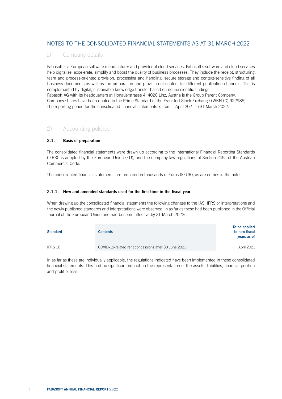# NOTES TO THE CONSOLIDATED FINANCIAL STATEMENTS AS AT 31 MARCH 2022

# 1) Company details

Fabasoft is a European software manufacturer and provider of cloud services. Fabasoft's software and cloud services help digitalise, accelerate, simplify and boost the quality of business processes. They include the receipt, structuring, team and process-oriented provision, processing and handling, secure storage and context-sensitive finding of all business documents as well as the preparation and provision of content for different publication channels. This is complemented by digital, sustainable knowledge transfer based on neuroscientific findings.

Fabasoft AG with its headquarters at Honauerstrasse 4, 4020 Linz, Austria is the Group Parent Company. Company shares have been quoted in the Prime Standard of the Frankfurt Stock Exchange (WKN (D) 922985). The reporting period for the consolidated financial statements is from 1 April 2021 to 31 March 2022.

# 2) Accounting policies

# 2.1. Basis of preparation

The consolidated financial statements were drawn up according to the International Financial Reporting Standards (IFRS) as adopted by the European Union (EU), and the company law regulations of Section 245a of the Austrian Commercial Code.

The consolidated financial statements are prepared in thousands of Euros (kEUR), as are entries in the notes.

## 2.1.1. New and amended standards used for the first time in the fiscal year

When drawing up the consolidated financial statements the following changes to the IAS, IFRS or interpretations and the newly published standards and interpretations were observed, in as far as these had been published in the Official Journal of the European Union and had become effective by 31 March 2022:

| <b>Standard</b> | <b>Contents</b>                                      | To be applied<br>to new fiscal<br>years as of |
|-----------------|------------------------------------------------------|-----------------------------------------------|
| IFRS 16         | COVID-19-related rent concessions after 30 June 2021 | April 2021                                    |

In as far as these are individually applicable, the regulations indicated have been implemented in these consolidated financial statements. This had no significant impact on the representation of the assets, liabilities, financial position and profit or loss.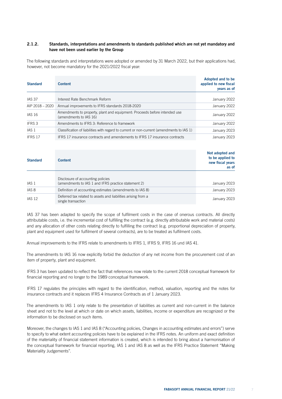## 2.1.2. Standards, interpretations and amendments to standards published which are not yet mandatory and have not been used earlier by the Group

The following standards and interpretations were adopted or amended by 31 March 2022, but their applications had, however, not become mandatory for the 2021/2022 fiscal year:

| <b>Standard</b> | <b>Content</b>                                                                                      | Adopted and to be<br>applied to new fiscal<br>years as of |
|-----------------|-----------------------------------------------------------------------------------------------------|-----------------------------------------------------------|
| <b>IAS 37</b>   | Interest Rate Benchmark Reform                                                                      | January 2022                                              |
| AIP 2018 - 2020 | Annual improvements to IFRS standards 2018-2020                                                     | January 2022                                              |
| <b>IAS 16</b>   | Amendments to property, plant and equipment: Proceeds before intended use<br>(amendments to IAS 16) | January 2022                                              |
| IFRS 3          | Amendments to IFRS 3: Reference to framework                                                        | January 2022                                              |
| IAS 1           | Classification of liabilities with regard to current or non-current (amendments to IAS 1)           | January 2023                                              |
| IFRS 17         | IFRS 17 insurance contracts and amendements to IFRS 17 insurance contracts                          | January 2023                                              |

| <b>Standard</b> | <b>Content</b>                                                                           | Not adopted and<br>to be applied to<br>new fiscal years<br>as of |
|-----------------|------------------------------------------------------------------------------------------|------------------------------------------------------------------|
| IAS 1           | Disclosure of accounting policies<br>(amendments to IAS 1 and IFRS practice statement 2) | January 2023                                                     |
| IAS 8           | Definition of accounting estimates (amendments to IAS 8)                                 | January 2023                                                     |
| <b>IAS 12</b>   | Deferred tax related to assets and liabilities arising from a<br>single transaction      | January 2023                                                     |

IAS 37 has been adapted to specify the scope of fulfilment costs in the case of onerous contracts. All directly attributable costs, i.e. the incremental cost of fulfilling the contract (e.g. directly attributable work and material costs) and any allocation of other costs relating directly to fulfilling the contract (e.g. proportional depreciation of property, plant and equipment used for fulfilment of several contracts), are to be treated as fulfilment costs.

Annual improvements to the IFRS relate to amendments to IFRS 1, IFRS 9, IFRS 16 und IAS 41.

The amendments to IAS 16 now explicitly forbid the deduction of any net income from the procurement cost of an item of property, plant and equipment.

IFRS 3 has been updated to reflect the fact that references now relate to the current 2018 conceptual framework for financial reporting and no longer to the 1989 conceptual framework.

IFRS 17 regulates the principles with regard to the identification, method, valuation, reporting and the notes for insurance contracts and it replaces IFRS 4 Insurance Contracts as of 1 January 2023.

The amendments to IAS 1 only relate to the presentation of liabilities as current and non-current in the balance sheet and not to the level at which or date on which assets, liabilities, income or expenditure are recognized or the information to be disclosed on such items.

Moreover, the changes to IAS 1 and IAS 8 ("Accounting policies, Changes in accounting estimates and errors") serve to specify to what extent accounting policies have to be explained in the IFRS notes. An uniform and exact definition of the materiality of financial statement information is created, which is intended to bring about a harmonisation of the conceptual framework for financial reporting, IAS 1 and IAS 8 as well as the IFRS Practice Statement "Making Materiality Judgements".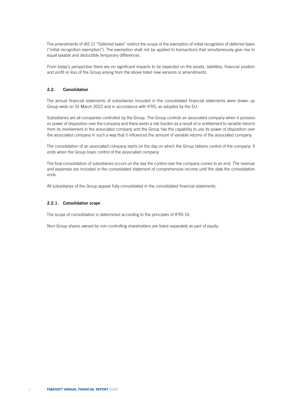The amendments of IAS 12 "Deferred taxes" restrict the scope of the exemption of initial recognition of deferred taxes ("initial recognition exemption"). The exemption shall not be applied to transactions that simultaneously give rise to equal taxable and deductible temporary differences.

From today's perspective there are no significant impacts to be expected on the assets, liabilities, financial position and profit or loss of the Group arising from the above listed new versions or amendments.

## 2.2. Consolidation

The annual financial statements of subsidiaries included in the consolidated financial statements were drawn up Group-wide on 31 March 2022 and in accordance with IFRS, as adopted by the EU.

Subsidiaries are all companies controlled by the Group. The Group controls an associated company when it possesses power of disposition over the company and there exists a risk burden as a result of or entitlement to variable returns from its involvement in the associated company and the Group has the capability to use its power of disposition over the associated company in such a way that it influences the amount of variable returns of the associated company.

The consolidation of an associated company starts on the day on which the Group obtains control of the company. It ends when the Group loses control of the associated company.

The final consolidation of subsidiaries occurs on the day the control over the company comes to an end. The revenue and expenses are included in the consolidated statement of comprehensive income until the date the consolidation ends.

All subsidiaries of the Group appear fully consolidated in the consolidated financial statements.

## 2.2.1. Consolidation scope

The scope of consolidation is determined according to the principles of IFRS 10.

Non-Group shares owned by non-controlling shareholders are listed separately as part of equity.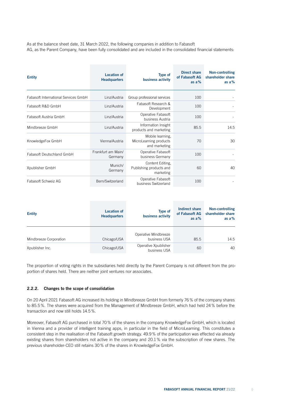As at the balance sheet date, 31 March 2022, the following companies in addition to Fabasoft AG, as the Parent Company, have been fully consolidated and are included in the consolidated financial statements:

| <b>Entity</b>                        | <b>Location of</b><br><b>Headquarters</b> | Type of<br>business activity                                | Direct share<br>of Fabasoft AG<br>as $a\%$ | Non-controlling<br>shareholder share<br>as $a\%$ |
|--------------------------------------|-------------------------------------------|-------------------------------------------------------------|--------------------------------------------|--------------------------------------------------|
| Fabasoft International Services GmbH | Linz/Austria                              | Group professional services                                 | 100                                        |                                                  |
| Fabasoft R&D GmbH                    | Linz/Austria                              | Fabasoft Research &<br>Development                          | 100                                        |                                                  |
| Fabasoft Austria GmbH                | Linz/Austria                              | Operative Fabasoft<br>business Austria                      | 100                                        |                                                  |
| Mindbreeze GmbH                      | Linz/Austria                              | Information Insight<br>products and marketing               | 85.5                                       | 14.5                                             |
| KnowledgeFox GmbH                    | Vienna/Austria                            | Mobile learning,<br>MicroLearning products<br>and marketing | 70                                         | 30                                               |
| Fabasoft Deutschland GmbH            | Frankfurt am Main/<br>Germany             | Operative Fabasoft<br>business Germany                      | 100                                        |                                                  |
| Xpublisher GmbH                      | Munich/<br>Germany                        | Content Editing.<br>Publishing products and<br>marketing    | 60                                         | 40                                               |
| Fabasoft Schweiz AG                  | Bern/Switzerland                          | Operative Fabasoft<br>business Switzerland                  | 100                                        |                                                  |

| <b>Entity</b>          | <b>Location of</b><br><b>Headquarters</b> | <b>Type of</b><br>business activity  | Indirect share<br>of Fabasoft AG<br>as $a\%$ | Non-controlling<br>shareholder share<br>as $a\%$ |
|------------------------|-------------------------------------------|--------------------------------------|----------------------------------------------|--------------------------------------------------|
| Mindbreeze Corporation | Chicago/USA                               | Operative Mindbreeze<br>business USA | 85.5                                         | 14.5                                             |
| Xpublisher Inc.        | Chicago/USA                               | Operative Xpublisher<br>business USA | 60                                           | 40                                               |

The proportion of voting rights in the subsidiaries held directly by the Parent Company is not different from the proportion of shares held. There are neither joint ventures nor associates.

#### 2.2.2. Changes to the scope of consolidation

On 20 April 2021 Fabasoft AG increased its holding in Mindbreeze GmbH from formerly 76% of the company shares to 85.5%. The shares were acquired from the Management of Mindbreeze GmbH, which had held 24% before the transaction and now still holds 14.5%.

Moreover, Fabasoft AG purchased in total 70% of the shares in the company KnowledgeFox GmbH, which is located in Vienna and a provider of intelligent training apps, in particular in the field of MicroLearning. This constitutes a consistent step in the realisation of the Fabasoft growth strategy. 49.9% of the participation was effected via already existing shares from shareholders not active in the company and 20.1% via the subscription of new shares. The previous shareholder-CEO still retains 30% of the shares in KnowledgeFox GmbH.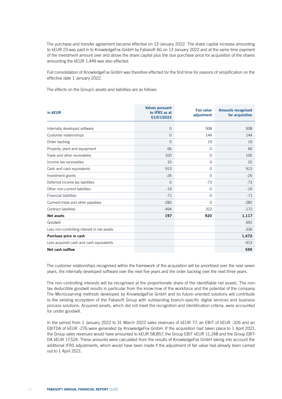The purchase and transfer agreement became effective on 13 January 2022. The share capital increase amounting to kEUR 23 was paid in to KnowledgeFox GmbH by Fabasoft AG on 13 January 2022 and at the same time payment of the investment amount over and above the share capital plus the due purchase price for acquisition of the shares amounting the kEUR 1,449 was also effected.

Full consolidation of KnowledgeFox GmbH was therefore effected for the first time for reasons of simplification on the effective date 1 January 2022.

The effects on the Group's assets and liabilities are as follows:

| in kEUR                                     | <b>Values pursuant</b><br>to IFRS as at<br>01/01/2022 | <b>Fair value</b><br>adjustment | <b>Amounts recognised</b><br>for acquisition |
|---------------------------------------------|-------------------------------------------------------|---------------------------------|----------------------------------------------|
| Internally developed software               | $\circ$                                               | 508                             | 508                                          |
| Customer relationships                      | $\Omega$                                              | 144                             | 144                                          |
| Order backlog                               | $\Omega$                                              | 19                              | 19                                           |
| Property, plant and equipment               | 66                                                    | $\Omega$                        | 66                                           |
| Trade and other receivables                 | 100                                                   | $\Omega$                        | 100                                          |
| Income tax receivables                      | 10                                                    | $\mathbf{0}$                    | 10                                           |
| Cash and cash equivalents                   | 913                                                   | $\Omega$                        | 913                                          |
| Investment grants                           | $-26$                                                 | $\Omega$                        | $-26$                                        |
| Deferred income tax liabilities             | $\mathbf 0$                                           | $-73$                           | $-73$                                        |
| Other non-current liabilities               | $-19$                                                 | $\Omega$                        | $-19$                                        |
| <b>Financial liabilities</b>                | $-71$                                                 | $\circ$                         | $-71$                                        |
| Currrent trade and other payables           | $-282$                                                | $\Omega$                        | $-282$                                       |
| Contract liabilities                        | $-494$                                                | 322                             | $-172$                                       |
| Net assets                                  | 197                                                   | 920                             | 1,117                                        |
| Goodwill                                    |                                                       |                                 | 692                                          |
| Less non-controlling interest in net assets |                                                       |                                 | $-336$                                       |
| Purchase price in cash                      |                                                       |                                 | 1,472                                        |
| Less acquired cash and cash equivalents     |                                                       |                                 | $-913$                                       |
| Net cash outflow                            |                                                       |                                 | 559                                          |

The customer relationships recognised within the framework of the acquisition will be amortised over the next seven years, the internally developed software over the next five years and the order backlog over the next three years.

The non-controlling interests will be recognised at the proportionate share of the identifiable net assets. The nontax deductible goodwill results in particular from the know-how of the workforce and the potential of the company. The MicroLearning methods developed by KnowledgeFox GmbH and its future-oriented solutions will contribute to the existing ecosystem of the Fabasoft Group with outstanding branch-specific digital services and business process solutions. Acquired assets, which did not meet the recognition and identification criteria, were accounted for under goodwill.

In the period from 1 January 2022 to 31 March 2022 sales revenues of kEUR 77, an EBIT of kEUR -326 and an EBITDA of kEUR -276 were generated by KnowledgeFox GmbH. If the acquisition had taken place to 1 April 2021, the Group sales revenues would have amounted to kEUR 58,857, the Group EBIT kEUR 11,248 and the Group EBIT-DA kEUR 17,524. These amounts were calculated from the results of KnowledgeFox GmbH taking into account the additional IFRS adjustments, which would have been made if the adjustment of fair value had already been carried out to 1 April 2021.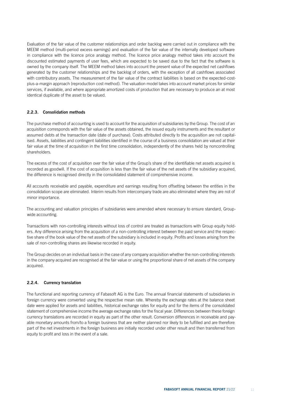Evaluation of the fair value of the customer relationships and order backlog were carried out in compliance with the MEEM method (multi-period excess earnings) and evaluation of the fair value of the internally developed software in compliance with the licence price analogy method. The licence price analogy method takes into account the discounted estimated payments of user fees, which are expected to be saved due to the fact that the software is owned by the company itself. The MEEM method takes into account the present value of the expected net cashflows generated by the customer relationships and the backlog of orders, with the exception of all cashflows associated with contributory assets. The measurement of the fair value of the contract liabilities is based on the expected-costplus-a-margin approach (reproduction cost method). The valuation model takes into account market prices for similar services, if available, and where appropriate amortized costs of production that are necessary to produce an at most identical duplicate of the asset to be valued.

### 2.2.3. Consolidation methods

The purchase method of accounting is used to account for the acquisition of subsidiaries by the Group. The cost of an acquisition corresponds with the fair value of the assets obtained, the issued equity instruments and the resultant or assumed debts at the transaction date (date of purchase). Costs attributed directly to the acquisition are not capitalised. Assets, liabilities and contingent liabilities identified in the course of a business consolidation are valued at their fair value at the time of acquisition in the first time consolidation, independently of the shares held by noncontrolling shareholders.

The excess of the cost of acquisition over the fair value of the Group's share of the identifiable net assets acquired is recorded as goodwill. If the cost of acquisition is less than the fair value of the net assets of the subsidiary acquired, the difference is recognised directly in the consolidated statement of comprehensive income.

All accounts receivable and payable, expenditure and earnings resulting from offsetting between the entities in the consolidation scope are eliminated. Interim results from intercompany trade are also eliminated where they are not of minor importance.

The accounting and valuation principles of subsidiaries were amended where necessary to ensure standard, Groupwide accounting.

Transactions with non-controlling interests without loss of control are treated as transactions with Group equity holders. Any difference arising from the acquisition of a non-controlling interest between the paid service and the respective share of the book value of the net assets of the subsidiary is included in equity. Profits and losses arising from the sale of non-controlling shares are likewise recorded in equity.

The Group decides on an individual basis in the case of any company acquisition whether the non-controlling interests in the company acquired are recognised at the fair value or using the proportional share of net assets of the company acquired.

#### 2.2.4. Currency translation

The functional and reporting currency of Fabasoft AG is the Euro. The annual financial statements of subsidiaries in foreign currency were converted using the respective mean rate. Whereby the exchange rates at the balance sheet date were applied for assets and liabilities, historical exchange rates for equity and for the items of the consolidated statement of comprehensive income the average exchange rates for the fiscal year. Differences between these foreign currency translations are recorded in equity as part of the other result. Conversion differences in receivable and payable monetary amounts from/to a foreign business that are neither planned nor likely to be fulfilled and are therefore part of the net investments in the foreign business are initially recorded under other result and then transferred from equity to profit and loss in the event of a sale.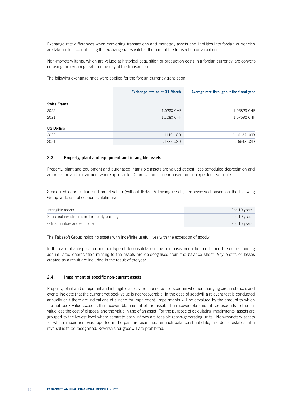Exchange rate differences when converting transactions and monetary assets and liabilities into foreign currencies are taken into account using the exchange rates valid at the time of the transaction or valuation.

Non-monetary items, which are valued at historical acquisition or production costs in a foreign currency, are converted using the exchange rate on the day of the transaction.

The following exchange rates were applied for the foreign currency translation:

|                     | Exchange rate as at 31 March | Average rate throughout the fiscal year |  |
|---------------------|------------------------------|-----------------------------------------|--|
| <b>Swiss Francs</b> |                              |                                         |  |
| 2022                | 1.0280 CHF                   | 1.06823 CHF                             |  |
| 2021                | 1.1080 CHF                   | 1.07692 CHF                             |  |
| <b>US Dollars</b>   |                              |                                         |  |
| 2022                | 1.1119 USD                   | 1.16137 USD                             |  |
| 2021                | 1.1736 USD                   | 1.16548 USD                             |  |

### 2.3. Property, plant and equipment and intangible assets

Property, plant and equipment and purchased intangible assets are valued at cost, less scheduled depreciation and amortisation and impairment where applicable. Depreciation is linear based on the expected useful life.

Scheduled depreciation and amortisation (without IFRS 16 leasing assets) are assessed based on the following Group-wide useful economic lifetimes:

| Intangible assets                               | 2 to 10 years |
|-------------------------------------------------|---------------|
| Structural investments in third party buildings | 5 to 10 years |
| Office furniture and equipment                  | 2 to 15 years |

The Fabasoft Group holds no assets with indefinite useful lives with the exception of goodwill.

In the case of a disposal or another type of deconsolidation, the purchase/production costs and the corresponding accumulated depreciation relating to the assets are derecognised from the balance sheet. Any profits or losses created as a result are included in the result of the year.

### 2.4. Impairment of specific non-current assets

Property, plant and equipment and intangible assets are monitored to ascertain whether changing circumstances and events indicate that the current net book value is not recoverable. In the case of goodwill a relevant test is conducted annually or if there are indications of a need for impairment. Impairments will be devalued by the amount to which the net book value exceeds the recoverable amount of the asset. The recoverable amount corresponds to the fair value less the cost of disposal and the value in use of an asset. For the purpose of calculating impairments, assets are grouped to the lowest level where separate cash inflows are feasible (cash-generating units). Non-monetary assets for which impairment was reported in the past are examined on each balance sheet date, in order to establish if a reversal is to be recognised. Reversals for goodwill are prohibited.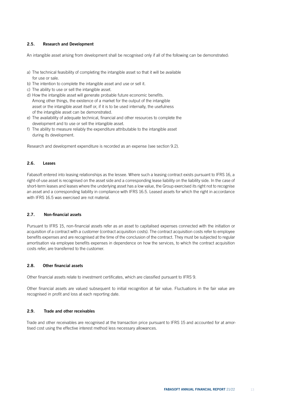## 2.5. Research and Development

An intangible asset arising from development shall be recognised only if all of the following can be demonstrated:

- a) The technical feasibility of completing the intangible asset so that it will be available for use or sale.
- b) The intention to complete the intangible asset and use or sell it.
- c) The ability to use or sell the intangible asset.
- d) How the intangible asset will generate probable future economic benefits. Among other things, the existence of a market for the output of the intangible asset or the intangible asset itself or, if it is to be used internally, the usefulness of the intangible asset can be demonstrated.
- e) The availability of adequate technical, financial and other resources to complete the development and to use or sell the intangible asset.
- f) The ability to measure reliably the expenditure attributable to the intangible asset during its development.

Research and development expenditure is recorded as an expense (see section 9.2).

### 2.6. Leases

Fabasoft entered into leasing relationships as the lessee. Where such a leasing contract exists pursuant to IFRS 16, a right-of-use asset is recognised on the asset side and a corresponding lease liability on the liability side. In the case of short-term leases and leases where the underlying asset has a low value, the Group exercised its right not to recognise an asset and a corresponding liability in compliance with IFRS 16.5. Leased assets for which the right in accordance with IFRS 16.5 was exercised are not material.

#### 2.7. Non-financial assets

Pursuant to IFRS 15, non-financial assets refer as an asset to capitalised expenses connected with the initiation or acquisition of a contract with a customer (contract acquisition costs). The contract acquisition costs refer to employee benefits expenses and are recognised at the time of the conclusion of the contract. They must be subjected to regular amortisation via employee benefits expenses in dependence on how the services, to which the contract acquisition costs refer, are transferred to the customer.

#### 2.8. Other financial assets

Other financial assets relate to investment certificates, which are classified pursuant to IFRS 9.

Other financial assets are valued subsequent to initial recognition at fair value. Fluctuations in the fair value are recognised in profit and loss at each reporting date.

#### 2.9. Trade and other receivables

Trade and other receivables are recognised at the transaction price pursuant to IFRS 15 and accounted for at amortised cost using the effective interest method less necessary allowances.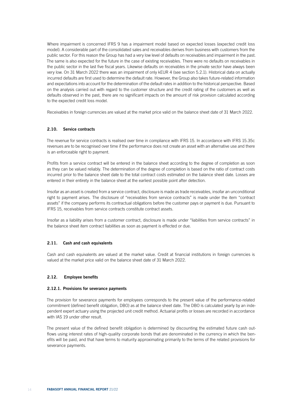Where impairment is concerned IFRS 9 has a impairment model based on expected losses (expected credit loss model). A considerable part of the consolidated sales and receivables derives from business with customers from the public sector. For this reason the Group has had a very low level of defaults on receivables and impairment in the past. The same is also expected for the future in the case of existing receivables. There were no defaults on receivables in the public sector in the last five fiscal years. Likewise defaults on receivables in the private sector have always been very low. On 31 March 2022 there was an impairment of only kEUR 4 (see section 5.2.1). Historical data on actually incurred defaults are first used to determine the default rate. However, the Group also takes future-related information and expectations into account for the determination of the default rates in addition to the historical perspective. Based on the analysis carried out with regard to the customer structure and the credit rating of the customers as well as defaults observed in the past, there are no significant impacts on the amount of risk provision calculated according to the expected credit loss model.

Receivables in foreign currencies are valued at the market price valid on the balance sheet date of 31 March 2022.

#### 2.10. Service contracts

The revenue for service contracts is realised over time in compliance with IFRS 15. In accordance with IFRS 15.35c revenues are to be recognised over time if the performance does not create an asset with an alternative use and there is an enforceable right to payment.

Profits from a service contract will be entered in the balance sheet according to the degree of completion as soon as they can be valued reliably. The determination of the degree of completion is based on the ratio of contract costs incurred prior to the balance sheet date to the total contract costs estimated on the balance sheet date. Losses are entered in their entirety in the balance sheet at the earliest possible point after detection.

Insofar as an asset is created from a service contract, disclosure is made as trade receivables, insofar an unconditional right to payment arises. The disclosure of "receivables from service contracts" is made under the item "contract assets" if the company performs its contractual obligations before the customer pays or payment is due. Pursuant to IFRS 15, receivables from service contracts constitute contract assets.

Insofar as a liability arises from a customer contract, disclosure is made under "liabilities from service contracts" in the balance sheet item contract liabilities as soon as payment is effected or due.

#### 2.11. Cash and cash equivalents

Cash and cash equivalents are valued at the market value. Credit at financial institutions in foreign currencies is valued at the market price valid on the balance sheet date of 31 March 2022.

#### 2.12. Employee benefits

#### 2.12.1. Provisions for severance payments

The provision for severance payments for employees corresponds to the present value of the performance-related commitment (defined benefit obligation, DBO) as at the balance sheet date. The DBO is calculated yearly by an independent expert actuary using the projected unit credit method. Actuarial profits or losses are recorded in accordance with IAS 19 under other result.

The present value of the defined benefit obligation is determined by discounting the estimated future cash outflows using interest rates of high-quality corporate bonds that are denominated in the currency in which the benefits will be paid, and that have terms to maturity approximating primarily to the terms of the related provisions for severance payments.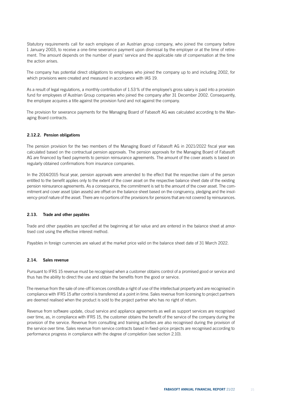Statutory requirements call for each employee of an Austrian group company, who joined the company before 1 January 2003, to receive a one-time severance payment upon dismissal by the employer or at the time of retirement. The amount depends on the number of years' service and the applicable rate of compensation at the time the action arises.

The company has potential direct obligations to employees who joined the company up to and including 2002, for which provisions were created and measured in accordance with IAS 19.

As a result of legal regulations, a monthly contribution of 1.53% of the employee's gross salary is paid into a provision fund for employees of Austrian Group companies who joined the company after 31 December 2002. Consequently, the employee acquires a title against the provision fund and not against the company.

The provision for severance payments for the Managing Board of Fabasoft AG was calculated according to the Managing Board contracts.

## 2.12.2. Pension obligations

The pension provision for the two members of the Managing Board of Fabasoft AG in 2021/2022 fiscal year was calculated based on the contractual pension approvals. The pension approvals for the Managing Board of Fabasoft AG are financed by fixed payments to pension reinsurance agreements. The amount of the cover assets is based on regularly obtained confirmations from insurance companies.

In the 2014/2015 fiscal year, pension approvals were amended to the effect that the respective claim of the person entitled to the benefit applies only to the extent of the cover asset on the respective balance sheet date of the existing pension reinsurance agreements. As a consequence, the commitment is set to the amount of the cover asset. The commitment and cover asset (plan assets) are offset on the balance sheet based on the congruency, pledging and the insolvency-proof nature of the asset. There are no portions of the provisions for pensions that are not covered by reinsurances.

### 2.13. Trade and other payables

Trade and other payables are specified at the beginning at fair value and are entered in the balance sheet at amortised cost using the effective interest method.

Payables in foreign currencies are valued at the market price valid on the balance sheet date of 31 March 2022.

#### 2.14. Sales revenue

Pursuant to IFRS 15 revenue must be recognised when a customer obtains control of a promised good or service and thus has the ability to direct the use and obtain the benefits from the good or service.

The revenue from the sale of one-off licences constitute a right of use of the intellectual property and are recognised in compliance with IFRS 15 after control is transferred at a point in time. Sales revenue from licensing to project partners are deemed realised when the product is sold to the project partner who has no right of return.

Revenue from software update, cloud service and appliance agreements as well as support services are recognised over time, as, in compliance with IFRS 15, the customer obtains the benefit of the service of the company during the provision of the service. Revenue from consulting and training activities are also recognised during the provision of the service over time. Sales revenue from service contracts based in fixed-price projects are recognised according to performance progress in compliance with the degree of completion (see section 2.10).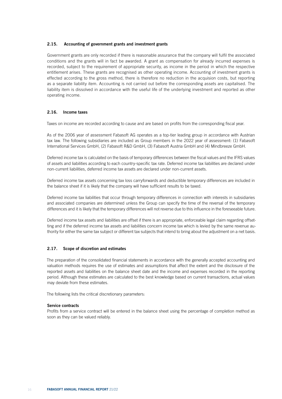### 2.15. Accounting of government grants and investment grants

Government grants are only recorded if there is reasonable assurance that the company will fulfil the associated conditions and the grants will in fact be awarded. A grant as compensation for already incurred expenses is recorded, subject to the requirement of appropriate security, as income in the period in which the respective entitlement arises. These grants are recognised as other operating income. Accounting of investment grants is effected according to the gross method, there is therefore no reduction in the acquision costs, but reporting as a separate liability item. Accounting is not carried out before the corresponding assets are capitalised. The liability item is dissolved in accordance with the useful life of the underlying investment and reported as other operating income.

## 2.16. Income taxes

Taxes on income are recorded according to cause and are based on profits from the corresponding fiscal year.

As of the 2006 year of assessment Fabasoft AG operates as a top-tier leading group in accordance with Austrian tax law. The following subsidiaries are included as Group members in the 2022 year of assessment: (1) Fabasoft International Services GmbH, (2) Fabasoft R&D GmbH, (3) Fabasoft Austria GmbH and (4) Mindbreeze GmbH.

Deferred income tax is calculated on the basis of temporary differences between the fiscal values and the IFRS values of assets and liabilities according to each country-specific tax rate. Deferred income tax liabilities are declared under non-current liabilities, deferred income tax assets are declared under non-current assets.

Deferred income tax assets concerning tax loss carryforwards and deductible temporary differences are included in the balance sheet if it is likely that the company will have sufficient results to be taxed.

Deferred income tax liabilities that occur through temporary differences in connection with interests in subsidiaries and associated companies are determined unless the Group can specify the time of the reversal of the temporary differences and it is likely that the temporary differences will not reverse due to this influence in the foreseeable future.

Deferred income tax assets and liabilities are offset if there is an appropriate, enforceable legal claim regarding offsetting and if the deferred income tax assets and liabilities concern income tax which is levied by the same revenue authority for either the same tax subject or different tax subjects that intend to bring about the adjustment on a net basis.

## 2.17. Scope of discretion and estimates

The preparation of the consolidated financial statements in accordance with the generally accepted accounting and valuation methods requires the use of estimates and assumptions that affect the extent and the disclosure of the reported assets and liabilities on the balance sheet date and the income and expenses recorded in the reporting period. Although these estimates are calculated to the best knowledge based on current transactions, actual values may deviate from these estimates.

The following lists the critical discretionary parameters:

#### Service contracts

Profits from a service contract will be entered in the balance sheet using the percentage of completion method as soon as they can be valued reliably.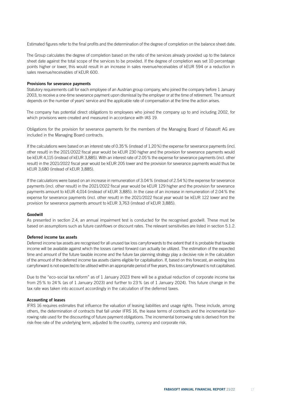Estimated figures refer to the final profits and the determination of the degree of completion on the balance sheet date.

The Group calculates the degree of completion based on the ratio of the services already provided up to the balance sheet date against the total scope of the services to be provided. If the degree of completion was set 10 percentage points higher or lower, this would result in an increase in sales revenue/receivables of kEUR 594 or a reduction in sales revenue/receivables of kEUR 600.

#### Provisions for severance payments

Statutory requirements call for each employee of an Austrian group company, who joined the company before 1 January 2003, to receive a one-time severance payment upon dismissal by the employer or at the time of retirement. The amount depends on the number of years' service and the applicable rate of compensation at the time the action arises.

The company has potential direct obligations to employees who joined the company up to and including 2002, for which provisions were created and measured in accordance with IAS 19.

Obligations for the provision for severance payments for the members of the Managing Board of Fabasoft AG are included in the Managing Board contracts.

If the calculations were based on an interest rate of 0.35% (instead of 1.20%) the expense for severance payments (incl. other result) in the 2021/2022 fiscal year would be kEUR 230 higher and the provision for severance payments would be kEUR 4,115 (instead of kEUR 3,885). With an interest rate of 2.05% the expense for severance payments (incl. other result) in the 2021/2022 fiscal year would be kEUR 205 lower and the provision for severance payments would thus be kEUR 3,680 (instead of kEUR 3,885).

If the calculations were based on an increase in remuneration of 3.04% (instead of 2.54%) the expense for severance payments (incl. other result) in the 2021/2022 fiscal year would be kEUR 129 higher and the provision for severance payments amount to kEUR 4,014 (instead of kEUR 3,885). In the case of an increase in remuneration of 2.04% the expense for severance payments (incl. other result) in the 2021/2022 fiscal year would be kEUR 122 lower and the provision for severance payments amount to kEUR 3,763 (instead of kEUR 3,885).

#### Goodwill

As presented in section 2.4, an annual impairment test is conducted for the recognised goodwill. These must be based on assumptions such as future cashflows or discount rates. The relevant sensitivities are listed in section 5.1.2.

### Deferred income tax assets

Deferred income tax assets are recognised for all unused tax loss carryforwards to the extent that it is probable that taxable income will be available against which the losses carried forward can actually be utilized. The estimation of the expected time and amount of the future taxable income and the future tax planning strategy play a decisive role in the calculation of the amount of the deferred income tax assets claims eligible for capitalisation. If, based on this forecast, an existing loss carryforward is not expected to be utilised within an appropriate period of five years, this loss carryforward is not capitalised.

Due to the "eco-social tax reform" as of 1 January 2023 there will be a gradual reduction of corporate income tax from 25% to 24% (as of 1 January 2023) and further to 23% (as of 1 January 2024). This future change in the tax rate was taken into account accordingly in the calculation of the deferred taxes.

#### Accounting of leases

IFRS 16 requires estimates that influence the valuation of leasing liabilities and usage rights. These include, among others, the determination of contracts that fall under IFRS 16, the lease terms of contracts and the incremental borrowing rate used for the discounting of future payment obligations. The incremental borrowing rate is derived from the risk-free rate of the underlying term, adjusted to the country, currency and corporate risk.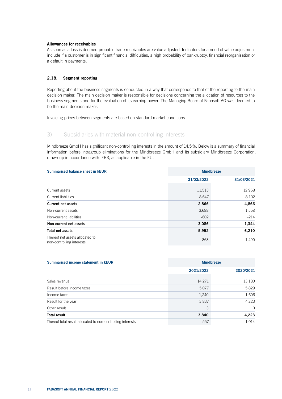#### Allowances for receivables

As soon as a loss is deemed probable trade receivables are value adjusted. Indicators for a need of value adjustment include if a customer is in significant financial difficulties, a high probability of bankruptcy, financial reorganisation or a default in payments.

### 2.18. Segment reporting

Reporting about the business segments is conducted in a way that corresponds to that of the reporting to the main decision maker. The main decision maker is responsible for decisions concerning the allocation of resources to the business segments and for the evaluation of its earning power. The Managing Board of Fabasoft AG was deemed to be the main decision maker.

Invoicing prices between segments are based on standard market conditions.

# 3) Subsidiaries with material non-controlling interests

Mindbreeze GmbH has significant non-controlling interests in the amount of 14.5%. Below is a summary of financial information before intragroup eliminations for the Mindbreeze GmbH and its subsidiary Mindbreeze Corporation, drawn up in accordance with IFRS, as applicable in the EU.

| Summarised balance sheet in <b>KEUR</b>                      | <b>Mindbreeze</b> |            |  |
|--------------------------------------------------------------|-------------------|------------|--|
|                                                              | 31/03/2022        | 31/03/2021 |  |
| Current assets                                               | 11,513            | 12,968     |  |
| Current liabilities                                          | $-8,647$          | $-8,102$   |  |
| <b>Current net assets</b>                                    | 2,866             | 4,866      |  |
| Non-current assets                                           | 3,688             | 1,558      |  |
| Non-current liabilities                                      | $-602$            | $-214$     |  |
| Non-current net assets                                       | 3,086             | 1,344      |  |
| Total net assets                                             | 5,952             | 6,210      |  |
| Thereof net assets allocated to<br>non-controlling interests | 863               | 1,490      |  |

| Summarised income statement in KEUR                         |           | <b>Mindbreeze</b> |  |  |
|-------------------------------------------------------------|-----------|-------------------|--|--|
|                                                             | 2021/2022 | 2020/2021         |  |  |
| Sales revenue                                               | 14,271    | 13,180            |  |  |
| Result before income taxes                                  | 5,077     | 5,829             |  |  |
| Income taxes                                                | $-1,240$  | $-1,606$          |  |  |
| Result for the year                                         | 3,837     | 4,223             |  |  |
| Other result                                                | 3         | $\Omega$          |  |  |
| <b>Total result</b>                                         | 3,840     | 4,223             |  |  |
| Thereof total result allocated to non-controlling interests | 557       | 1.014             |  |  |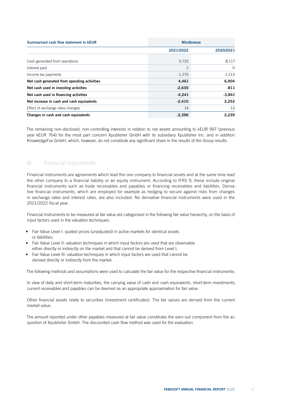| Summarised cash flow statement in <b>kEUR</b> |           | <b>Mindbreeze</b> |  |  |
|-----------------------------------------------|-----------|-------------------|--|--|
|                                               | 2021/2022 | 2020/2021         |  |  |
| Cash generated from operations                | 5,733     | 8,117             |  |  |
| Interest paid                                 | $-2$      | $\Omega$          |  |  |
| Income tax payments                           | $-1,270$  | $-1,213$          |  |  |
| Net cash generated from operating activities  | 4,461     | 6,904             |  |  |
| Net cash used in investing activities         | $-2,630$  | $-811$            |  |  |
| Net cash used in financing activities         | $-4,241$  | $-3,841$          |  |  |
| Net increase in cash and cash equivalents     | $-2,410$  | 2.252             |  |  |
| Effect of exchange rates changes              | 14        | $-13$             |  |  |
| Changes in cash and cash equivalents          | $-2,396$  | 2,239             |  |  |

The remaining non-disclosed, non-controlling interests in relation to net assets amounting to kEUR 997 (previous year kEUR 764) for the most part concern Xpublisher GmbH with its subsidiary Xpublisher Inc. and in addition KnowledgeFox GmbH, which, however, do not constitute any significant share in the results of the Group results.

# 4) Financial instruments

Financial instruments are agreements which lead the one company to financial assets and at the same time lead the other company to a financial liability or an equity instrument. According to IFRS 9, these include original financial instruments such as trade receivables and payables or financing receivables and liabilities. Derivative financial instruments, which are employed for example as hedging to secure against risks from changes in exchange rates and interest rates, are also included. No derivative financial instruments were used in the 2021/2022 fiscal year.

Financial instruments to be measured at fair value are categorised in the following fair value hierarchy, on the basis of input factors used in the valuation techniques:

- Fair Value Level I: quoted prices (unadiusted) in active markets for identical assets or liabilities;
- Fair Value Level II: valuation techniques in which input factors are used that are observable either directly or indirectly on the market and that cannot be derived from Level I;
- Fair Value Level III: valuation techniques in which input factors are used that cannot be derived directly or indirectly from the market.

The following methods and assumptions were used to calculate the fair value for the respective financial instruments:

In view of daily and short-term maturities, the carrying value of cash and cash equivalents, short-term investments, current receivables and payables can be deemed as an appropriate approximation for fair value.

Other financial assets relate to securities (investment certificates). The fair values are derived from the current market value.

The amount reported under other payables measured at fair value constitutes the earn-out component from the acquisition of Xpublisher GmbH. The discounted cash flow method was used for the evaluation.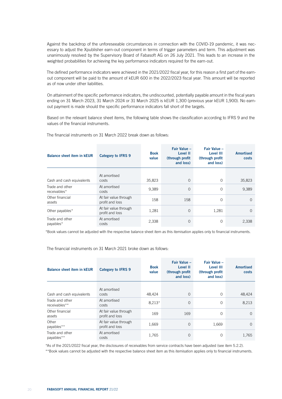Against the backdrop of the unforeseeable circumstances in connection with the COVID-19 pandemic, it was necessary to adjust the Xpublisher earn-out component in terms of trigger parameters and term. This adjustment was unanimously resolved by the Supervisory Board of Fabasoft AG on 26 July 2021. This leads to an increase in the weighted probabilities for achieving the key performance indicators required for the earn-out.

The defined performance indicators were achieved in the 2021/2022 fiscal year, for this reason a first part of the earnout component will be paid to the amount of kEUR 600 in the 2022/2023 fiscal year. This amount will be reported as of now under other liabilities.

On attainment of the specific performance indicators, the undiscounted, potentially payable amount in the fiscal years ending on 31 March 2023, 31 March 2024 or 31 March 2025 is kEUR 1,300 (previous year kEUR 1,900). No earnout payment is made should the specific performance indicators fall short of the targets.

Based on the relevant balance sheet items, the following table shows the classification according to IFRS 9 and the values of the financial instruments.

The financial instruments on 31 March 2022 break down as follows:

| <b>Balance sheet item in kEUR</b> | <b>Category to IFRS 9</b>                | <b>Book</b><br>value | Fair Value -<br><b>Level II</b><br>(through profit<br>and loss) | Fair Value -<br>Level III<br>(through profit)<br>and loss) | <b>Amortised</b><br>costs |
|-----------------------------------|------------------------------------------|----------------------|-----------------------------------------------------------------|------------------------------------------------------------|---------------------------|
| Cash and cash equivalents         | At amortised<br>costs                    | 35,823               | $\Omega$                                                        | $\Omega$                                                   | 35,823                    |
| Trade and other<br>receivables*   | At amortised<br>costs                    | 9,389                | $\Omega$                                                        | $\Omega$                                                   | 9,389                     |
| Other financial<br>assets         | At fair value through<br>profit and loss | 158                  | 158                                                             | $\Omega$                                                   | $\Omega$                  |
| Other payables*                   | At fair value through<br>profit and loss | 1,281                | $\Omega$                                                        | 1,281                                                      | $\Omega$                  |
| Trade and other<br>payables*      | At amortised<br>costs                    | 2,338                | $\Omega$                                                        | $\Omega$                                                   | 2,338                     |

\*Book values cannot be adjusted with the respective balance sheet item as this itemisation applies only to financial instruments.

The financial instruments on 31 March 2021 broke down as follows:

| <b>Balance sheet item in kEUR</b> | <b>Category to IFRS 9</b>                | <b>Book</b><br>value | Fair Value -<br><b>Level II</b><br>(through profit)<br>and loss) | Fair Value -<br>Level III<br>(through profit)<br>and loss) | <b>Amortised</b><br>costs |
|-----------------------------------|------------------------------------------|----------------------|------------------------------------------------------------------|------------------------------------------------------------|---------------------------|
| Cash and cash equivalents         | At amortised<br>costs                    | 48.424               | $\Omega$                                                         | $\Omega$                                                   | 48,424                    |
| Trade and other<br>receivables**  | At amortised<br>costs                    | $8.213*$             | $\Omega$                                                         | $\Omega$                                                   | 8,213                     |
| Other financial<br>assets         | At fair value through<br>profit and loss | 169                  | 169                                                              | $\Omega$                                                   | $\Omega$                  |
| Other<br>payables**               | At fair value through<br>profit and loss | 1,669                | $\Omega$                                                         | 1,669                                                      | $\Omega$                  |
| Trade and other<br>payables**     | At amortised<br>costs                    | 1,765                | 0                                                                | 0                                                          | 1,765                     |

\*As of the 2021/2022 fiscal year, the disclosures of receivables from service contracts have been adjusted (see item 5.2.2).

\*\*Book values cannot be adjusted with the respective balance sheet item as this itemisation applies only to financial instruments.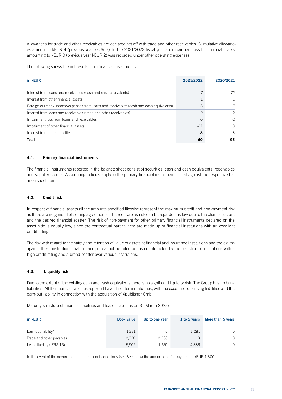Allowances for trade and other receivables are declared set off with trade and other receivables. Cumulative allowances amount to kEUR 4 (previous year kEUR 7). In the 2021/2022 fiscal year an impairment loss for financial assets amounting to kEUR 0 (previous year kEUR 2) was recorded under other operating expenses.

The following shows the net results from financial instruments:

| in kEUR                                                                                 | 2021/2022      | 2020/2021     |
|-----------------------------------------------------------------------------------------|----------------|---------------|
| Interest from loans and receivables (cash and cash equivalents)                         | $-47$          | $-72$         |
| Interest from other financial assets                                                    |                |               |
| Foreign currency income/expenses from loans and receivables (cash and cash equivalents) | 3              | $-17$         |
| Interest from loans and receivables (trade and other receivables)                       | $\overline{c}$ | $\mathcal{P}$ |
| Impairment loss from loans and receivables                                              | $\Omega$       | $-2$          |
| Impairment of other financial assets                                                    | $-11$          | $\cap$        |
| Interest from other liabilities                                                         | -8             | -8            |
| Total                                                                                   | -60            | -96           |

## 4.1. Primary financial instruments

The financial instruments reported in the balance sheet consist of securities, cash and cash equivalents, receivables and supplier credits. Accounting policies apply to the primary financial instruments listed against the respective balance sheet items.

#### 4.2. Credit risk

In respect of financial assets all the amounts specified likewise represent the maximum credit and non-payment risk as there are no general offsetting agreements. The receivables risk can be regarded as low due to the client structure and the desired financial scatter. The risk of non-payment for other primary financial instruments declared on the asset side is equally low, since the contractual parties here are made up of financial institutions with an excellent credit rating.

The risk with regard to the safety and retention of value of assets at financial and insurance institutions and the claims against these institutions that in principle cannot be ruled out, is counteracted by the selection of institutions with a high credit rating and a broad scatter over various institutions.

#### 4.3. Liquidity risk

Due to the extent of the existing cash and cash equivalents there is no significant liquidity risk. The Group has no bank liabilities. All the financial liabilities reported have short-term maturities, with the exception of leasing liabilities and the earn-out liability in connection with the acquisition of Xpublisher GmbH.

Maturity structure of financial liabilities and leases liabilities on 31 March 2022:

| in kEUR                   | <b>Book value</b> | Up to one year | 1 to 5 years | More than 5 years |
|---------------------------|-------------------|----------------|--------------|-------------------|
| Earn-out liability*       | 1,281             | 0              | 1.281        | ∩                 |
| Trade and other payables  | 2.338             | 2.338          |              | ∩                 |
| Lease liability (IFRS 16) | 5,902             | 1,651          | 4.386        | 0                 |

\*In the event of the occurrence of the earn-out conditions (see Section 4) the amount due for payment is kEUR 1,300.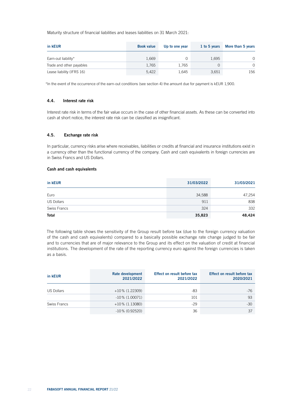Maturity structure of financial liabilities and leases liabilities on 31 March 2021:

| in kEUR                   | <b>Book value</b> | Up to one year | 1 to 5 years | More than 5 years |
|---------------------------|-------------------|----------------|--------------|-------------------|
| Earn-out liability*       | 1.669             | 0              | 1.695        |                   |
| Trade and other payables  | 1.765             | 1.765          |              | $\Omega$          |
| Lease liability (IFRS 16) | 5.422             | 1.645          | 3.651        | 156               |

\*In the event of the occurrence of the earn-out conditions (see section 4) the amount due for payment is kEUR 1,900.

### 4.4. Interest rate risk

Interest rate risk in terms of the fair value occurs in the case of other financial assets. As these can be converted into cash at short notice, the interest rate risk can be classified as insignificant.

## 4.5. Exchange rate risk

In particular, currency risks arise where receivables, liabilities or credits at financial and insurance institutions exist in a currency other than the functional currency of the company. Cash and cash equivalents in foreign currencies are in Swiss Francs and US Dollars.

#### Cash and cash equivalents

| in kEUR           | 31/03/2022 | 31/03/2021 |
|-------------------|------------|------------|
| Euro              | 34,588     | 47,254     |
| <b>US Dollars</b> | 911        | 838        |
| Swiss Francs      | 324        | 332        |
| <b>Total</b>      | 35,823     | 48,424     |

The following table shows the sensitivity of the Group result before tax (due to the foreign currency valuation of the cash and cash equivalents) compared to a basically possible exchange rate change judged to be fair and to currencies that are of major relevance to the Group and its effect on the valuation of credit at financial institutions. The development of the rate of the reporting currency euro against the foreign currencies is taken as a basis.

| in kEUR           | Rate development<br>2021/2022 | Effect on result before tax<br>2021/2022 | <b>Effect on result before tax</b><br>2020/2021 |
|-------------------|-------------------------------|------------------------------------------|-------------------------------------------------|
| <b>US Dollars</b> | $+10\%$ (1.22309)             | -83                                      | -76                                             |
|                   | $-10\%$ (1.00071)             | 101                                      | 93                                              |
| Swiss Francs      | $+10\%$ (1.13080)             | $-29$                                    | $-30$                                           |
|                   | $-10\%$ (0.92520)             | 36                                       | 37                                              |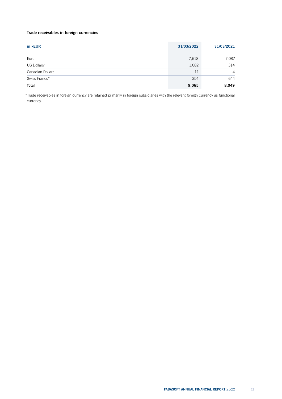# Trade receivables in foreign currencies

| in kEUR          | 31/03/2022 | 31/03/2021     |
|------------------|------------|----------------|
| Euro             | 7,618      | 7,087          |
| US Dollars*      | 1,082      | 314            |
| Canadian Dollars | 11         | $\overline{4}$ |
| Swiss Francs*    | 354        | 644            |
| Total            | 9,065      | 8,049          |

\*Trade receivables in foreign currency are retained primarily in foreign subsidiaries with the relevant foreign currency as functional currency.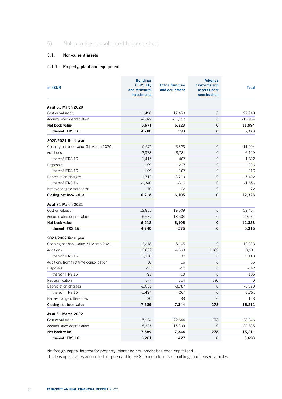# 5) Notes to the consolidated balance sheet

# 5.1. Non-current assets

# 5.1.1. Property, plant and equipment

| in kEUR                                 | <b>Buildings</b><br>(IFRS 16)<br>and structural<br>investments | <b>Office furniture</b><br>and equipment | <b>Advance</b><br>payments and<br>assets under<br>construction | <b>Total</b> |
|-----------------------------------------|----------------------------------------------------------------|------------------------------------------|----------------------------------------------------------------|--------------|
| As at 31 March 2020                     |                                                                |                                          |                                                                |              |
| Cost or valuation                       | 10,498                                                         | 17,450                                   | 0                                                              | 27,948       |
| Accumulated depreciation                | $-4,827$                                                       | $-11,127$                                | 0                                                              | $-15,954$    |
| Net book value                          | 5,671                                                          | 6,323                                    | 0                                                              | 11,994       |
| thereof IFRS 16                         | 4,780                                                          | 593                                      | 0                                                              | 5,373        |
| 2020/2021 fiscal year                   |                                                                |                                          |                                                                |              |
| Opening net book value 31 March 2020    | 5,671                                                          | 6,323                                    | 0                                                              | 11,994       |
| Additions                               | 2,378                                                          | 3,781                                    | 0                                                              | 6,159        |
| thereof IFRS 16                         | 1,415                                                          | 407                                      | 0                                                              | 1,822        |
| Disposals                               | $-109$                                                         | -227                                     | 0                                                              | $-336$       |
| thereof IFRS 16                         | $-109$                                                         | $-107$                                   | 0                                                              | $-216$       |
| Depreciation charges                    | $-1,712$                                                       | $-3,710$                                 | 0                                                              | $-5,422$     |
| thereof IFRS 16                         | $-1,340$                                                       | $-316$                                   | 0                                                              | $-1,656$     |
| Net exchange differences                | $-10$                                                          | $-62$                                    | 0                                                              | $-72$        |
| Closing net book value                  | 6,218                                                          | 6,105                                    | 0                                                              | 12,323       |
| As at 31 March 2021                     |                                                                |                                          |                                                                |              |
| Cost or valuation                       | 12,855                                                         | 19,609                                   | 0                                                              | 32,464       |
| Accumulated depreciation                | $-6,637$                                                       | $-13,504$                                | 0                                                              | $-20,141$    |
| Net book value                          | 6,218                                                          | 6,105                                    | 0                                                              | 12,323       |
| thereof IFRS 16                         | 4,740                                                          | 575                                      | 0                                                              | 5,315        |
| 2021/2022 fiscal year                   |                                                                |                                          |                                                                |              |
| Opening net book value 31 March 2021    | 6,218                                                          | 6,105                                    | $\Omega$                                                       | 12,323       |
| Additions                               | 2,852                                                          | 4,660                                    | 1,169                                                          | 8,681        |
| thereof IFRS 16                         | 1,978                                                          | 132                                      | 0                                                              | 2,110        |
| Additions from first time consolidation | 50                                                             | 16                                       | 0                                                              | 66           |
| <b>Disposals</b>                        | $-95$                                                          | $-52$                                    | 0                                                              | $-147$       |
| thereof IFRS 16                         | $-93$                                                          | $-13$                                    | 0                                                              | $-106$       |
| Reclassification                        | 577                                                            | 314                                      | $-891$                                                         | $\Omega$     |
| Depreciation charges                    | $-2,033$                                                       | -3,787                                   | 0                                                              | $-5,820$     |
| thereof IFRS 16                         | $-1,494$                                                       | $-267$                                   | 0                                                              | $-1,761$     |
| Net exchange differences                | 20                                                             | 88                                       | 0                                                              | 108          |
| Closing net book value                  | 7,589                                                          | 7,344                                    | 278                                                            | 15,211       |
| As at 31 March 2022                     |                                                                |                                          |                                                                |              |
| Cost or valuation                       | 15,924                                                         | 22,644                                   | 278                                                            | 38,846       |
| Accumulated depreciation                | $-8,335$                                                       | $-15,300$                                | 0                                                              | $-23,635$    |
| Net book value                          | 7,589                                                          | 7,344                                    | 278                                                            | 15,211       |
| thereof IFRS 16                         | 5,201                                                          | 427                                      | 0                                                              | 5,628        |

No foreign capital interest for property, plant and equipment has been capitalised.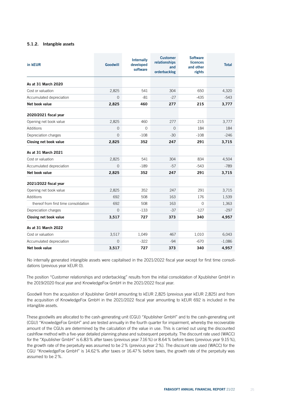## 5.1.2. Intangible assets

| in kEUR                               | <b>Goodwill</b> | <b>Internally</b><br>developed<br>software | <b>Customer</b><br>relationships<br>and<br>orderbacklog | <b>Software</b><br><b>licences</b><br>and other<br>rights | <b>Total</b> |
|---------------------------------------|-----------------|--------------------------------------------|---------------------------------------------------------|-----------------------------------------------------------|--------------|
| As at 31 March 2020                   |                 |                                            |                                                         |                                                           |              |
| Cost or valuation                     | 2,825           | 541                                        | 304                                                     | 650                                                       | 4,320        |
| Accumulated depreciation              | $\Omega$        | $-81$                                      | $-27$                                                   | $-435$                                                    | $-543$       |
| Net book value                        | 2,825           | 460                                        | 277                                                     | 215                                                       | 3,777        |
| 2020/2021 fiscal year                 |                 |                                            |                                                         |                                                           |              |
| Opening net book value                | 2,825           | 460                                        | 277                                                     | 215                                                       | 3,777        |
| Additions                             | $\overline{0}$  | $\mathbf 0$                                | $\overline{0}$                                          | 184                                                       | 184          |
| Depreciation charges                  | $\Omega$        | $-108$                                     | $-30$                                                   | $-108$                                                    | $-246$       |
| Closing net book value                | 2,825           | 352                                        | 247                                                     | 291                                                       | 3,715        |
| As at 31 March 2021                   |                 |                                            |                                                         |                                                           |              |
| Cost or valuation                     | 2,825           | 541                                        | 304                                                     | 834                                                       | 4,504        |
| Accumulated depreciation              | $\Omega$        | -189                                       | $-57$                                                   | -543                                                      | $-789$       |
| Net book value                        | 2,825           | 352                                        | 247                                                     | 291                                                       | 3,715        |
| 2021/2022 fiscal year                 |                 |                                            |                                                         |                                                           |              |
| Opening net book value                | 2,825           | 352                                        | 247                                                     | 291                                                       | 3,715        |
| Additions                             | 692             | 508                                        | 163                                                     | 176                                                       | 1,539        |
| thereof from first time consolidation | 692             | 508                                        | 163                                                     | $\Omega$                                                  | 1,363        |
| Depreciation charges                  | $\Omega$        | $-133$                                     | $-37$                                                   | $-127$                                                    | $-297$       |
| Closing net book value                | 3,517           | 727                                        | 373                                                     | 340                                                       | 4,957        |
| As at 31 March 2022                   |                 |                                            |                                                         |                                                           |              |
| Cost or valuation                     | 3,517           | 1,049                                      | 467                                                     | 1,010                                                     | 6,043        |
| Accumulated depreciation              | $\overline{O}$  | $-322$                                     | $-94$                                                   | $-670$                                                    | $-1,086$     |
| Net book value                        | 3,517           | 727                                        | 373                                                     | 340                                                       | 4,957        |

No internally generated intangible assets were capitalised in the 2021/2022 fiscal year except for first time consolidations (previous year kEUR 0).

The position "Customer relationships and orderbacklog" results from the initial consolidation of Xpublisher GmbH in the 2019/2020 fiscal year and KnowledgeFox GmbH in the 2021/2022 fiscal year.

Goodwill from the acquisition of Xpublisher GmbH amounting to kEUR 2,825 (previous year kEUR 2,825) and from the acquisition of KnowledgeFox GmbH in the 2021/2022 fiscal year amounting to kEUR 692 is included in the intangible assets.

These goodwills are allocated to the cash-generating unit (CGU) "Xpublisher GmbH" and to the cash-generating unit (CGU) "KnowledgeFox GmbH" and are tested annually in the fourth quarter for impairment, whereby the recoverable amount of the CGUs are determined by the calculation of the value in use. This is carried out using the discounted cashflow method with a five-year detailed planning phase and subsequent perpetuity. The discount rate used (WACC) for the "Xpublisher GmbH" is 6.83% after taxes (previous year 7.16%) or 8.64% before taxes (previous year 9.15%), the growth rate of the perpetuity was assumed to be 2% (previous year 2%). The discount rate used (WACC) for the CGU "KnowledgeFox GmbH" is 14.62% after taxes or 16.47% before taxes, the growth rate of the perpetuity was assumed to be 2%.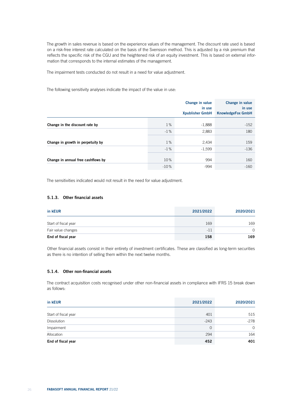The growth in sales revenue is based on the experience values of the management. The discount rate used is based on a risk-free interest rate calculated on the basis of the Svensson method. This is adjusted by a risk premium that reflects the specific risk of the CGU and the heightened risk of an equity investment. This is based on external information that corresponds to the internal estimates of the management.

The impairment tests conducted do not result in a need for value adjustment.

The following sensitivity analyses indicate the impact of the value in use:

|                                    |        | Change in value<br>in use<br><b>Xpublisher GmbH</b> | Change in value<br>in use<br><b>KnowledgeFox GmbH</b> |
|------------------------------------|--------|-----------------------------------------------------|-------------------------------------------------------|
| Change in the discount rate by     | 1%     | $-1,888$                                            | $-152$                                                |
|                                    | $-1%$  | 2,883                                               | 180                                                   |
| Change in growth in perpetuity by  | 1%     | 2,434                                               | 159                                                   |
|                                    | $-1%$  | $-1,599$                                            | $-136$                                                |
| Change in annual free cashflows by | 10%    | 994                                                 | 160                                                   |
|                                    | $-10%$ | $-994$                                              | $-160$                                                |

The sensitivities indicated would not result in the need for value adjustment.

# 5.1.3. Other financial assets

| in kEUR              | 2021/2022 | 2020/2021 |
|----------------------|-----------|-----------|
| Start of fiscal year | 169       | 169       |
| Fair value changes   | $-11$     | $\Omega$  |
| End of fiscal year   | 158       | 169       |

Other financial assets consist in their entirety of investment certificates. These are classified as long-term securities as there is no intention of selling them within the next twelve months.

#### 5.1.4. Other non-financial assets

The contract acquisition costs recognised under other non-financial assets in compliance with IFRS 15 break down as follows:

| in kEUR              | 2021/2022 | 2020/2021 |
|----------------------|-----------|-----------|
| Start of fiscal year | 401       | 515       |
| <b>Dissolution</b>   | $-243$    | $-278$    |
| Impairment           | 0         | $\Omega$  |
| Allocation           | 294       | 164       |
| End of fiscal year   | 452       | 401       |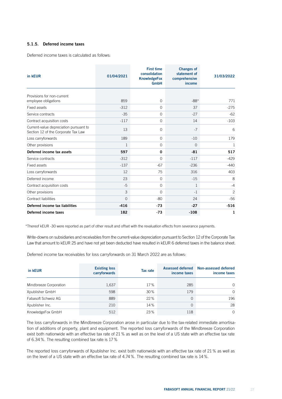## 5.1.5. Deferred income taxes

Deferred income taxes is calculated as follows:

| in kEUR                                                                       | 01/04/2021     | <b>First time</b><br>consolidation<br><b>KnowledgeFox</b><br><b>GmbH</b> | <b>Changes of</b><br>statement of<br>comprehensive<br>income | 31/03/2022     |
|-------------------------------------------------------------------------------|----------------|--------------------------------------------------------------------------|--------------------------------------------------------------|----------------|
|                                                                               |                |                                                                          |                                                              |                |
| Provisions for non-current<br>employee obligations                            | 859            | $\circ$                                                                  | $-88*$                                                       | 771            |
| Fixed assets                                                                  | $-312$         | $\Omega$                                                                 | 37                                                           | $-275$         |
| Service contracts                                                             | $-35$          | $\circ$                                                                  | $-27$                                                        | $-62$          |
| Contract acquisition costs                                                    | $-117$         | $\circ$                                                                  | 14                                                           | $-103$         |
| Current-value depreciation pursuant to<br>Section 12 of the Corporate Tax Law | 13             | $\circ$                                                                  | $-7$                                                         | 6              |
| Loss carryforwards                                                            | 189            | $\circ$                                                                  | $-10$                                                        | 179            |
| Other provisions                                                              | 1              | $\circ$                                                                  | $\Omega$                                                     | 1              |
| Deferred income tax assets                                                    | 597            | 0                                                                        | $-81$                                                        | 517            |
| Service contracts                                                             | $-312$         | $\Omega$                                                                 | $-117$                                                       | $-429$         |
| Fixed assets                                                                  | $-137$         | $-67$                                                                    | $-236$                                                       | $-440$         |
| Loss carryforwards                                                            | 12             | 75                                                                       | 316                                                          | 403            |
| Deferred income                                                               | 23             | $\Omega$                                                                 | $-15$                                                        | 8              |
| Contract acquisition costs                                                    | $-5$           | $\Omega$                                                                 | 1                                                            | $-4$           |
| Other provisions                                                              | 3              | $\Omega$                                                                 | $-1$                                                         | $\overline{c}$ |
| <b>Contract liabilities</b>                                                   | $\overline{0}$ | $-80$                                                                    | 24                                                           | $-56$          |
| Deferred income tax liabilities                                               | $-416$         | $-73$                                                                    | $-27$                                                        | $-516$         |
| Deferred income taxes                                                         | 182            | $-73$                                                                    | $-108$                                                       | $\mathbf{1}$   |

\*Thereof kEUR -30 were reported as part of other result and offset with the revaluation effects from severance payments.

Write-downs on subsidiaries and receivables from the current-value depreciation pursuant to Section 12 of the Corporate Tax Law that amount to kEUR 25 and have not yet been deducted have resulted in kEUR 6 deferred taxes in the balance sheet.

Deferred income tax receivables for loss carryforwards on 31 March 2022 are as follows:

| in kEUR                | <b>Existing loss</b><br>carryforwards | Tax rate | <b>Assessed deferred</b><br>income taxes | Non-assessed deferred<br>income taxes |
|------------------------|---------------------------------------|----------|------------------------------------------|---------------------------------------|
| Mindbreeze Corporation | 1,637                                 | 17%      | 285                                      | $\Omega$                              |
| Xpublisher GmbH        | 598                                   | 30%      | 179                                      | $\Omega$                              |
| Fabasoft Schweiz AG    | 889                                   | 22%      | 0                                        | 196                                   |
| Xpublisher Inc.        | 210                                   | 14%      | 0                                        | 28                                    |
| KnowledgeFox GmbH      | 512                                   | 23%      | 118                                      | $\Omega$                              |

The loss carryforwards in the Mindbreeze Corporation arose in particular due to the tax-related immediate amortisation of additions of property, plant and equipment. The reported loss carryforwards of the Mindbreeze Corporation exist both nationwide with an effective tax rate of 21% as well as on the level of a US state with an effective tax rate of 6.34%. The resulting combined tax rate is 17%

The reported loss carryforwards of Xpublisher Inc. exist both nationwide with an effective tax rate of 21% as well as on the level of a US state with an effective tax rate of 4.74%. The resulting combined tax rate is 14%.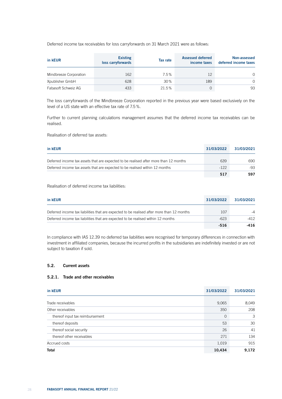Deferred income tax receivables for loss carryforwards on 31 March 2021 were as follows:

| in kEUR                | <b>Existing</b><br>loss carryforwards | Tax rate | <b>Assessed deferred</b><br>income taxes | Non-assessed<br>deferred income taxes |
|------------------------|---------------------------------------|----------|------------------------------------------|---------------------------------------|
| Mindbreeze Corporation | 162                                   | 7.5%     | 12                                       | $\Omega$                              |
| Xpublisher GmbH        | 628                                   | 30%      | 189                                      | $\Omega$                              |
| Fabasoft Schweiz AG    | 433                                   | 21.5%    |                                          | 93                                    |

The loss carryforwards of the Mindbreeze Corporation reported in the previous year were based exclusively on the level of a US state with an effective tax rate of 7.5%.

Further to current planning calculations management assumes that the deferred income tax receivables can be realised.

Realisation of deferred tax assets:

| in kEUR                                                                               | 31/03/2022 | 31/03/2021 |
|---------------------------------------------------------------------------------------|------------|------------|
| Deferred income tax assets that are expected to be realised after more than 12 months | 639        | 690        |
| Deferred income tax assets that are expected to be realised within 12 months          | $-122$     | $-93$      |
|                                                                                       | 517        | 597        |

Realisation of deferred income tax liabilities:

| in kEUR                                                                                    | 31/03/2022 | 31/03/2021 |
|--------------------------------------------------------------------------------------------|------------|------------|
| Deferred income tax liabilities that are expected to be realised after more than 12 months | 107        | $-4$       |
| Deferred income tax liabilities that are expected to be realised within 12 months          | $-623$     | $-412$     |
|                                                                                            | $-516$     | -416       |

In compliance with IAS 12.39 no deferred tax liabilities were recognised for temporary differences in connection with investment in affiliated companies, because the incurred profits in the subsidiaries are indefinitely invested or are not subject to taxation if sold.

# 5.2. Current assets

## 5.2.1. Trade and other receivables

| in kEUR                         | 31/03/2022 | 31/03/2021 |
|---------------------------------|------------|------------|
|                                 |            |            |
| Trade receivables               | 9,065      | 8,049      |
| Other receivables               | 350        | 208        |
| thereof input tax reimbursement | 0          | 3          |
| thereof deposits                | 53         | 30         |
| thereof social security         | 26         | 41         |
| thereof other receivables       | 271        | 134        |
| Accrued costs                   | 1,019      | 915        |
| <b>Total</b>                    | 10,434     | 9,172      |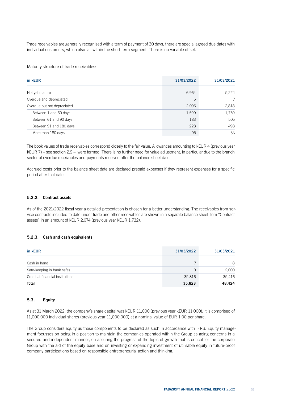Trade receivables are generally recognised with a term of payment of 30 days, there are special agreed due dates with individual customers, which also fall within the short-term segment. There is no variable offset.

Maturity structure of trade receivables:

| in kEUR                     | 31/03/2022 | 31/03/2021 |
|-----------------------------|------------|------------|
| Not yet mature              | 6,964      | 5,224      |
| Overdue and depreciated     | 5          | 7          |
| Overdue but not depreciated | 2,096      | 2,818      |
| Between 1 and 60 days       | 1,590      | 1,759      |
| Between 61 and 90 days      | 183        | 505        |
| Between 91 and 180 days     | 228        | 498        |
| More than 180 days          | 95         | 56         |

The book values of trade receivables correspond closely to the fair value. Allowances amounting to kEUR 4 (previous year kEUR 7) – see section 2.9 – were formed. There is no further need for value adjustment, in particular due to the branch sector of overdue receivables and payments received after the balance sheet date.

Accrued costs prior to the balance sheet date are declared prepaid expenses if they represent expenses for a specific period after that date.

#### 5.2.2. Contract assets

As of the 2021/2022 fiscal year a detailed presentation is chosen for a better understanding. The receivables from service contracts included to date under trade and other receivables are shown in a separate balance sheet item "Contract assets" in an amount of kEUR 2,074 (previous year kEUR 1,732).

### 5.2.3. Cash and cash equivalents

| in kEUR                          | 31/03/2022 | 31/03/2021 |
|----------------------------------|------------|------------|
| Cash in hand                     |            | 8          |
| Safe-keeping in bank safes       | 0          | 12,000     |
| Credit at financial institutions | 35,816     | 35,416     |
| <b>Total</b>                     | 35,823     | 48,424     |

#### 5.3. Equity

As at 31 March 2022, the company's share capital was kEUR 11,000 (previous year kEUR 11,000). It is comprised of 11,000,000 individual shares (previous year 11,000,000) at a nominal value of EUR 1.00 per share.

The Group considers equity as those components to be declared as such in accordance with IFRS. Equity management focusses on being in a position to maintain the companies operated within the Group as going concerns in a secured and independent manner, on assuring the progress of the topic of growth that is critical for the corporate Group with the aid of the equity base and on investing or expanding investment of utilisable equity in future-proof company participations based on responsible entrepreneurial action and thinking.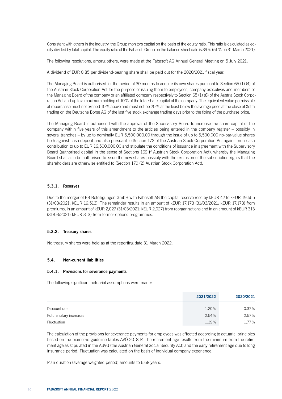Consistent with others in the industry, the Group monitors capital on the basis of the equity ratio. This ratio is calculated as equity divided by total capital. The equity ratio of the Fabasoft Group on the balance sheet date is 39% (51% on 31 March 2021).

The following resolutions, among others, were made at the Fabasoft AG Annual General Meeting on 5 July 2021:

A dividend of EUR 0.85 per dividend-bearing share shall be paid out for the 2020/2021 fiscal year.

The Managing Board is authorised for the period of 30 months to acquire its own shares pursuant to Section 65 (1) (4) of the Austrian Stock Corporation Act for the purpose of issuing them to employees, company executives and members of the Managing Board of the company or an affiliated company respectively to Section 65 (1) (8) of the Austria Stock Corporation Act and up to a maximum holding of 10% of the total share capital of the company. The equivalent value permissible at repurchase must not exceed 10% above and must not be 20% at the least below the average price at the close of Xetra trading on the Deutsche Börse AG of the last five stock exchange trading days prior to the fixing of the purchase price.

The Managing Board is authorised with the approval of the Supervisory Board to increase the share capital of the company within five years of this amendment to the articles being entered in the company register – possibly in several tranches – by up to nominally EUR 5,500,000.00 through the issue of up to 5,500,000 no-par-value shares both against cash deposit and also pursuant to Section 172 of the Austrian Stock Corporation Act against non-cash contribution to up to EUR 16,500,000.00 and stipulate the conditions of issuance in agreement with the Supervisory Board (authorised capital in the sense of Sections 169 ff Austrian Stock Corporation Act), whereby the Managing Board shall also be authorised to issue the new shares possibly with the exclusion of the subscription rights that the shareholders are otherwise entitled to (Section 170 (2) Austrian Stock Corporation Act).

## 5.3.1. Reserves

Due to the merger of FB Beteiligungen GmbH with Fabasoft AG the capital reserve rose by kEUR 42 to kEUR 19,555 (31/03/2021: kEUR 19,513). The remainder results in an amount of kEUR 17,173 (31/03/2021: kEUR 17,173) from premiums, in an amount of kEUR 2,027 (31/03/2021: kEUR 2,027) from reorganisations and in an amount of kEUR 313 (31/03/2021: kEUR 313) from former options programmes.

## 5.3.2. Treasury shares

No treasury shares were held as at the reporting date 31 March 2022.

## 5.4. Non-current liabilities

#### 5.4.1. Provisions for severance payments

The following significant actuarial assumptions were made:

|                         | 2021/2022 | 2020/2021 |
|-------------------------|-----------|-----------|
| Discount rate           | 1.20%     | $0.37\%$  |
| Future salary increases | 2.54%     | 2.57%     |
| Fluctuation             | 1.39%     | 1.77%     |

The calculation of the provisions for severance payments for employees was effected according to actuarial principles based on the biometric guideline tables AVÖ 2018-P. The retirement age results from the minimum from the retirement age as stipulated in the ASVG (the Austrian General Social Security Act) and the early retirement age due to long insurance period. Fluctuation was calculated on the basis of individual company experience.

Plan duration (average weighted period) amounts to 6.68 years.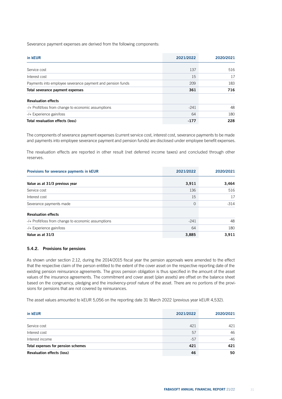Severance payment expenses are derived from the following components:

| in kEUR                                                    | 2021/2022 | 2020/2021 |
|------------------------------------------------------------|-----------|-----------|
|                                                            |           |           |
| Service cost                                               | 137       | 516       |
| Interest cost                                              | 15        | 17        |
| Payments into employee severance payment and pension funds | 209       | 183       |
| Total severance payment expenses                           | 361       | 716       |
| <b>Revaluation effects</b>                                 |           |           |
| -/+ Profit/loss from change to economic assumptions        | $-241$    | 48        |
| -/+ Experience gain/loss                                   | 64        | 180       |
| Total revaluation effects (loss)                           | $-177$    | 228       |

The components of severance payment expenses (current service cost, interest cost, severance payments to be made and payments into employee severance payment and pension funds) are disclosed under employee benefit expenses.

The revaluation effects are reported in other result (net deferred income taxes) and concluded through other reserves.

| Provisions for severance payments in KEUR           | 2021/2022 | 2020/2021 |
|-----------------------------------------------------|-----------|-----------|
| Value as at 31/3 previous year                      | 3,911     | 3,464     |
| Service cost                                        | 136       | 516       |
| Interest cost                                       | 15        | 17        |
| Severance payments made                             | 0         | $-314$    |
| <b>Revaluation effects</b>                          |           |           |
| -/+ Profit/loss from change to economic assumptions | $-241$    | 48        |
| -/+ Experience gain/loss                            | 64        | 180       |
| Value as at 31/3                                    | 3,885     | 3.911     |

#### 5.4.2. Provisions for pensions

As shown under section 2.12, during the 2014/2015 fiscal year the pension approvals were amended to the effect that the respective claim of the person entitled to the extent of the cover asset on the respective reporting date of the existing pension reinsurance agreements. The gross pension obligation is thus specified in the amount of the asset values of the insurance agreements. The commitment and cover asset (plan assets) are offset on the balance sheet based on the congruency, pledging and the insolvency-proof nature of the asset. There are no portions of the provisions for pensions that are not covered by reinsurances.

The asset values amounted to kEUR 5,056 on the reporting date 31 March 2022 (previous year kEUR 4,532).

| in kEUR                            | 2021/2022 | 2020/2021 |
|------------------------------------|-----------|-----------|
| Service cost                       | 421       | 421       |
| Interest cost                      | 57        | 46        |
| Interest income                    | $-57$     | $-46$     |
| Total expenses for pension schemes | 421       | 421       |
| <b>Revaluation effects (loss)</b>  | 46        | 50        |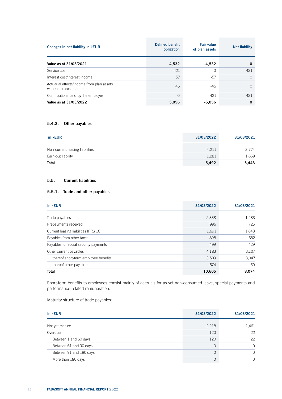| Changes in net liability in <b>KEUR</b>                              | <b>Defined benefit</b><br>obligation | <b>Fair value</b><br>of plan assets | <b>Net liability</b> |
|----------------------------------------------------------------------|--------------------------------------|-------------------------------------|----------------------|
| Value as at 31/03/2021                                               | 4,532                                | $-4,532$                            | $\Omega$             |
| Service cost                                                         | 421                                  | 0                                   | 421                  |
| Interest cost/interest income                                        | 57                                   | $-57$                               | $\Omega$             |
| Actuarial effects/income from plan assets<br>without interest income | 46                                   | $-46$                               | $\Omega$             |
| Contributions paid by the employer                                   | $\Omega$                             | $-421$                              | $-421$               |
| Value as at 31/03/2022                                               | 5,056                                | $-5,056$                            | 0                    |

# 5.4.3. Other payables

| in kEUR                         | 31/03/2022 | 31/03/2021 |
|---------------------------------|------------|------------|
| Non-current leasing liabilities | 4.211      | 3,774      |
| Earn-out liability              | 1,281      | 1,669      |
| <b>Total</b>                    | 5,492      | 5,443      |

# 5.5. Current liabilities

# 5.5.1. Trade and other payables

| in kEUR                               | 31/03/2022 | 31/03/2021 |
|---------------------------------------|------------|------------|
| Trade payables                        | 2,338      | 1,483      |
| Prepayments received                  | 996        | 725        |
| Current leasing liabilities IFRS 16   | 1,691      | 1,648      |
| Payables from other taxes             | 898        | 682        |
| Payables for social security payments | 499        | 429        |
| Other current payables                | 4,183      | 3,107      |
| thereof short-term employee benefits  | 3,509      | 3,047      |
| thereof other payables                | 674        | 60         |
| <b>Total</b>                          | 10,605     | 8,074      |

Short-term benefits to employees consist mainly of accruals for as yet non-consumed leave, special payments and performance-related remuneration.

Maturity structure of trade payables:

| in kEUR                 | 31/03/2022 | 31/03/2021 |
|-------------------------|------------|------------|
| Not yet mature          | 2,218      | 1,461      |
| Overdue                 | 120        | 22         |
| Between 1 and 60 days   | 120        | 22         |
| Between 61 and 90 days  | $\Omega$   | $\Omega$   |
| Between 91 and 180 days | 0          | $\Omega$   |
| More than 180 days      | $\Omega$   | $\Omega$   |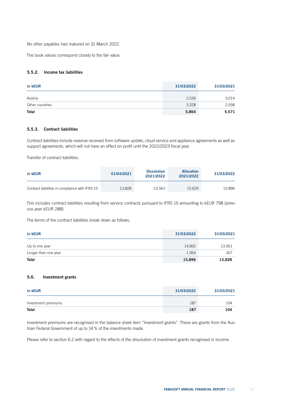No other payables had matured on 31 March 2022.

The book values correspond closely to the fair value.

## 5.5.2. Income tax liabilities

| in kEUR         | 31/03/2022 | 31/03/2021 |
|-----------------|------------|------------|
| Austria         | 2,536      | 3,014      |
| Other countries | 3,328      | 2,558      |
| <b>Total</b>    | 5,864      | 5,571      |

## 5.5.3. Contract liabilities

Contract liabilities include revenue received from software update, cloud service and appliance agreements as well as support agreements, which will not have an effect on profit until the 2022/2023 fiscal year.

Transfer of contract liabilities:

| in kEUR                                         | 01/04/2021 | <b>Dissolution</b><br>2021/2022 | <b>Allocation</b><br>2021/2022 | 31/03/2022 |
|-------------------------------------------------|------------|---------------------------------|--------------------------------|------------|
| Contract liabilities in compliance with IFRS 15 | 13,828     | $-13.561$                       | 15.629                         | 15.896     |

This includes contract liabilities resulting from service contracts pursuant to IFRS 15 amounting to kEUR 798 (previous year kEUR 288).

The terms of the contract liabilities break down as follows:

| in kEUR              | 31/03/2022 | 31/03/2021 |
|----------------------|------------|------------|
| Up to one year       | 14.832     | 13,561     |
| Longer than one year | 1,064      | 267        |
| <b>Total</b>         | 15,896     | 13,828     |

# 5.6. Investment grants

| in kEUR             | 31/03/2022 | 31/03/2021 |
|---------------------|------------|------------|
| Investment premiums | 187        | 104        |
| <b>Total</b>        | 187        | 104        |

Investment premiums are recognised in the balance sheet item "Investment grants". These are grants from the Austrian Federal Government of up to 14% of the investments made.

Please refer to section 6.2 with regard to the effects of the dissolution of investment grants recognised in income.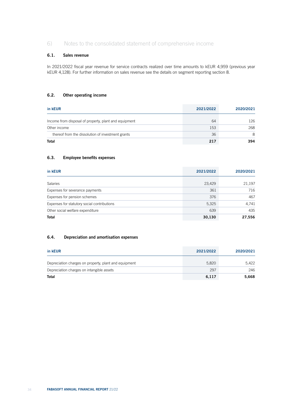# 6) Notes to the consolidated statement of comprehensive income

# 6.1. Sales revenue

In 2021/2022 fiscal year revenue for service contracts realized over time amounts to kEUR 4,959 (previous year kEUR 4,128). For further information on sales revenue see the details on segment reporting section 8.

# 6.2. Other operating income

| in kEUR                                               | 2021/2022 | 2020/2021 |
|-------------------------------------------------------|-----------|-----------|
| Income from disposal of property, plant and equipment | 64        | 126       |
| Other income                                          | 153       | 268       |
| thereof from the dissolution of investment grants     | 36        | 8         |
| <b>Total</b>                                          | 217       | 394       |

# 6.3. Employee benefits expenses

| in kEUR                                     | 2021/2022 | 2020/2021 |
|---------------------------------------------|-----------|-----------|
| <b>Salaries</b>                             | 23,429    | 21,197    |
| Expenses for severance payments             | 361       | 716       |
| Expenses for pension schemes                | 376       | 467       |
| Expenses for statutory social contributions | 5,325     | 4,741     |
| Other social welfare expenditure            | 639       | 435       |
| <b>Total</b>                                | 30,130    | 27,556    |

# 6.4. Depreciation and amortisation expenses

| in kEUR                                               | 2021/2022 | 2020/2021 |
|-------------------------------------------------------|-----------|-----------|
| Depreciation charges on property, plant and equipment | 5.820     | 5.422     |
| Depreciation charges on intangible assets             | 297       | 246       |
| <b>Total</b>                                          | 6,117     | 5.668     |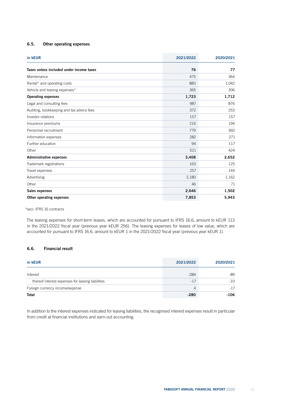# 6.5. Other operating expenses

| in kEUR                                   | 2021/2022 | 2020/2021 |
|-------------------------------------------|-----------|-----------|
| Taxes unless included under income taxes  | 76        | 77        |
| Maintenance                               | 475       | 364       |
| Rental* and operating costs               | 883       | 1,042     |
| Vehicle and leasing expenses*             | 365       | 306       |
| <b>Operating expenses</b>                 | 1,723     | 1,712     |
| Legal and consulting fees                 | 987       | 876       |
| Auditing, bookkeeping and tax advice fees | 372       | 253       |
| Investor relations                        | 157       | 157       |
| Insurance premiums                        | 216       | 194       |
| Personnel recruitment                     | 779       | 360       |
| Information expenses                      | 282       | 271       |
| Further education                         | 94        | 117       |
| Other                                     | 521       | 424       |
| <b>Administrative expenses</b>            | 3,408     | 2,652     |
| Trademark registrations                   | 163       | 125       |
| Travel expenses                           | 257       | 144       |
| Advertising                               | 2,180     | 1,162     |
| Other                                     | 46        | 71        |
| Sales expenses                            | 2,646     | 1,502     |
| Other operating expenses                  | 7,853     | 5,943     |

\*excl. IFRS 16 contracts

The leasing expenses for short-term leases, which are accounted for pursuant to IFRS 16.6, amount to kEUR 113 in the 2021/2022 fiscal year (previous year kEUR 256). The leasing expenses for leases of low value, which are accounted for pursuant to IFRS 16.6, amount to kEUR 1 in the 2021/2022 fiscal year (previous year kEUR 1).

#### 6.6. Financial result

| in kEUR                                           | 2021/2022 | 2020/2021 |
|---------------------------------------------------|-----------|-----------|
| Interest                                          | $-284$    | -89       |
| thereof interest expenses for leasing liabilities | $-17$     | $-10$     |
| Foreign currency income/expense                   | 4         | $-17$     |
| <b>Total</b>                                      | $-280$    | -106      |

In addition to the interest expenses indicated for leasing liabilities, the recognised interest expenses result in particular from credit at financial institutions and earn-out accounting.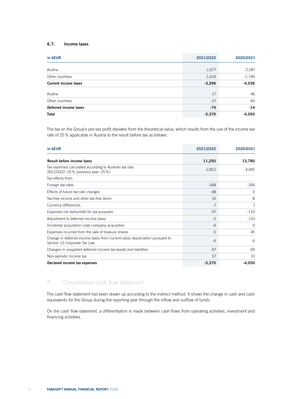# 6.7. Income taxes

| in kEUR                     | 2021/2022 | 2020/2021 |
|-----------------------------|-----------|-----------|
| Austria                     | $-1,677$  | $-2,287$  |
| Other countries             | $-1,619$  | $-1,749$  |
| <b>Current income taxes</b> | $-3,296$  | $-4,036$  |
| Austria                     | $-17$     | 46        |
| Other countries             | $-57$     | $-60$     |
| Deferred income taxes       | $-74$     | $-14$     |
| <b>Total</b>                | $-3,370$  | $-4,050$  |

The tax on the Group's pre-tax profit deviates from the theoretical value, which results from the use of the income tax rate of 25% applicable in Austria to the result before tax as follows:

| in kEUR                                                                                                     | 2021/2022 | 2020/2021      |
|-------------------------------------------------------------------------------------------------------------|-----------|----------------|
| Result before income taxes                                                                                  | 11,250    | 13,780         |
| Tax expenses calculated according to Austrian tax rate<br>2021/2022: 25% (previous year: 25%)               | $-2,812$  | $-3,445$       |
| Tax effects from:                                                                                           |           |                |
| Foreign tax rates                                                                                           | $-368$    | $-356$         |
| Effects of future tax rate changes                                                                          | $-48$     | $\Omega$       |
| Tax-free income and other tax-free items                                                                    | 16        | 8              |
| Currency differences                                                                                        | $-7$      | $\overline{7}$ |
| Expenses not deductible for tax purposes                                                                    | $-97$     | $-110$         |
| Adjustment to deferred income taxes                                                                         | $-2$      | -131           |
| Incidental acquisition costs company acquisition                                                            | $-6$      | $\Omega$       |
| Expenses incurred from the sale of treasury shares                                                          | $\Omega$  | 45             |
| Change in deferred income taxes from current-value depreciation pursuant to<br>Section 12 Corporate Tax Law | $-6$      | $-6$           |
| Changes in unapplied deferred income tax assets and liabilities                                             | $-97$     | $-93$          |
| Non-periodic income tax                                                                                     | 57        | 31             |
| Declared income tax expenses                                                                                | $-3,370$  | $-4,050$       |

# 7) Consolidated cash flow statement

The cash flow statement has been drawn up according to the indirect method. It shows the change in cash and cash equivalents for the Group during the reporting year through the inflow and outflow of funds.

On the cash flow statement, a differentiation is made between cash flows from operating activities, investment and financing activities.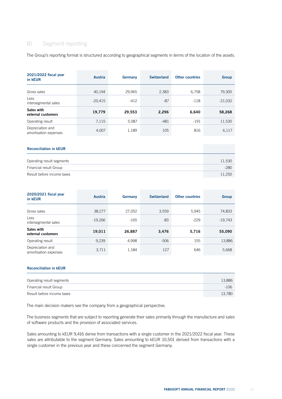# 8) Segment reporting

The Group's reporting format is structured according to geographical segments in terms of the location of the assets.

| 2021/2022 fiscal year<br>in kEUR          | Austria   | Germany | <b>Switzerland</b> | <b>Other countries</b> | Group     |
|-------------------------------------------|-----------|---------|--------------------|------------------------|-----------|
| Gross sales                               | 40,194    | 29,965  | 2,383              | 6,758                  | 79,300    |
| Less<br>intersegmental sales              | $-20,415$ | $-412$  | -87                | $-118$                 | $-21,032$ |
| Sales with<br>external customers          | 19,779    | 29,553  | 2,296              | 6,640                  | 58,268    |
| Operating result                          | 7,115     | 5,087   | $-481$             | $-191$                 | 11,530    |
| Depreciation and<br>amortisation expenses | 4,007     | 1,189   | 105                | 816                    | 6,117     |

# Reconciliation in kEUR

| Operating result segments  | 11,530 |
|----------------------------|--------|
| Financial result Group     | $-280$ |
| Result before income taxes | 11.250 |

| 2020/2021 fiscal year<br>in kEUR          | Austria   | Germany | <b>Switzerland</b> | <b>Other countries</b> | Group     |
|-------------------------------------------|-----------|---------|--------------------|------------------------|-----------|
| Gross sales                               | 38,277    | 27,052  | 3,559              | 5,945                  | 74,833    |
| Less<br>intersegmental sales              | $-19,266$ | $-165$  | -83                | $-229$                 | $-19,743$ |
| Sales with<br>external customers          | 19,011    | 26,887  | 3,476              | 5,716                  | 55,090    |
| Operating result                          | 9,239     | 4,998   | $-506$             | 155                    | 13,886    |
| Depreciation and<br>amortisation expenses | 3,711     | 1,184   | 127                | 646                    | 5,668     |

# Reconciliation in kEUR

| Operating result segments  | 13.886 |
|----------------------------|--------|
| Financial result Group     | $-106$ |
| Result before income taxes | 13,780 |

The main decision makers see the company from a geographical perspective.

The business segments that are subject to reporting generate their sales primarily through the manufacture and sales of software products and the provision of associated services.

Sales amounting to kEUR 9,416 derive from transactions with a single customer in the 2021/2022 fiscal year. These sales are attributable to the segment Germany. Sales amounting to kEUR 10,501 derived from transactions with a single customer in the previous year and these concerned the segment Germany.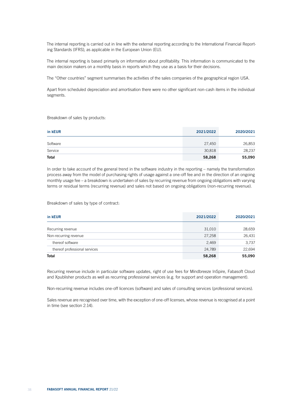The internal reporting is carried out in line with the external reporting according to the International Financial Reporting Standards (IFRS), as applicable in the European Union (EU).

The internal reporting is based primarily on information about profitability. This information is communicated to the main decision makers on a monthly basis in reports which they use as a basis for their decisions.

The "Other countries" segment summarises the activities of the sales companies of the geographical region USA.

Apart from scheduled depreciation and amortisation there were no other significant non-cash items in the individual segments.

Breakdown of sales by products:

| in kEUR      | 2021/2022 | 2020/2021 |
|--------------|-----------|-----------|
| Software     | 27.450    | 26,853    |
| Service      | 30,818    | 28,237    |
| <b>Total</b> | 58,268    | 55,090    |

In order to take account of the general trend in the software industry in the reporting – namely the transformation process away from the model of purchasing rights of usage against a one-off fee and in the direction of an ongoing monthly usage fee – a breakdown is undertaken of sales by recurring revenue from ongoing obligations with varying terms or residual terms (recurring revenue) and sales not based on ongoing obligations (non-recurring revenue).

Breakdown of sales by type of contract:

| in kEUR                       | 2021/2022 | 2020/2021 |
|-------------------------------|-----------|-----------|
| Recurring revenue             | 31,010    | 28,659    |
| Non-recurring revenue         | 27,258    | 26,431    |
| thereof software              | 2,469     | 3,737     |
| thereof professional services | 24.789    | 22.694    |
| <b>Total</b>                  | 58,268    | 55,090    |

Recurring revenue include in particular software updates, right of use fees for Mindbreeze InSpire, Fabasoft Cloud and Xpublisher products as well as recurring professional services (e.g. for support and operation management).

Non-recurring revenue includes one-off licences (software) and sales of consulting services (professional services).

Sales revenue are recognised over time, with the exception of one-off licenses, whose revenue is recognised at a point in time (see section 2.14).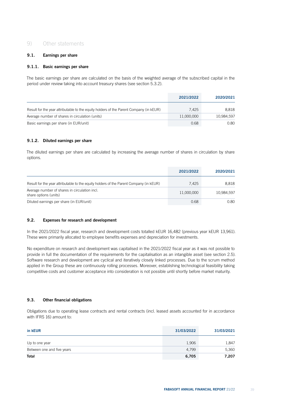# 9) Other statements

# 9.1. Earnings per share

# 9.1.1. Basic earnings per share

The basic earnings per share are calculated on the basis of the weighted average of the subscribed capital in the period under review taking into account treasury shares (see section 5.3.2).

|                                                                                        | 2021/2022  | 2020/2021  |
|----------------------------------------------------------------------------------------|------------|------------|
| Result for the year attributable to the equity holders of the Parent Company (in KEUR) | 7.425      | 8.818      |
| Average number of shares in circulation (units)                                        | 11,000,000 | 10,984,597 |
| Basic earnings per share (in EUR/unit)                                                 | 0.68       | 0.80       |

# 9.1.2. Diluted earnings per share

The diluted earnings per share are calculated by increasing the average number of shares in circulation by share options.

|                                                                                        | 2021/2022  | 2020/2021  |
|----------------------------------------------------------------------------------------|------------|------------|
| Result for the year attributable to the equity holders of the Parent Company (in KEUR) | 7.425      | 8.818      |
| Average number of shares in circulation incl.<br>share options (units)                 | 11,000,000 | 10.984.597 |
| Diluted earnings per share (in EUR/unit)                                               | 0.68       | 0.80       |

# 9.2. Expenses for research and development

In the 2021/2022 fiscal year, research and development costs totalled kEUR 16,482 (previous year kEUR 13,961). These were primarily allocated to employee benefits expenses and depreciation for investments.

No expenditure on research and development was capitalised in the 2021/2022 fiscal year as it was not possible to provide in full the documentation of the requirements for the capitalisation as an intangible asset (see section 2.5). Software research and development are cyclical and iteratively closely linked processes. Due to the scrum method applied in the Group these are continuously rolling processes. Moreover, establishing technological feasibility taking competitive costs and customer acceptance into consideration is not possible until shortly before market maturity.

# 9.3. Other financial obligations

Obligations due to operating lease contracts and rental contracts (incl. leased assets accounted for in accordance with IFRS 16) amount to:

| in kEUR                    | 31/03/2022 | 31/03/2021 |
|----------------------------|------------|------------|
| Up to one year             | 1,906      | 1,847      |
| Between one and five years | 4.799      | 5,360      |
| Total                      | 6,705      | 7,207      |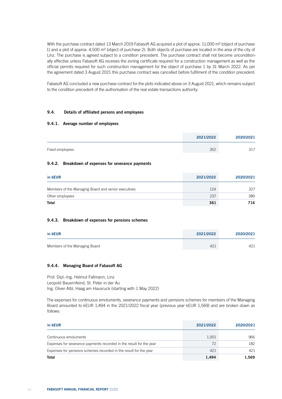With the purchase contract dated 13 March 2019 Fabasoft AG acquired a plot of approx. 11,000 m<sup>2</sup> (object of purchase 1) and a plot of approx. 4,500 m² (object of purchase 2). Both objects of purchase are located in the area of the city of Linz. The purchase is agreed subject to a condition precedent. The purchase contract shall not become unconditionally effective unless Fabasoft AG receives the zoning certificate required for a construction management as well as the official permits required for such construction management for the object of purchase 1 by 31 March 2022. As per the agreement dated 3 August 2021 this purchase contract was cancelled before fulfilment of the condition precedent.

Fabasoft AG concluded a new purchase contract for the plots indicated above on 3 August 2021, which remains subject to the condition precedent of the authorisation of the real estate transactions authority.

# 9.4. Details of affiliated persons and employees

### 9.4.1. Average number of employees

|                 | 2021/2022 | 2020/2021                    |
|-----------------|-----------|------------------------------|
| Fixed employees | 352       | $\bigcap$ $\bigcap$<br>، ۲ ب |

### 9.4.2. Breakdown of expenses for severance payments

| in kEUR                                             | 2021/2022 | 2020/2021 |
|-----------------------------------------------------|-----------|-----------|
| Members of the Managing Board and senior executives | 124       | 327       |
| Other employees                                     | 237       | 389       |
| Total                                               | 361       | 716       |

# 9.4.3. Breakdown of expenses for pensions schemes

| in kEUR                       | 2021/2022 | 2020/2021 |
|-------------------------------|-----------|-----------|
| Members of the Managing Board | 421       | 421       |

#### 9.4.4. Managing Board of Fabasoft AG

Prof. Dipl.-Ing. Helmut Fallmann, Linz Leopold Bauernfeind, St. Peter in der Au Ing. Oliver Albl, Haag am Hausruck (starting with 1 May 2022)

The expenses for continuous emoluments, severance payments and pensions schemes for members of the Managing Board amounted to kEUR 1,494 in the 2021/2022 fiscal year (previous year kEUR 1,569) and are broken down as follows:

| in kEUR                                                             | 2021/2022 | 2020/2021 |
|---------------------------------------------------------------------|-----------|-----------|
| Continuous emoluments                                               | 1,001     | 966       |
| Expenses for severance payments recorded in the result for the year | 72        | 182       |
| Expenses for pensions schemes recorded in the result for the year   | 421       | 421       |
| <b>Total</b>                                                        | 1,494     | 1.569     |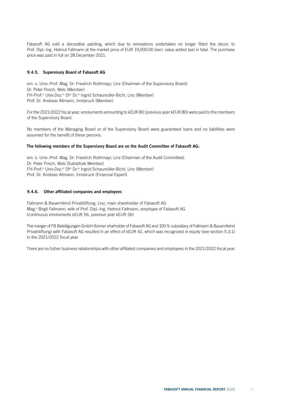Fabasoft AG sold a decorative painting, which due to renovations undertaken no longer fitted the decor, to Prof. Dipl.-Ing. Helmut Fallmann at the market price of EUR 19,000.00 (excl. value added tax) in total. The purchase price was paid in full on 28 December 2021.

# 9.4.5. Supervisory Board of Fabasoft AG

em. o. Univ.-Prof. Mag. Dr. Friedrich Roithmayr, Linz (Chairman of the Supervisory Board) Dr. Peter Posch, Wels (Member) FH-Prof.<sup>in</sup> Univ.Doz.<sup>in</sup> DI<sup>in</sup> Dr.<sup>in</sup> Ingrid Schaumüller-Bichl, Linz (Member) Prof. Dr. Andreas Altmann, Innsbruck (Member)

For the 2021/2022 fiscal year, emoluments amounting to kEUR 80 (previous year kEUR 80) were paid to the members of the Supervisory Board.

No members of the Managing Board or of the Supervisory Board were guaranteed loans and no liabilities were assumed for the benefit of these persons.

# The following members of the Supervisory Board are on the Audit Committee of Fabasoft AG:

em. o. Univ.-Prof. Mag. Dr. Friedrich Roithmayr, Linz (Chairman of the Audit Committee) Dr. Peter Posch, Wels (Substitute Member) FH-Prof.<sup>in</sup> Univ.Doz.<sup>in</sup> DI<sup>in</sup> Dr.<sup>in</sup> Ingrid Schaumüller-Bichl, Linz (Member) Prof. Dr. Andreas Altmann, Innsbruck (Financial Expert)

# 9.4.6. Other affiliated companies and employees

Fallmann & Bauernfeind Privatstiftung, Linz, main shareholder of Fabasoft AG Mag.<sup>a</sup> Birgit Fallmann, wife of Prof. Dipl.-Ing. Helmut Fallmann, employee of Fabasoft AG (continuous emoluments kEUR 56, previous year kEUR 56)

The merger of FB Beteiligungen GmbH (former sharholder of Fabasoft AG and 100% subsidiary of Fallmann & Bauernfeind Privatstiftung) with Fabasoft AG resulted in an effect of kEUR 42, which was recognized in equity (see section 5.3.1) in the 2021/2022 fiscal year.

There are no futher business relationships with other affiliated companies and employees in the 2021/2022 fiscal year.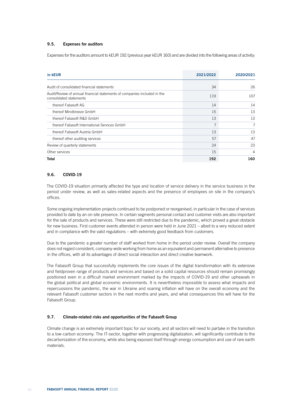# 9.5. Expenses for auditors

Expenses for the auditors amount to kEUR 192 (previous year kEUR 160) and are divided into the following areas of activity:

| in kEUR                                                                                             | 2021/2022 | 2020/2021 |
|-----------------------------------------------------------------------------------------------------|-----------|-----------|
| Audit of consolidated financial statements                                                          | 34        | 26        |
| Audit/Review of annual financial statements of companies included in the<br>consolidated statements | 119       | 107       |
| thereof Fabasoft AG                                                                                 | 14        | 14        |
| thereof Mindbreeze GmbH                                                                             | 15        | 13        |
| thereof Fabasoft R&D GmbH                                                                           | 13        | 13        |
| thereof Fabasoft International Services GmbH                                                        | 7         | 7         |
| thereof Fabasoft Austria GmbH                                                                       | 13        | 13        |
| thereof other auditing services                                                                     | 57        | 47        |
| Review of quarterly statements                                                                      | 24        | 23        |
| Other services                                                                                      | 15        | 4         |
| <b>Total</b>                                                                                        | 192       | 160       |

# 9.6. COVID-19

The COVID-19 situation primarily affected the type and location of service delivery in the service business in the period under review, as well as sales-related aspects and the presence of employees on site in the company's offices.

Some ongoing implementation projects continued to be postponed or reorganised, in particular in the case of services provided to date by an on-site presence. In certain segments personal contact and customer visits are also important for the sale of products and services. These were still restricted due to the pandemic, which proved a great obstacle for new business. First customer events attended in person were held in June 2021 – albeit to a very reduced extent and in compliance with the valid regulations – with extremely good feedback from customers.

Due to the pandemic a greater number of staff worked from home in the period under review. Overall the company does not regard consistent, company-wide working from home as an equivalent and permanent alternative to presence in the offices, with all its advantages of direct social interaction and direct creative teamwork.

The Fabasoft Group that successfully implements the core issues of the digital transformation with its extensive and fieldproven range of products and services and based on a solid capital resources should remain promisingly positioned even in a difficult market environment marked by the impacts of COVID-19 and other upheavals in the global political and global economic environments. It is nevertheless impossible to assess what impacts and repercussions the pandemic, the war in Ukraine and soaring inflation will have on the overall economy and the relevant Fabasoft customer sectors in the next months and years, and what consequences this will have for the Fabasoft Group.

# 9.7. Climate-related risks and opportunities of the Fabasoft Group

Climate change is an extremely important topic for our society, and all sectors will need to partake in the transition to a low-carbon economy. The IT-sector, together with progressing digitalization, will significantly contribute to the decarbonization of the economy, while also being exposed itself through energy consumption and use of rare earth materials.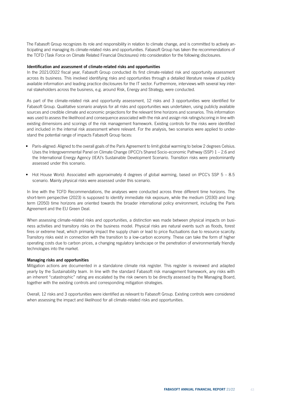The Fabasoft Group recognizes its role and responsibility in relation to climate change, and is committed to actively anticipating and managing its climate-related risks and opportunities. Fabasoft Group has taken the recommendations of the TCFD (Task Force on Climate Related Financial Disclosures) into consideration for the following disclosures.

### Identification and assessment of climate-related risks and opportunities

In the 2021/2022 fiscal year, Fabasoft Group conducted its first climate-related risk and opportunity assessment across its business. This involved identifying risks and opportunities through a detailed literature review of publicly available information and leading practice disclosures for the IT sector. Furthermore, interviews with several key internal stakeholders across the business, e.g. around Risk, Energy and Strategy, were conducted.

As part of the climate-related risk and opportunity assessment, 12 risks and 3 opportunities were identified for Fabasoft Group. Qualitative scenario analysis for all risks and opportunities was undertaken, using publicly available sources and credible climate and economic projections for the relevant time horizons and scenarios. This information was used to assess the likelihood and consequence associated with the risk and assign risk ratings/scoring in line with existing dimensions and scorings of the risk management framework. Existing controls for the risks were identified and included in the internal risk assessment where relevant. For the analysis, two scenarios were applied to understand the potential range of impacts Fabasoft Group faces:

- Paris-aligned: Aligned to the overall goals of the Paris Agreement to limit global warming to below 2 degrees Celsius. Uses the Intergovernmental Panel on Climate Change (IPCC)'s Shared Socio-economic Pathway (SSP) 1 – 2.6 and the International Energy Agency (IEA)'s Sustainable Development Scenario. Transition risks were predominantly assessed under this scenario.
- Hot House World: Associated with approximately 4 degrees of global warming, based on IPCC's SSP 5 8.5 scenario. Mainly physical risks were assessed under this scenario.

In line with the TCFD Recommendations, the analyses were conducted across three different time horizons. The short-term perspective (2023) is supposed to identify immediate risk exposure, while the medium (2030) and longterm (2050) time horizons are oriented towards the broader international policy environment, including the Paris Agreement and the EU Green Deal.

When assessing climate-related risks and opportunities, a distinction was made between physical impacts on business activities and transitory risks on the business model. Physical risks are natural events such as floods, forest fires or extreme heat, which primarily impact the supply chain or lead to price fluctuations due to resource scarcity. Transitory risks exist in connection with the transition to a low-carbon economy. These can take the form of higher operating costs due to carbon prices, a changing regulatory landscape or the penetration of environmentally friendly technologies into the market.

#### Managing risks and opportunities

Mitigation actions are documented in a standalone climate risk register. This register is reviewed and adapted yearly by the Sustainability team. In line with the standard Fabasoft risk management framework, any risks with an inherent "catastrophic" rating are escalated by the risk owners to be directly assessed by the Managing Board, together with the existing controls and corresponding mitigation strategies.

Overall, 12 risks and 3 opportunities were identified as relevant to Fabasoft Group. Existing controls were considered when assessing the impact and likelihood for all climate-related risks and opportunities.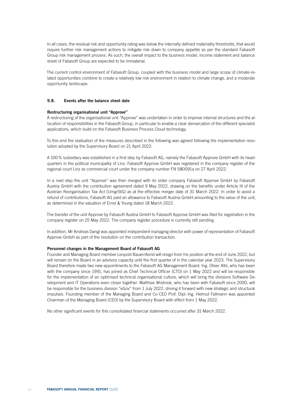In all cases, the residual risk and opportunity rating was below the internally defined materiality thresholds, that would require further risk management actions to mitigate risk down to company appetite as per the standard Fabasoft Group risk management process. As such, the overall impact to the business model, income statement and balance sheet of Fabasoft Group are expected to be immaterial.

The current control environment of Fabasoft Group, coupled with the business model and large scope of climate-related opportunities combine to create a relatively low risk environment in relation to climate change, and a moderate opportunity landscape.

# 9.8. Events after the balance sheet date

### Restructuring organisational unit "Approve"

A restructuring of the organisational unit "Approve" was undertaken in order to improve internal structures and the allocation of responsibilities in the Fabasoft Group, in particular to enable a clear demarcation of the different specialist applications, which build on the Fabasoft Business Process Cloud technology.

To this end the realisation of the measures described in the following was agreed following the implementation resolution adopted by the Supervisory Board on 21 April 2022:

A 100% subsidiary was established in a first step by Fabasoft AG, namely the Fabasoft Approve GmbH with its headquarters in the political municipality of Linz. Fabasoft Approve GmbH was registered in the company register of the regional court Linz as commercial court under the company number FN 580091a on 27 April 2022.

In a next step the unit "Approve" was then merged with its sister company Fabasoft Approve GmbH by Fabasoft Austria GmbH with the contribution agreement dated 9 May 2022, drawing on the benefits under Article III of the Austrian Reorganisation Tax Act (UmgrStG) as at the effective merger date of 31 March 2022. In order to avoid a refund of contributions, Fabasoft AG paid an allowance to Fabasoft Austria GmbH amounting to the value of the unit, as determined in the valuation of Ernst & Young dated 18 March 2022.

The transfer of the unit Approve by Fabasoft Austria GmbH to Fabasoft Approve GmbH was filed for registration in the company register on 25 May 2022. The company register procedure is currently still pending.

In addition, Mr Andreas Dangl was appointed independent managing director with power of representation of Fabasoft Approve GmbH as part of the resolution on the contribution transaction.

#### Personnel changes in the Management Board of Fabasoft AG

Founder and Managing Board member Leopold Bauernfeind will resign from his position at the end of June 2022, but will remain on the Board in an advisory capacity until the first quarter of in the calendar year 2023. The Supervisory Board therefore made two new appointments to the Fabasoft AG Management Board: Ing. Oliver Albl, who has been with the company since 1991, has joined as Chief Technical Officer (CTO) on 1 May 2022 and will be responsible for the implementation of an optimised technical organisational culture, which will bring the divisions Software Development and IT Operations even closer together. Matthias Wodniok, who has been with Fabasoft since 2000, will be responsible for the business division "eGov" from 1 July 2022, driving it forward with new strategic and structural impulses. Founding member of the Managing Board and Co-CEO Prof. Dipl.-Ing. Helmut Fallmann was appointed Chairman of the Managing Board (CEO) by the Supervisory Board with effect from 1 May 2022.

No other significant events for this consolidated financial statements occurred after 31 March 2022.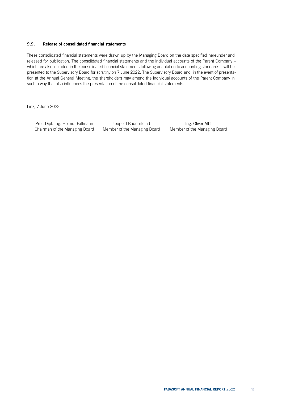# 9.9. Release of consolidated financial statements

These consolidated financial statements were drawn up by the Managing Board on the date specified hereunder and released for publication. The consolidated financial statements and the individual accounts of the Parent Company – which are also included in the consolidated financial statements following adaptation to accounting standards – will be presented to the Supervisory Board for scrutiny on 7 June 2022. The Supervisory Board and, in the event of presentation at the Annual General Meeting, the shareholders may amend the individual accounts of the Parent Company in such a way that also influences the presentation of the consolidated financial statements.

Linz, 7 June 2022

Prof. Dipl.-Ing. Helmut Fallmann Chairman of the Managing Board

Leopold Bauernfeind Member of the Managing Board

Ing. Oliver Albl Member of the Managing Board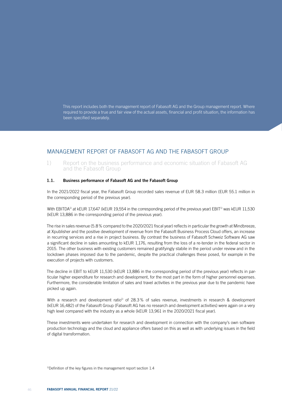This report includes both the management report of Fabasoft AG and the Group management report. Where required to provide a true and fair view of the actual assets, financial and profit situation, the information has been specified separately.

# MANAGEMENT REPORT OF FABASOFT AG AND THE FABASOFT GROUP

1) Report on the business performance and economic situation of Fabasoft AG and the Fabasoft Group

# 1.1. Business performance of Fabasoft AG and the Fabasoft Group

In the 2021/2022 fiscal year, the Fabasoft Group recorded sales revenue of EUR 58.3 million (EUR 55.1 million in the corresponding period of the previous year).

With EBITDA<sup>1)</sup> at kEUR 17,647 (kEUR 19,554 in the corresponding period of the previous year) EBIT<sup>1)</sup> was kEUR 11,530 (kEUR 13,886 in the corresponding period of the previous year).

The rise in sales revenue (5.8% compared to the 2020/2021 fiscal year) reflects in particular the growth at Mindbreeze, at Xpublisher and the positive development of revenue from the Fabasoft Business Process Cloud offers, an increase in recurring services and a rise in project business. By contrast the business of Fabasoft Schweiz Software AG saw a significant decline in sales amounting to kEUR 1,176, resulting from the loss of a re-tender in the federal sector in 2015. The other business with existing customers remained gratifyingly stabile in the period under review and in the lockdown phases imposed due to the pandemic, despite the practical challenges these posed, for example in the execution of projects with customers.

The decline in EBIT to kEUR 11,530 (kEUR 13,886 in the corresponding period of the previous year) reflects in particular higher expenditure for research and development, for the most part in the form of higher personnel expenses. Furthermore, the considerable limitation of sales and travel activities in the previous year due to the pandemic have picked up again.

With a research and development ratio<sup>1)</sup> of 28.3% of sales revenue, investments in research & development (kEUR 16,482) of the Fabasoft Group (Fabasoft AG has no research and development activities) were again on a very high level compared with the industry as a whole (kEUR 13,961 in the 2020/2021 fiscal year).

These investments were undertaken for research and development in connection with the company's own software production technology and the cloud and appliance offers based on this as well as with underlying issues in the field of digital transformation.

<sup>1)</sup>Definition of the key figures in the management report section 1.4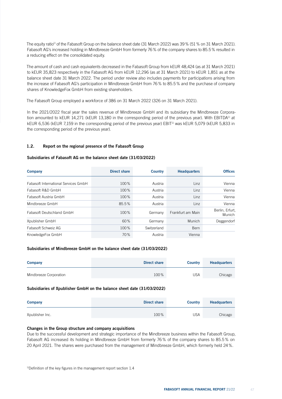The equity ratio<sup>1</sup> of the Fabasoft Group on the balance sheet date (31 March 2022) was 39% (51% on 31 March 2021). Fabasoft AG's increased holding in Mindbreeze GmbH from formerly 76% of the company shares to 85.5% resulted in a reducing effect on the consolidated equity.

The amount of cash and cash equivalents decreased in the Fabasoft Group from kEUR 48,424 (as at 31 March 2021) to kEUR 35,823 respectively in the Fabasoft AG from kEUR 12,296 (as at 31 March 2021) to kEUR 1,851 as at the balance sheet date 31 March 2022. The period under review also includes payments for participations arising from the increase of Fabasoft AG's participation in Mindbreeze GmbH from 76% to 85.5% and the purchase of company shares of KnowledgeFox GmbH from existing shareholders.

The Fabasoft Group employed a workforce of 386 on 31 March 2022 (326 on 31 March 2021).

In the 2021/2022 fiscal year the sales revenue of Mindbreeze GmbH and its subsidiary the Mindbreeze Corporation amounted to kEUR 14,271 (kEUR 13,180 in the corresponding period of the previous year). With EBITDA<sup>1)</sup> at kEUR 6,536 (kEUR 7,159 in the corresponding period of the previous year) EBIT<sup>1)</sup> was kEUR 5,079 (kEUR 5,833 in the corresponding period of the previous year).

# 1.2. Report on the regional presence of the Fabasoft Group

# Subsidiaries of Fabasoft AG on the balance sheet date (31/03/2022)

| <b>Company</b>                       | <b>Direct share</b> | <b>Country</b> | <b>Headquarters</b> | <b>Offices</b>            |
|--------------------------------------|---------------------|----------------|---------------------|---------------------------|
|                                      |                     |                |                     |                           |
| Fabasoft International Services GmbH | $100\%$             | Austria        | Linz                | Vienna                    |
| Fabasoft R&D GmbH                    | 100%                | Austria        | Linz                | Vienna                    |
| Fabasoft Austria GmbH                | 100%                | Austria        | Linz                | Vienna                    |
| Mindbreeze GmbH                      | 85.5%               | Austria        | Linz                | Vienna                    |
| Fabasoft Deutschland GmbH            | 100%                | Germany        | Frankfurt am Main   | Berlin, Erfurt,<br>Munich |
| Xpublisher GmbH                      | 60%                 | Germany        | Munich              | Deggendorf                |
| Fabasoft Schweiz AG                  | 100%                | Switzerland    | Bern                |                           |
| KnowledgeFox GmbH                    | 70%                 | Austria        | Vienna              |                           |

# Subsidiaries of Mindbreeze GmbH on the balance sheet date (31/03/2022)

| <b>Company</b>         | <b>Direct share</b> | <b>Country</b> | <b>Headquarters</b> |
|------------------------|---------------------|----------------|---------------------|
| Mindbreeze Corporation | 100%                | JSA            | Chicago             |

# Subsidiaries of Xpublisher GmbH on the balance sheet date (31/03/2022)

| <b>Company</b>  | Direct share | <b>Country</b> | <b>Headquarters</b> |
|-----------------|--------------|----------------|---------------------|
| Xpublisher Inc. | 100%         | <b>USA</b>     | Chicago             |

# Changes in the Group structure and company acquisitions

Due to the successful development and strategic importance of the Mindbreeze business within the Fabasoft Group, Fabasoft AG increased its holding in Mindbreeze GmbH from formerly 76% of the company shares to 85.5% on 20 April 2021. The shares were purchased from the management of Mindbreeze GmbH, which formerly held 24%.

<sup>1)</sup>Definition of the key figures in the management report section 1.4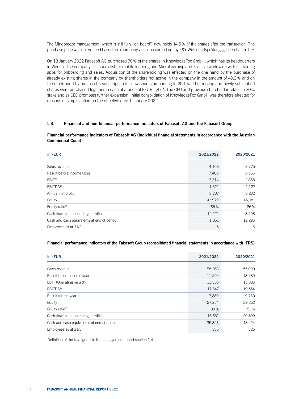The Mindbreeze management, which is still fully "on board", now holds 14.5% of the shares after the transaction. The purchase price was determined based on a company valuation carried out by E&Y Wirtschaftsprüfungsgesellschaft m.b.H.

On 13 January 2022 Fabasoft AG purchased 70% of the shares in KnowledgeFox GmbH, which has its headquarters in Vienna. The company is a specialist for mobile learning and MicroLearning and is active worldwide with its training apps for onboarding and sales. Acquisition of the shareholding was effected on the one hand by the purchase of already existing shares in the company by shareholders not active in the company in the amount of 49.9% and on the other hand by means of a subscription for new shares amounting to 20.1%. The existing and newly subscribed shares were purchased together in cash at a price of kEUR 1,472. The CEO and previous shareholder retains a 30% stake and as CEO promotes further expansion. Initial consolidation of KnowledgeFox GmbH was therefore effected for reasons of simplification on the effective date 1 January 2022.

### 1.3. Financial and non-financial performance indicators of Fabasoft AG and the Fabasoft Group

# Financial performance indicators of Fabasoft AG (individual financial statements in accordance with the Austrian Commercial Code)

| in kEUR                                    | 2021/2022 | 2020/2021 |
|--------------------------------------------|-----------|-----------|
|                                            |           |           |
| Sales revenue                              | 4,106     | 3,775     |
| Result before income taxes                 | 7,408     | 8,166     |
| EBIT <sup>1</sup>                          | $-3,314$  | $-2,868$  |
| EBITDA <sup>1)</sup>                       | $-1,321$  | $-1,127$  |
| Annual net profit                          | 8,207     | 8,832     |
| Equity                                     | 43,979    | 45,081    |
| Equity ratio <sup>1)</sup>                 | 85%       | 86%       |
| Cash flows from operating activities       | 14,221    | 8,708     |
| Cash and cash equivalents at end of period | 1,851     | 12,296    |
| Employees as at 31/3                       | 5         | 5         |

#### Financial performance indicators of the Fabasoft Group (consolidated financial statements in accordance with IFRS)

| in kEUR                                    | 2021/2022 | 2020/2021 |
|--------------------------------------------|-----------|-----------|
|                                            |           |           |
| Sales revenue                              | 58,268    | 55,090    |
| Result before income taxes                 | 11,250    | 13,780    |
| EBIT (Operating result) <sup>1)</sup>      | 11,530    | 13,886    |
| EBITDA <sup>1)</sup>                       | 17,647    | 19,554    |
| Result for the year                        | 7,880     | 9,730     |
| Equity                                     | 27,254    | 39,252    |
| Equity ratio <sup>1)</sup>                 | 39%       | 51%       |
| Cash flows from operating activities       | 16,651    | 20,899    |
| Cash and cash equivalents at end of period | 35,823    | 48,424    |
| Employees as at 31/3                       | 386       | 326       |

1) Definition of the key figures in the management report section 1.4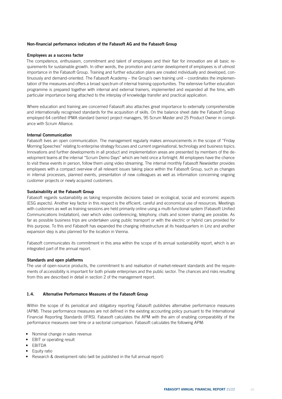# Non-financial performance indicators of the Fabasoft AG and the Fabasoft Group

### Employees as a success factor

The competence, enthusiasm, commitment and talent of employees and their flair for innovation are all basic requirements for sustainable growth. In other words, the promotion and carrier development of employees is of utmost importance in the Fabasoft Group. Training and further education plans are created individually and developed, continuously and demand-oriented. The Fabasoft Academy – the Group's own training unit – coordinates the implementation of the measures and offers a broad spectrum of internal training opportunities. The extensive further education programme is prepared together with internal and external trainers, implemented and expanded all the time, with particular importance being attached to the interplay of knowledge transfer and practical application.

Where education and training are concerned Fabasoft also attaches great importance to externally comprehensible and internationally recognised standards for the acquisition of skills. On the balance sheet date the Fabasoft Group employed 64 certified IPMA standard (senior) project managers, 95 Scrum Master and 25 Product Owner in compliance with Scrum Alliance.

# Internal Communication

Fabasoft lives an open communication. The management regularly makes announcements in the scope of "Friday Morning Speeches" relating to enterprise strategy focuses and current organisational, technology and business topics. Innovations and further developments in all product and implementation areas are presented by members of the development teams at the internal "Scrum Demo Days" which are held once a fortnight. All employees have the chance to visit these events in person, follow them using video streaming. The internal monthly Fabasoft Newsletter provides employees with a compact overview of all relevant issues taking place within the Fabasoft Group, such as changes in internal processes, planned events, presentation of new colleagues as well as information concerning ongoing customer projects or newly acquired customers.

# Sustainability at the Fabasoft Group

Fabasoft regards sustainability as taking responsible decisions based on ecological, social and economic aspects (ESG aspects). Another key factor in this respect is the efficient, careful and economical use of resources. Meetings with customers as well as training sessions are held primarily online using a multi-functional system (Fabasoft Unified Communications Installation), over which video conferencing, telephony, chats and screen sharing are possible. As far as possible business trips are undertaken using public transport or with the electric or hybrid cars provided for this purpose. To this end Fabasoft has expanded the charging infrastructure at its headquarters in Linz and another expansion step is also planned for the location in Vienna.

Fabasoft communicates its commitment in this area within the scope of its annual sustainability report, which is an integrated part of the annual report.

#### Standards and open platforms

The use of open-source products, the commitment to and realisation of market-relevant standards and the requirements of accessibility is important for both private enterprises and the public sector. The chances and risks resulting from this are described in detail in section 2 of the management report.

# 1.4. Alternative Performance Measures of the Fabasoft Group

Within the scope of its periodical and obligatory reporting Fabasoft publishes alternative performance measures (APM). These performance measures are not defined in the existing accounting policy pursuant to the International Financial Reporting Standards (IFRS). Fabasoft calculates the APM with the aim of enabling comparability of the performance measures over time or a sectorial comparison. Fabasoft calculates the following APM:

- Nominal change in sales revenue
- EBIT or operating result
- EBITDA
- Equity ratio
- Research & development ratio (will be published in the full annual report)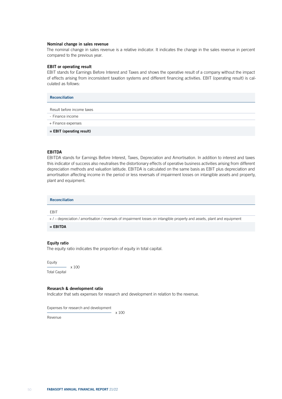#### Nominal change in sales revenue

The nominal change in sales revenue is a relative indicator. It indicates the change in the sales revenue in percent compared to the previous year.

#### EBIT or operating result

EBIT stands for Earnings Before Interest and Taxes and shows the operative result of a company without the impact of effects arising from inconsistent taxation systems and different financing activities. EBIT (operating result) is calculated as follows:

| <b>Reconciliation</b>       |
|-----------------------------|
| Result before income taxes  |
| - Finance income            |
| + Finance expenses          |
| $=$ EBIT (operating result) |

# EBITDA

EBITDA stands for Earnings Before Interest, Taxes, Depreciation and Amortisation. In addition to interest and taxes this indicator of success also neutralises the distortionary effects of operative business activities arising from different depreciation methods and valuation latitude. EBITDA is calculated on the same basis as EBIT plus depreciation and amortisation affecting income in the period or less reversals of impairment losses on intangible assets and property, plant and equipment.

Reconciliation

#### EBIT

+ / – depreciation / amortisation / reversals of impairment losses on intangible property and assets, plant and equipment

 $=$  EBITDA

### Equity ratio

The equity ratio indicates the proportion of equity in total capital.

Equity x 100 Total Capital

#### Research & development ratio

Indicator that sets expenses for research and development in relation to the revenue.

x 100

Expenses for research and development

Revenue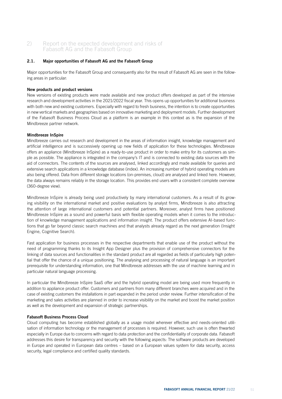# 2) Report on the expected development and risks of Fabasoft AG and the Fabasoft Group

# 2.1. Major opportunities of Fabasoft AG and the Fabasoft Group

Major opportunities for the Fabasoft Group and consequently also for the result of Fabasoft AG are seen in the following areas in particular:

# New products and product versions

New versions of existing products were made available and new product offers developed as part of the intensive research and development activities in the 2021/2022 fiscal year. This opens up opportunities for additional business with both new and existing customers. Especially with regard to fresh business, the intention is to create opportunities in new vertical markets and geographies based on innovative marketing and deployment models. Further development of the Fabasoft Business Process Cloud as a platform is an example in this context as is the expansion of the Mindbreeze partner network.

# Mindbreeze InSpire

Mindbreeze carries out research and development in the areas of information insight, knowledge management and artificial intelligence and is successively opening up new fields of application for these technologies. Mindbreeze offers an appliance (Mindbreeze InSpire) as a ready-to-use product in order to make entry for its customers as simple as possible. The appliance is integrated in the company's IT and is connected to existing data sources with the aid of connectors. The contents of the sources are analysed, linked accordingly and made available for queries and extensive search applications in a knowledge database (index). An increasing number of hybrid operating models are also being offered. Data from different storage locations (on-premises, cloud) are analysed and linked here. However, the data always remains reliably in the storage location. This provides end users with a consistent complete overview (360-degree view).

Mindbreeze InSpire is already being used productively by many international customers. As a result of its growing visibility on the international market and positive evaluations by analyst firms, Mindbreeze is also attracting the attention of large international customers and potential partners. Moreover, analyst firms have positioned Mindbreeze InSpire as a sound and powerful basis with flexible operating models when it comes to the introduction of knowledge management applications and information insight. The product offers extensive AI-based functions that go far beyond classic search machines and that analysts already regard as the next generation (Insight Engine, Cognitive Search).

Fast application for business processes in the respective departments that enable use of the product without the need of programming thanks to its Insight App Designer plus the provision of comprehensive connectors for the linking of data sources and functionalities in the standard product are all regarded as fields of particularly high potential that offer the chance of a unique positioning. The analysing and processing of natural language is an important prerequisite for understanding information, one that Mindbreeze addresses with the use of machine learning and in particular natural language processing.

In particular the Mindbreeze InSpire SaaS offer and the hybrid operating model are being used more frequently in addition to appliance product offer. Customers and partners from many different branches were acquired and in the case of existing customers the installations in part expanded in the period under review. Further intensification of the marketing and sales activities are planned in order to increase visibility on the market and boost the market position as well as the development and expansion of strategic partnerships.

# Fabasoft Business Process Cloud

Cloud computing has become established globally as a usage model wherever effective and needs-oriented utilisation of information technology or the management of processes is required. However, such use is often thwarted especially in Europe due to concerns with regard to data protection and the confidentiality of corporate data. Fabasoft addresses this desire for transparency and security with the following aspects: The software products are developed in Europe and operated in European data centres – based on a European values system for data security, access security, legal compliance and certified quality standards.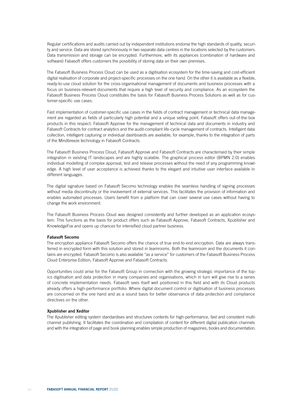Regular certifications and audits carried out by independent institutions endorse the high standards of quality, security and service. Data are stored synchronously in two separate data centres in the locations selected by the customers. Data transmission and storage can be encrypted. Furthermore, with its appliances (combination of hardware and software) Fabasoft offers customers the possibility of storing data on their own premises.

The Fabasoft Business Process Cloud can be used as a digitisation ecosystem for the time-saving and cost-efficient digital realisation of corporate and project-specific processes on the one hand. On the other it is available as a flexible, ready-to-use cloud solution for the cross-organisational management of documents and business processes with a focus on business-relevant documents that require a high level of security and compliance. As an ecosystem the Fabasoft Business Process Cloud constitutes the basis for Fabasoft Business Process Solutions as well as for customer-specific use cases.

Fast implementation of customer-specific use cases in the fields of contract management or technical data management are regarded as fields of particularly high potential and a unique selling point. Fabasoft offers out-of-the-box products in this respect: Fabasoft Approve for the management of technical data and documents in industry and Fabasoft Contracts for contract analytics and the audit-compliant life-cycle management of contracts. Intelligent data collection, intelligent capturing or individual dashboards are available, for example, thanks to the integration of parts of the Mindbreeze technology in Fabasoft Contracts.

The Fabasoft Business Process Cloud, Fabasoft Approve and Fabasoft Contracts are characterised by their simple integration in existing IT landscapes and are highly scalable. The graphical process editor (BPMN 2.0) enables individual modelling of complex approval, test and release processes without the need of any programming knowledge. A high level of user acceptance is achieved thanks to the elegant and intuitive user interface available in different languages.

The digital signature based on Fabasoft Secomo technology enables the seamless handling of signing processes without media discontinuity or the involvement of external services. This facilitates the provision of information and enables automated processes. Users benefit from a platform that can cover several use cases without having to change the work environment.

The Fabasoft Business Process Cloud was designed consistently and further developed as an application ecosystem. This functions as the basis for product offers such as Fabasoft Approve, Fabasoft Contracts, Xpublisher and KnowledgeFox and opens up chances for intensified cloud partner business.

# Fabasoft Secomo

The encryption appliance Fabasoft Secomo offers the chance of true end-to-end encryption. Data are always transferred in encrypted form with this solution and stored in teamrooms. Both the teamroom and the documents it contains are encrypted. Fabasoft Secomo is also available "as a service" for customers of the Fabasoft Business Process Cloud Enterprise Edition, Fabasoft Approve and Fabasoft Contracts.

Opportunities could arise for the Fabasoft Group in connection with the growing strategic importance of the topics digitisation and data protection in many companies and organisations, which in turn will give rise to a series of concrete implementation needs. Fabasoft sees itself well positioned in this field and with its Cloud products already offers a high-performance portfolio: Where digital document control or digitisation of business processes are concerned on the one hand and as a sound basis for better observance of data protection and compliance directives on the other.

# Xpublisher and Xeditor

The Xpublisher editing system standardises and structures contents for high-performance, fast and consistent multichannel publishing. It facilitates the coordination and compilation of content for different digital publication channels and with the integration of page and book planning enables simple production of magazines, books and documentation.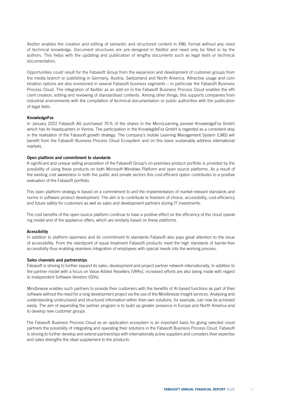Xeditor enables the creation and editing of semantic and structured content in XML format without any need of technical knowledge. Document structures are pre-designed in Xeditor and need only be filled in by the authors. This helps with the updating and publication of lengthy documents such as legal texts or technical documentation.

Opportunities could result for the Fabasoft Group from the expansion and development of customer groups from the media branch or publishing in Germany, Austria, Switzerland and North America. Attractive usage and combination options are also envisioned in several Fabasoft business segments – in particular the Fabasoft Business Process Cloud. The integration of Xeditor as an add-on in the Fabasoft Business Process Cloud enables the efficient creation, editing and reviewing of standardised contents. Among other things, this supports companies from industrial environments with the compilation of technical documentation or public authorities with the publication of legal texts.

### **KnowledgeFox**

In January 2022 Fabasoft AG purchased 70% of the shares in the MicroLearning pioneer KnowledgeFox GmbH, which has its headquarters in Vienna. The participation in the KnowlegdeFox GmbH is regarded as a consistent step in the realisation of the Fabasoft growth strategy. The company's mobile Learning Management System (LMS) will benefit from the Fabasoft Business Process Cloud Ecosystem and on this basis sustainably address international markets.

### Open platform and commitment to standards

A significant and unique selling proposition of the Fabasoft Group's on-premises product portfolio is provided by the possibility of using these products on both Microsoft Windows Platform and open source platforms. As a result of the existing cost awareness in both the public and private sectors this cost-efficient option contributes to a positive evaluation of the Fabasoft portfolio.

This open platform strategy is based on a commitment to and the implementation of market-relevant standards and norms in software product development. The aim is to contribute to freedom of choice, accessibility, cost-efficiency and future safety for customers as well as sales and development partners during IT investments.

The cost benefits of the open-source platform continue to have a positive effect on the efficiency of the cloud operating model and of the appliance offers, which are similarly based on these platforms.

#### Acessibility

In addition to platform openness and its commitment to standards Fabasoft also pays great attention to the issue of accessibility. From the standpoint of equal treatment Fabasoft products meet the high standards of barrier-free accessibility thus enabling seamless integration of employees with special needs into the working process.

#### Sales channels and partnerships

Fabasoft is striving to further expand its sales, development and project partner network internationally. In addition to the partner model with a focus on Value Added Resellers (VARs), increased efforts are also being made with regard to Independent Software Vendors (ISVs).

Mindbreeze enables such partners to provide their customers with the benefits of AI-based functions as part of their software without the need for a long development project via the use of the Mindbreeze Insight services. Analysing and understanding unstructured and structured information within their own solutions, for example, can now be achieved easily. The aim of expanding the partner program is to build up greater presence in Europe and North America and to develop new customer groups.

The Fabasoft Business Process Cloud as an application ecosystem is an important basis for giving selected cloud partners the possibility of integrating and operating their solutions in the Fabasoft Business Process Cloud. Fabasoft is striving to further develop and extend partnerships with internationally active suppliers and considers their expertise and sales strengths the ideal supplement to the products.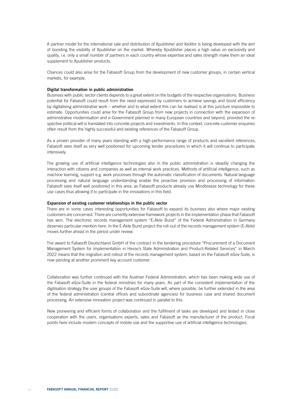A partner model for the international sale and distribution of Xpublisher and Xeditor is being developed with the aim of boosting the visibility of Xpublisher on the market. Whereby Xpublisher places a high value on exclusivity and quality, i.e. only a small number of partners in each country whose expertise and sales strength make them an ideal supplement to Xpublisher products.

Chances could also arise for the Fabasoft Group from the development of new customer groups, in certain vertical markets, for example.

### Digital transformation in public administration

Business with public sector clients depends to a great extent on the budgets of the respective organisations. Business potential for Fabasoft could result from the need expressed by customers to achieve savings and boost efficiency by digitalising administrative work – whether and to what extent this can be realised is at this juncture impossible to estimate. Opportunities could arise for the Fabasoft Group from new projects in connection with the expansion of administrative modernisation and e-Government planned in many European countries and beyond, provided the respective political will is translated into concrete projects and investments. In this context, concrete customer enquiries often result from the highly successful and existing references of the Fabasoft Group.

As a proven provider of many years standing with a high-performance range of products and excellent references, Fabasoft sees itself as very well positioned for upcoming tender procedures in which it will continue to participate intensively.

The growing use of artificial intelligence technologies also in the public administration is steadily changing the interaction with citizens and companies as well as internal work practices. Methods of artificial intelligence, such as machine learning, support e.g. work processes through the automatic classification of documents. Natural language processing and natural language understanding enable the proactive provision and processing of information. Fabasoft sees itself well positioned in this area, as Fabasoft products already use Mindbreeze technology for these use cases thus allowing it to participate in the innovations in this field.

#### Expansion of existing customer relationships in the public sector

There are in some cases interesting opportunities for Fabasoft to expand its business also where major existing customers are concerned. There are currently extensive framework projects in the implementation phase that Fabasoft has won. The electronic records management system "E-Akte Bund" of the Federal Administration in Germany deserves particular mention here. In the E-Akte Bund project the roll-out of the records management system (E-Akte) moves further ahead in the period under review.

The award to Fabasoft Deutschland GmbH of the contract in the tendering procedure "Procurement of a Document Management System for implementation in Hesse's State Administration and Product-Related Services" in March 2022 means that the migration and rollout of the records management system, based on the Fabasoft eGov-Suite, is now pending at another prominent key account customer.

Collaboration was further continued with the Austrian Federal Administration, which has been making wide use of the Fabasoft eGov-Suite in the federal ministries for many years. As part of the consistent implementation of the digitisation strategy the user groups of the Fabasoft eGov-Suite will, where possible, be further extended in the area of the federal administration (central offices and subordinate agencies) for business case and shared document processing. An extensive innovation project was continued in parallel to this.

New pioneering and efficient forms of collaboration and the fulfilment of tasks are developed and tested in close cooperation with the users, organisations experts, sales and Fabasoft as the manufacturer of the product. Focal points here include modern concepts of mobile use and the supportive use of artificial intelligence technologies.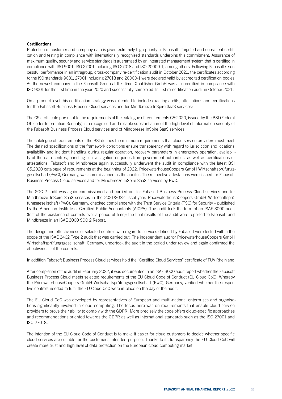# **Certifications**

Protection of customer and company data is given extremely high priority at Fabasoft. Targeted and consistent certification and testing in compliance with internationally recognised standards underpins this commitment. Assurance of maximum quality, security and service standards is guaranteed by an integrated management system that is certified in compliance with ISO 9001, ISO 27001 including ISO 27018 and ISO 20000-1, among others. Following Fabasoft's successful performance in an intragroup, cross-company re-certification audit in October 2021, the certificates according to the ISO standards 9001, 27001 including 27018 and 20000-1 were declared valid by accredited certification bodies. As the newest company in the Fabasoft Group at this time, Xpublisher GmbH was also certified in compliance with ISO 9001 for the first time in the year 2020 and successfully completed its first re-certification audit in October 2021.

On a product level this certification strategy was extended to include exacting audits, attestations and certifications for the Fabasoft Business Process Cloud services and for Mindbreeze InSpire SaaS services:

The C5 certificate pursuant to the requirements of the catalogue of requirements C5:2020, issued by the BSI (Federal Office for Information Security) is a recognised and reliable substantiation of the high level of information security of the Fabasoft Business Process Cloud services and of Mindbreeze InSpire SaaS services.

The catalogue of requirements of the BSI defines the minimum requirements that cloud service providers must meet. The defined specifications of the framework conditions ensure transparency with regard to jurisdiction and locations, availability and incident handling during regular operation, recovery parameters in emergency operation, availability of the data centres, handling of investigation enquiries from government authorities, as well as certifications or attestations. Fabasoft and Mindbreeze again successfully underwent the audit in compliance with the latest BSI C5:2020 catalogue of requirements at the beginning of 2022. PricewaterhouseCoopers GmbH Wirtschaftsprüfungsgesellschaft (PwC), Germany, was commissioned as the auditor. The respective attestations were issued for Fabasoft Business Process Cloud services and for Mindbreeze InSpire SaaS services by PwC.

The SOC 2 audit was again commissioned and carried out for Fabasoft Business Process Cloud services and for Mindbreeze InSpire SaaS services in the 2021/2022 fiscal year. PricewaterhouseCoopers GmbH Wirtschaftsprüfungsgesellschaft (PwC), Germany, checked compliance with the Trust Service Criteria (TSC) for Security – published by the American Institute of Certified Public Accountants (AICPA). The audit took the form of an ISAE 3000 audit (test of the existence of controls over a period of time); the final results of the audit were reported to Fabasoft and Mindbreeze in an ISAE 3000 SOC 2 Report.

The design and effectiveness of selected controls with regard to services defined by Fabasoft were tested within the scope of the ISAE 3402 Type 2 audit that was carried out. The independent auditor PricewaterhouseCoopers GmbH Wirtschaftsprüfungsgesellschaft, Germany, undertook the audit in the period under review and again confirmed the effectiveness of the controls.

In addition Fabasoft Business Process Cloud services hold the "Certified Cloud Services" certificate of TÜV Rheinland.

After completion of the audit in February 2022, it was documented in an ISAE 3000 audit report whether the Fabasoft Business Process Cloud meets selected requirements of the EU Cloud Code of Conduct (EU Cloud CoC). Whereby the PricewaterhouseCoopers GmbH Wirtschaftsprüfungsgesellschaft (PwC), Germany, verified whether the respective controls needed to fulfil the EU Cloud CoC were in place on the day of the audit.

The EU Cloud CoC was developed by representatives of European and multi-national enterprises and organisations significantly involved in cloud computing. The focus here was on requirements that enable cloud service providers to prove their ability to comply with the GDPR. More precisely the code offers cloud-specific approaches and recommendations oriented towards the GDPR as well as international standards such as the ISO 27001 and ISO 27018.

The intention of the EU Cloud Code of Conduct is to make it easier for cloud customers to decide whether specific cloud services are suitable for the customer's intended purpose. Thanks to its transparency the EU Cloud CoC will create more trust and high level of data protection on the European cloud computing market.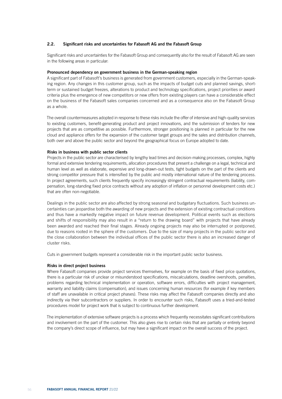# 2.2. Significant risks and uncertainties for Fabasoft AG and the Fabasoft Group

Significant risks and uncertainties for the Fabasoft Group and consequently also for the result of Fabasoft AG are seen in the following areas in particular:

### Pronounced dependency on government business in the German-speaking region

A significant part of Fabasoft's business is generated from government customers, especially in the German-speaking region. Any changes in this customer group, such as the impacts of budget cuts and planned savings, shortterm or sustained budget freezes, alterations to product and technology specifications, project priorities or award criteria plus the emergence of new competitors or new offers from existing players can have a considerable effect on the business of the Fabasoft sales companies concerned and as a consequence also on the Fabasoft Group as a whole.

The overall countermeasures adopted in response to these risks include the offer of intensive and high-quality services to existing customers, benefit-generating product and project innovations, and the submission of tenders for new projects that are as competitive as possible. Furthermore, stronger positioning is planned in particular for the new cloud and appliance offers for the expansion of the customer target groups and the sales and distribution channels, both over and above the public sector and beyond the geographical focus on Europe adopted to date.

# Risks in business with public sector clients

Projects in the public sector are characterised by lengthy lead times and decision-making processes, complex, highly formal and extensive tendering requirements, allocation procedures that present a challenge on a legal, technical and human level as well as elaborate, expensive and long-drawn-out tests, tight budgets on the part of the clients and strong competitor pressure that is intensified by the public and mostly international nature of the tendering process. In project agreements, such clients frequently specify increasingly stringent contractual requirements (liability, compensation, long-standing fixed price contracts without any adoption of inflation or personnel development costs etc.) that are often non-negotiable.

Dealings in the public sector are also affected by strong seasonal and budgetary fluctuations. Such business uncertainties can jeopardise both the awarding of new projects and the extension of existing contractual conditions and thus have a markedly negative impact on future revenue development. Political events such as elections and shifts of responsibility may also result in a "return to the drawing board" with projects that have already been awarded and reached their final stages. Already ongoing projects may also be interrupted or postponed, due to reasons rooted in the sphere of the customers. Due to the size of many projects in the public sector and the close collaboration between the individual offices of the public sector there is also an increased danger of cluster risks.

Cuts in government budgets represent a considerable risk in the important public sector business.

# Risks in direct project business

Where Fabasoft companies provide project services themselves, for example on the basis of fixed price quotations, there is a particular risk of unclear or misunderstood specifications, miscalculations, deadline overshoots, penalties, problems regarding technical implementation or operation, software errors, difficulties with project management, warranty and liability claims (compensation), and issues concerning human resources (for example if key members of staff are unavailable in critical project phases). These risks may affect the Fabasoft companies directly and also indirectly via their subcontractors or suppliers. In order to encounter such risks, Fabasoft uses a tried-and-tested procedures model for project work that is subject to continuous further development.

The implementation of extensive software projects is a process which frequently necessitates significant contributions and involvement on the part of the customer. This also gives rise to certain risks that are partially or entirely beyond the company's direct scope of influence, but may have a significant impact on the overall success of the project.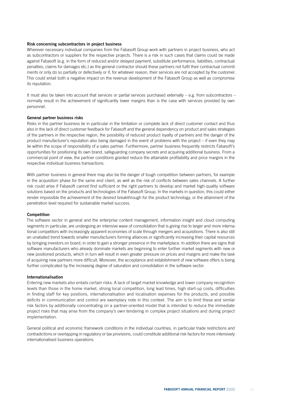### Risk concerning subcontractors in project business

Wherever necessary individual companies from the Fabasoft Group work with partners in project business, who act as subcontractors or suppliers for the respective projects. There is a risk in such cases that claims could be made against Fabasoft (e.g. in the form of reduced and/or delayed payment, substitute performance, liabilities, contractual penalties, claims for damages etc.) as the general contractor should these partners not fulfil their contractual commitments or only do so partially or defectively or if, for whatever reason, their services are not accepted by the customer. This could entail both a negative impact on the revenue development of the Fabasoft Group as well as compromise its reputation.

It must also be taken into account that services or partial services purchased externally – e.g. from subcontractors – normally result in the achievement of significantly lower margins than is the case with services provided by own personnel.

#### General partner business risks

Risks in the partner business lie in particular in the limitation or complete lack of direct customer contact and thus also in the lack of direct customer feedback for Fabasoft and the general dependency on product and sales strategies of the partners in the respective region, the possibility of reduced product loyalty of partners and the danger of the product manufacturer's reputation also being damaged in the event of problems with the project – if even they may lie within the scope of responsibility of a sales partner. Furthermore, partner business frequently restricts Fabasoft's opportunities for positioning its own brand, safeguarding company secrets and acquiring additional business. From a commercial point of view, the partner conditions granted reduce the attainable profitability and price margins in the respective individual business transactions.

With partner business in general there may also be the danger of tough competition between partners, for example in the acquisition phase for the same end client, as well as the risk of conflicts between sales channels. A further risk could arise if Fabasoft cannot find sufficient or the right partners to develop and market high-quality software solutions based on the products and technologies of the Fabasoft Group. In the markets in question, this could either render impossible the achievement of the desired breakthrough for the product technology, or the attainment of the penetration level required for sustainable market success.

### Competition

The software sector in general and the enterprise content management, information insight and cloud computing segments in particular, are undergoing an intensive wave of consolidation that is giving rise to larger and more international competitors with increasingly apparent economies of scale through mergers and acquisitions. There is also still an unabated trend towards smaller manufacturers forming alliances or significantly increasing their capital resources by bringing investors on board, in order to gain a stronger presence in the marketplace. In addition there are signs that software manufacturers who already dominate markets are beginning to enter further market segments with new or new positioned products, which in turn will result in even greater pressure on prices and margins and make the task of acquiring new partners more difficult. Moreover, the acceptance and establishment of new software offers is being further complicated by the increasing degree of saturation and consolidation in the software sector.

# Internationalisation

Entering new markets also entails certain risks. A lack of target market knowledge and lower company recognition levels than those in the home market, strong local competition, long lead times, high start-up costs, difficulties in finding staff for key positions, internationalisation and localisation expenses for the products, and possible deficits in communication and control are exemplary note in this context. The aim is to limit these and similar risk factors by additionally concentrating on a partner-oriented model that is intended to reduce the immediate project risks that may arise from the company's own tendering in complex project situations and during project implementation.

General political and economic framework conditions in the individual countries, in particular trade restrictions and contradictions or overlapping in regulatory or tax provisions, could constitute additional risk factors for more intensively internationalised business operations.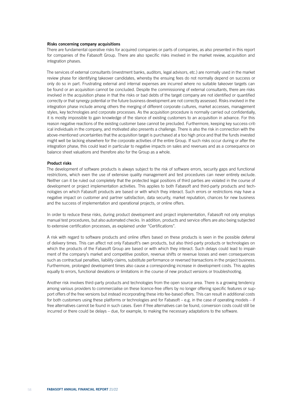# Risks concerning company acquisitions

There are fundamental operative risks for acquired companies or parts of companies, as also presented in this report for companies of the Fabasoft Group. There are also specific risks involved in the market review, acquisition and integration phases.

The services of external consultants (investment banks, auditors, legal advisors, etc.) are normally used in the market review phase for identifying takeover candidates, whereby the ensuing fees do not normally depend on success or only do so in part. Frustrating external and internal expenses are incurred where no suitable takeover targets can be found or an acquisition cannot be concluded. Despite the commissioning of external consultants, there are risks involved in the acquisition phase in that the risks or bad debts of the target company are not identified or quantified correctly or that synergy potential or the future business development are not correctly assessed. Risks involved in the integration phase include among others the merging of different corporate cultures, market accesses, management styles, key technologies and corporate processes. As the acquisition procedure is normally carried out confidentially, it is mostly impossible to gain knowledge of the stance of existing customers to an acquisition in advance. For this reason negative reactions of the existing customer base cannot be precluded. Furthermore, keeping key success-critical individuals in the company, and motivated also presents a challenge. There is also the risk in connection with the above-mentioned uncertainties that the acquisition target is purchased at a too high price and that the funds invested might well be lacking elsewhere for the corporate activities of the entire Group. If such risks occur during or after the integration phase, this could lead in particular to negative impacts on sales and revenues and as a consequence on balance sheet valuations and therefore also for the Group as a whole.

#### Product risks

The development of software products is always subject to the risk of software errors, security gaps and functional restrictions, which even the use of extensive quality management and test procedures can never entirely exclude. Neither can it be ruled out completely that the protected legal positions of third parties are violated in the course of development or project implementation activities. This applies to both Fabasoft and third-party products and technologies on which Fabasoft products are based or with which they interact. Such errors or restrictions may have a negative impact on customer and partner satisfaction, data security, market reputation, chances for new business and the success of implementation and operational projects, or online offers.

In order to reduce these risks, during product development and project implementation, Fabasoft not only employs manual test procedures, but also automated checks. In addition, products and service offers are also being subjected to extensive certification processes, as explained under "Certifications".

A risk with regard to software products and online offers based on these products is seen in the possible deferral of delivery times. This can affect not only Fabasoft's own products, but also third-party products or technologies on which the products of the Fabasoft Group are based or with which they interact. Such delays could lead to impairment of the company's market and competitive position, revenue shifts or revenue losses and even consequences such as contractual penalties, liability claims, substitute performance or reversed transactions in the project business. Furthermore, prolonged development times also cause a corresponding increase in development costs. This applies equally to errors, functional deviations or limitations in the course of new product versions or troubleshooting.

Another risk involves third-party products and technologies from the open source area. There is a growing tendency among various providers to commercialise on these licence-free offers by no longer offering specific features or support offers of the free versions but instead incorporating these into fee-based offers. This can result in additional costs for both customers using these platforms or technologies and for Fabasoft – e.g. in the case of operating models – if free alternatives cannot be found in such cases. Even if free alternatives can be found, conversion costs could still be incurred or there could be delays – due, for example, to making the necessary adaptations to the software.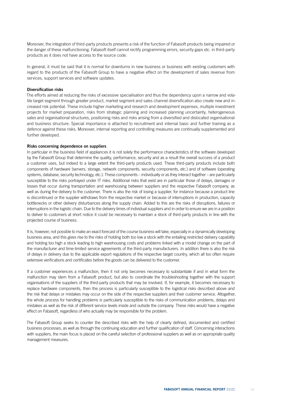Moreover, the integration of third-party products presents a risk of the function of Fabasoft products being impaired or the danger of these malfunctioning. Fabasoft itself cannot rectify programming errors, security gaps etc. in third-party products as it does not have access to the source code.

In general, it must be said that it is normal for downturns in new business or business with existing customers with regard to the products of the Fabasoft Group to have a negative effect on the development of sales revenue from services, support services and software updates.

### Diversification risks

The efforts aimed at reducing the risks of excessive specialisation and thus the dependency upon a narrow and volatile target segment through greater product, market segment and sales channel diversification also create new and increased risk potential. These include higher marketing and research and development expenses, multiple investment projects for market preparation, risks from strategic planning and increased planning uncertainty, heterogeneous sales and organisational structures, positioning risks and risks arising from a diversified and dislocated organisational and business structure. Special importance is attached to recruitment and internal basic and further training as a defence against these risks. Moreover, internal reporting and controlling measures are continually supplemented and further developed.

### Risks concerning dependence on suppliers

In particular in the business field of appliances it is not solely the performance characteristics of the software developed by the Fabasoft Group that determine the quality, performance, security and as a result the overall success of a product a customer uses, but indeed to a large extent the third-party products used. These third-party products include both components of hardware (servers, storage, network components, security components, etc.) and of software (operating systems, database, security technology, etc.). These components – individually or as they interact together – are particularly susceptible to the risks portrayed under IT risks. Additional risks that exist are in particular those of delays, damages or losses that occur during transportation and warehousing between suppliers and the respective Fabasoft company, as well as during the delivery to the customer. There is also the risk of losing a supplier, for instance because a product line is discontinued or the supplier withdraws from the respective market or because of interruptions in production, capacity bottlenecks or other delivery disturbances along the supply chain. Added to this are the risks of disruptions, failures or interruptions in the logistic chain. Due to the delivery times of individual suppliers and in order to ensure we are in a position to deliver to customers at short notice it could be necessary to maintain a stock of third-party products in line with the projected course of business.

It is, however, not possible to make an exact forecast of the course business will take, especially in a dynamically developing business area, and this gives rise to the risks of holding both too low a stock with the entailing restricted delivery capability and holding too high a stock leading to high warehousing costs and problems linked with a model change on the part of the manufacturer and time-limited service agreements of the third-party manufacturers. In addition there is also the risk of delays in delivery due to the applicable export regulations of the respective target country, which all too often require extensive verifications and certificates before the goods can be delivered to the customer.

If a customer experiences a malfunction, then it not only becomes necessary to substantiate if and in what form the malfunction may stem from a Fabasoft product, but also to coordinate the troubleshooting together with the support organisations of the suppliers of the third-party products that may be involved. If, for example, it becomes necessary to replace hardware components, then the process is particularly susceptible to the logistical risks described above and the risk that delays or mistakes may occur on the side of the respective suppliers and their customer service. Altogether, the whole process for handling problems is particularly susceptible to the risks of communication problems, delays and mistakes as well as the risk of different service levels inside and outside the company. These risks would have a negative effect on Fabasoft, regardless of who actually may be responsible for the problem.

The Fabasoft Group seeks to counter the described risks with the help of clearly defined, documented and certified business processes, as well as through the continuing education and further qualification of staff. Concerning interactions with suppliers, the main focus is placed on the careful selection of professional suppliers as well as on appropriate quality management measures.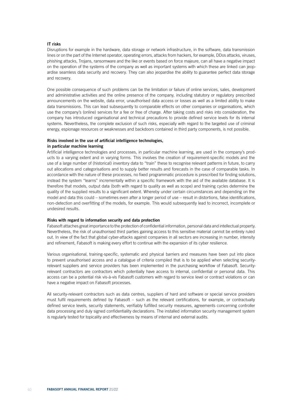### IT risks

Disruptions for example in the hardware, data storage or network infrastructure, in the software, data transmission lines or on the part of the Internet operator, operating errors, attacks from hackers, for example, DDos attacks, viruses, phishing attacks, Trojans, ransomware and the like or events based on force majeure, can all have a negative impact on the operation of the systems of the company as well as important systems with which these are linked can jeopardise seamless data security and recovery. They can also jeopardise the ability to guarantee perfect data storage and recovery.

One possible consequence of such problems can be the limitation or failure of online services, sales, development and administrative activities and the online presence of the company, including statutory or regulatory prescribed announcements on the website, data error, unauthorised data access or losses as well as a limited ability to make data transmissions. This can lead subsequently to comparable effects on other companies or organisations, which use the company's (online) services for a fee or free of charge. After taking costs and risks into consideration, the company has introduced organisational and technical precautions to provide defined service levels for its internal systems. Nevertheless, the complete exclusion of such risks, especially with regard to the targeted use of criminal energy, espionage resources or weaknesses and backdoors contained in third party components, is not possible.

### Risks involved in the use of artificial intelligence technologies, in particular machine learning

Artificial intelligence technologies and processes, in particular machine learning, are used in the company's products to a varying extent and in varying forms. This involves the creation of requirement-specific models and the use of a large number of (historical) inventory data to "train" these to recognise relevant patterns in future, to carry out allocations and categorisations and to supply better results and forecasts in the case of comparable tasks. In accordance with the nature of these processes, no fixed programmatic procedure is prescribed for finding solutions, instead the system "learns" incrementally within a specific framework with the aid of the available database. It is therefore that models, output data (both with regard to quality as well as scope) and training cycles determine the quality of the supplied results to a significant extent. Whereby under certain circumstances and depending on the model and data this could – sometimes even after a longer period of use – result in distortions, false identifications, non-detection and overfitting of the models, for example. This would subsequently lead to incorrect, incomplete or undesired results.

### Risks with regard to information security and data protection

Fabasoft attaches great importance to the protection of confidential information, personal data and intellectual property. Nevertheless, the risk of unauthorised third parties gaining access to this sensitive material cannot be entirely ruled out. In view of the fact that global cyber-attacks against companies in all sectors are increasing in number, intensity and refinement, Fabasoft is making every effort to continue with the expansion of its cyber resilience.

Various organisational, training-specific, systematic and physical barriers and measures have been put into place to prevent unauthorised access and a catalogue of criteria compiled that is to be applied when selecting securityrelevant suppliers and service providers has been implemented in the purchasing workflow of Fabasoft. Securityrelevant contractors are contractors which potentially have access to internal, confidential or personal data. This access can be a potential risk vis-à-vis Fabasoft customers with regard to service level or contract violations or can have a negative impact on Fabasoft processes.

All security-relevant contractors such as data centres, suppliers of hard and software or special service providers must fulfil requirements defined by Fabasoft – such as the relevant certifications, for example, or contractually defined service levels, security statements, verifiably fulfilled security measures, agreements concerning controller data processing and duly signed confidentiality declarations. The installed information security management system is regularly tested for topicality and effectiveness by means of internal and external audits.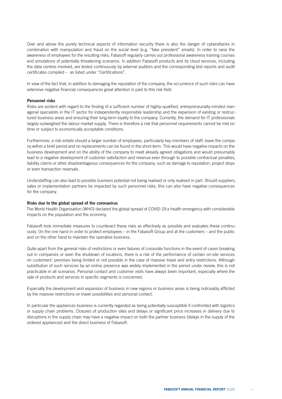Over and above the purely technical aspects of information security there is also the danger of cyberattacks in combination with manipulation and fraud on the social level (e.g. "fake president" emails). In order to raise the awareness of employees for the resulting risks, Fabasoft regularly carries out professional awareness training courses and simulations of potentially threatening scenarios. In addition Fabasoft products and its cloud services, including the data centres involved, are tested continuously by external auditors and the corresponding test reports and audit certificates compiled – as listed under "Certifications".

In view of the fact that, in addition to damaging the reputation of the company, the occurrence of such risks can have extensive negative financial consequences great attention is paid to this risk field.

# Personnel risks

Risks are evident with regard to the finding of a sufficient number of highly-qualified, entrepreneurially-minded managerial specialists in the IT sector for independently responsible leadership and the expansion of existing or restructured business areas and ensuring their long-term loyalty to the company. Currently, the demand for IT professionals largely outweighed the labour market supply. There is therefore a risk that personnel requirements cannot be met on time or subject to economically acceptable conditions.

Furthermore, a risk entails should a larger number of employees, particularly key members of staff, leave the company within a brief period and no replacements can be found in the short-term. This would have negative impacts on the business development and on the ability of the company to meet already agreed obligations and would presumably lead to a negative development of customer satisfaction and revenue even through to possible contractual penalties, liability claims or other disadvantageous consequences for the company, such as damage to reputation, project stops or even transaction reversals.

Understaffing can also lead to possible business potential not being realised or only realised in part. Should suppliers, sales or implementation partners be impacted by such personnel risks, this can also have negative consequences for the company.

#### Risks due to the global spread of the coronavirus

The World Health Organisation (WHO) declared the global spread of COVID-19 a health emergency with considerable impacts on the population and the economy.

Fabasoft took immediate measures to counteract these risks as effectively as possible and evaluates these continuously. On the one hand in order to protect employees – in the Fabasoft Group and at the customers – and the public and on the other hand to maintain the operative business.

Quite apart from the general risks of restrictions or even failures of corporate functions in the event of cases breaking out in companies or even the shutdown of locations, there is a risk of the performance of certain on-site services on customers' premises being limited or not possible in the case of massive travel and entry restrictions. Although substitution of such services by an online presence was widely implemented in the period under review, this is not practicable in all scenarios. Personal contact and customer visits have always been important, especially where the sale of products and services in specific segments is concerned.

Especially the development and expansion of business in new regions or business areas is being noticeably afflicted by the massive restrictions on travel possibilities and personal contact.

In particular the appliances business is currently regarded as being potentially susceptible if confronted with logistics or supply chain problems. Closures of production sites and delays or significant price increases in delivery due to disruptions in the supply chain may have a negative impact on both the partner business (delays in the supply of the ordered appliances) and the direct business of Fabasoft.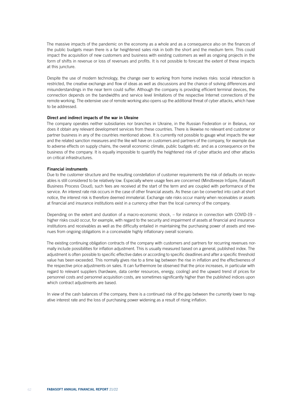The massive impacts of the pandemic on the economy as a whole and as a consequence also on the finances of the public budgets mean there is a far heightened sales risk in both the short and the medium term. This could impact the acquisition of new customers and business with existing customers as well as ongoing projects in the form of shifts in revenue or loss of revenues and profits. It is not possible to forecast the extent of these impacts at this juncture.

Despite the use of modern technology, the change over to working from home involves risks: social interaction is restricted, the creative exchange and flow of ideas as well as discussions and the chance of solving differences and misunderstandings in the near term could suffer. Although the company is providing efficient terminal devices, the connection depends on the bandwidths and service level limitations of the respective Internet connections of the remote working. The extensive use of remote working also opens up the additional threat of cyber attacks, which have to be addressed.

# Direct and indirect impacts of the war in Ukraine

The company operates neither subsidiaries nor branches in Ukraine, in the Russian Federation or in Belarus, nor does it obtain any relevant development services from these countries. There is likewise no relevant end customer or partner business in any of the countries mentioned above. It is currently not possible to gauge what impacts the war and the related sanction measures and the like will have on customers and partners of the company, for example due to adverse effects on supply chains, the overall economic climate, public budgets etc. and as a consequence on the business of the company. It is equally impossible to quantify the heightened risk of cyber attacks and other attacks on critical infrastructures.

#### Financial instruments

Due to the customer structure and the resulting constellation of customer requirements the risk of defaults on receivables is still considered to be relatively low. Especially where usage fees are concerned (Mindbreeze InSpire, Fabasoft Business Process Cloud), such fees are received at the start of the term and are coupled with performance of the service. An interest rate risk occurs in the case of other financial assets. As these can be converted into cash at short notice, the interest risk is therefore deemed immaterial. Exchange rate risks occur mainly when receivables or assets at financial and insurance institutions exist in a currency other than the local currency of the company.

Depending on the extent and duration of a macro-economic shock, – for instance in connection with COVID-19 – higher risks could occur, for example, with regard to the security and impairment of assets at financial and insurance institutions and receivables as well as the difficulty entailed in maintaining the purchasing power of assets and revenues from ongoing obligations in a conceivable highly inflationary overall scenario.

The existing continuing obligation contracts of the company with customers and partners for recurring revenues normally include possibilities for inflation adjustment. This is usually measured based on a general, published index. The adjustment is often possible to specific effective dates or according to specific deadlines and after a specific threshold value has been exceeded. This normally gives rise to a time lag between the rise in inflation and the effectiveness of the respective price adjustments on sales. It can furthermore be observed that the price increases, in particular with regard to relevant suppliers (hardware, data center resources, energy, cooling) and the upward trend of prices for personnel costs and personnel acquisition costs, are sometimes significantly higher than the published indices upon which contract adjustments are based.

In view of the cash balances of the company, there is a continued risk of the gap between the currently lower to negative interest rate and the loss of purchasing power widening as a result of rising inflation.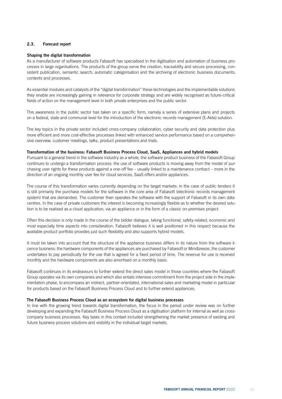# 2.3. Forecast report

# Shaping the digital transformation

As a manufacturer of software products Fabasoft has specialised in the digitisation and automation of business processes in large organisations. The products of the group serve the creation, traceability and secure processing, consistent publication, semantic search, automatic categorisation and the archiving of electronic business documents, contents and processes.

As essential modules and catalysts of the "digital transformation" these technologies and the implementable solutions they enable are increasingly gaining in relevance for corporate strategy and are widely recognised as future-critical fields of action on the management level in both private enterprises and the public sector.

This awareness in the public sector has taken on a specific form, namely a series of extensive plans and projects on a federal, state and communal level for the introduction of the electronic records management (E-Akte) solution.

The key topics in the private sector included cross-company collaboration, cyber security and data protection plus more efficient and more cost-effective processes linked with enhanced service performance based on a comprehensive overview, customer meetings, talks, product presentations and trials.

#### Transformation of the business: Fabasoft Business Process Cloud, SaaS, Appliances and hybrid models

Pursuant to a general trend in the software industry as a whole, the software product business of the Fabasoft Group continues to undergo a transformation process: the use of software products is moving away from the model of purchasing user rights for these products against a one-off fee – usually linked to a maintenance contract – more in the direction of an ongoing monthly user fee for cloud services, SaaS offers and/or appliances.

The course of this transformation varies currently depending on the target markets: in the case of public tenders it is still primarily the purchase models for the software in the core area of Fabasoft (electronic records management system) that are demanded. The customer then operates the software with the support of Fabasoft in its own data centres. In the case of private customers the interest is becoming increasingly flexible as to whether the desired solution is to be realised as a cloud application, via an appliance or in the form of a classic on-premises project.

Often this decision is only made in the course of the bidder dialogue, taking functional, safety-related, economic and most especially time aspects into consideration. Fabasoft believes it is well positioned in this respect because the available product portfolio provides just such flexibility and also supports hybrid models.

It must be taken into account that the structure of the appliance business differs in its nature from the software licence business: the hardware components of the appliances are purchased by Fabasoft or Mindbreeze, the customer undertakes to pay periodically for the use that is agreed for a fixed period of time. The revenue for use is received monthly and the hardware components are also amortised on a monthly basis.

Fabasoft continues in its endeavours to further extend the direct sales model in those countries where the Fabasoft Group operates via its own companies and which also entails intensive commitment from the project side in the implementation phase, to encompass an indirect, partner-orientated, international sales and marketing model in particular for products based on the Fabasoft Business Process Cloud and to further extend appliances.

### The Fabasoft Business Process Cloud as an ecosystem for digital business processes

In line with the growing trend towards digital transformation, the focus in the period under review was on further developing and expanding the Fabasoft Business Process Cloud as a digitisation platform for internal as well as crosscompany business processes. Key tasks in this context included strengthening the market presence of existing and future business process solutions and visibility in the individual target markets.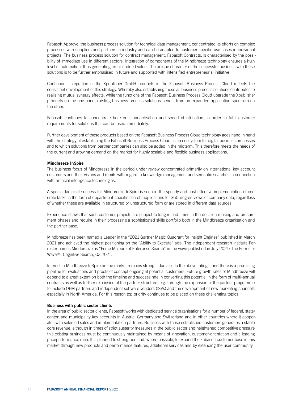Fabasoft Approve, the business process solution for technical data management, concentrated its efforts on complex processes with suppliers and partners in industry and can be adapted to customer-specific use cases in individual projects. The business process solution for contract management, Fabasoft Contracts, is characterised by the possibility of immediate use in different sectors. Integration of components of the Mindbreeze technology ensures a high level of automation, thus generating crucial added value. The unique character of the successful business with these solutions is to be further emphasised in future and supported with intensified entrepreneurial initiative.

Continuous integration of the Xpublisher GmbH products in the Fabasoft Business Process Cloud reflects the consistent development of this strategy. Whereby also establishing these as business process solutions contributes to realising mutual synergy effects: while the functions of the Fabasoft Business Process Cloud upgrade the Xpublisher products on the one hand, existing business process solutions benefit from an expanded application spectrum on the other.

Fabasoft continues to concentrate here on standardisation and speed of utilisation, in order to fulfil customer requirements for solutions that can be used immediately.

Further development of these products based on the Fabasoft Business Process Cloud technology goes hand in hand with the strategy of establishing the Fabasoft Business Process Cloud as an ecosystem for digital business processes and to which solutions from partner companies can also be added in the midterm. This therefore meets the needs of the current and growing demand on the market for highly scalable and flexible business applications.

#### Mindbreeze InSpire

The business focus of Mindbreeze in the period under review concentrated primarily on international key account customers and their visions and remits with regard to knowledge management and semantic searches in connection with artificial intelligence technologies.

A special factor of success for Mindbreeze InSpire is seen in the speedy and cost-effective implementation of concrete tasks in the form of department-specific search applications for 360-degree views of company data, regardless of whether these are available in structured or unstructured form or are stored in different data sources.

Experience shows that such customer projects are subject to longer lead times in the decision making and procurement phases and require in their processing a sophisticated skills portfolio both in the Mindbreeze organisation and the partner base.

Mindbreeze has been named a Leader in the "2021 Gartner Magic Quadrant for Insight Engines" published in March 2021 and achieved the highest positioning on the "Ability to Execute" axis. The independent research institute Forrester names Mindbreeze as "Force Majeure of Enterprise Search" in the wave published in July 2021: The Forrester Wave™: Cognitive Search, Q3 2021.

Interest in Mindbreeze InSpire on the market remains strong – due also to the above rating – and there is a promising pipeline for evaluations and proofs of concept ongoing at potential customers. Future growth rates of Mindbreeze will depend to a great extent on both the timeline and success rate in converting this potential in the form of multi-annual contracts as well as further expansion of the partner structure, e.g. through the expansion of the partner programme to include OEM partners and independent software vendors (ISVs) and the development of new marketing channels, especially in North America. For this reason top priority continues to be placed on these challenging topics.

#### Business with public sector clients

In the area of public sector clients, Fabasoft works with dedicated service organisations for a number of federal, state/ canton and municipality key accounts in Austria, Germany and Switzerland and in other countries where it cooperates with selected sales and implementation partners. Business with these established customers generates a stable core revenue, although in times of strict austerity measures in the public sector and heightened competitive pressure this existing business must be continuously maintained by means of innovation, customer-orientation and a leading priceperformance ratio. It is planned to strengthen and, where possible, to expand the Fabasoft customer base in this market through new products and performance features, additional services and by extending the user community.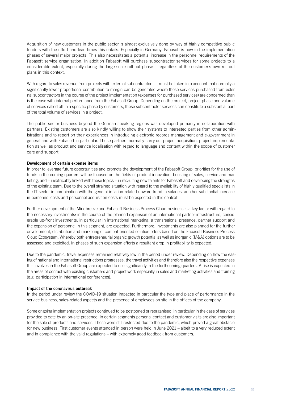Acquisition of new customers in the public sector is almost exclusively done by way of highly competitive public tenders with the effort and lead times this entails. Especially in Germany, Fabasoft is now in the implementation phases of several major projects. This also necessitates a potential increase in the personnel requirements of the Fabasoft service organisation. In addition Fabasoft will purchase subcontractor services for some projects to a considerable extent, especially during the large-scale roll-out phase – regardless of the customer's own roll-out plans in this context.

With regard to sales revenue from projects with external subcontractors, it must be taken into account that normally a significantly lower proportional contribution to margin can be generated where those services purchased from external subcontractors in the course of the project implementation (expenses for purchased services) are concerned than is the case with internal performance from the Fabasoft Group. Depending on the project, project phase and volume of services called off in a specific phase by customers, these subcontractor services can constitute a substantial part of the total volume of services in a project.

The public sector business beyond the German-speaking regions was developed primarily in collaboration with partners. Existing customers are also kindly willing to show their systems to interested parties from other administrations and to report on their experiences in introducing electronic records management and e-government in general and with Fabasoft in particular. These partners normally carry out project acquisition, project implementation as well as product and service localisation with regard to language and content within the scope of customer care and support.

### Development of certain expense items

In order to leverage future opportunities and promote the development of the Fabasoft Group, priorities for the use of funds in the coming quarters will be focused on the fields of product innovation, boosting of sales, service and marketing, and – inextricably linked with these topics – in recruiting new talents for Fabasoft and developing the strengths of the existing team. Due to the overall strained situation with regard to the availability of highly qualified specialists in the IT sector in combination with the general inflation-related upward trend in salaries, another substantial increase in personnel costs and personnel acquisition costs must be expected in this context.

Further development of the Mindbreeze and Fabasoft Business Process Cloud business is a key factor with regard to the necessary investments: in the course of the planned expansion of an international partner infrastructure, considerable up-front investments, in particular in international marketing, a transregional presence, partner support and the expansion of personnel in this segment, are expected. Furthermore, investments are also planned for the further development, distribution and marketing of content-oriented solution offers based on the Fabasoft Business Process Cloud Ecosystem. Whereby both entrepreneurial organic growth potential as well as inorganic (M&A) options are to be assessed and exploited. In phases of such expansion efforts a resultant drop in profitability is expected.

Due to the pandemic, travel expenses remained relatively low in the period under review. Depending on how the easing of national and international restrictions progresses, the travel activities and therefore also the respective expenses this involves in the Fabasoft Group are expected to rise significantly in the forthcoming quarters. A rise is expected in the areas of contact with existing customers and project work especially in sales and marketing activities and training (e.g. participation in international conferences).

### Impact of the coronavirus outbreak

In the period under review the COVID-19 situation impacted in particular the type and place of performance in the service business, sales-related aspects and the presence of employees on site in the offices of the company.

Some ongoing implementation projects continued to be postponed or reorganised, in particular in the case of services provided to date by an on-site presence. In certain segments personal contact and customer visits are also important for the sale of products and services. These were still restricted due to the pandemic, which proved a great obstacle for new business. First customer events attended in person were held in June 2021 – albeit to a very reduced extent and in compliance with the valid regulations – with extremely good feedback from customers.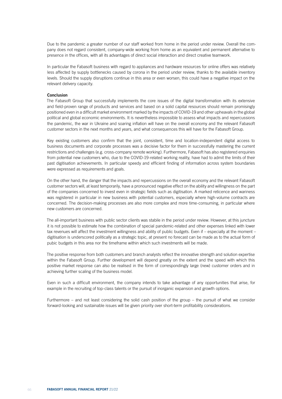Due to the pandemic a greater number of our staff worked from home in the period under review. Overall the company does not regard consistent, company-wide working from home as an equivalent and permanent alternative to presence in the offices, with all its advantages of direct social interaction and direct creative teamwork.

In particular the Fabasoft business with regard to appliances and hardware resources for online offers was relatively less affected by supply bottlenecks caused by corona in the period under review, thanks to the available inventory levels. Should the supply disruptions continue in this area or even worsen, this could have a negative impact on the relevant delivery capacity.

### Conclusion

The Fabasoft Group that successfully implements the core issues of the digital transformation with its extensive and field-proven range of products and services and based on a solid capital resources should remain promisingly positioned even in a difficult market environment marked by the impacts of COVID-19 and other upheavals in the global political and global economic environments. It is nevertheless impossible to assess what impacts and repercussions the pandemic, the war in Ukraine and soaring inflation will have on the overall economy and the relevant Fabasoft customer sectors in the next months and years, and what consequences this will have for the Fabasoft Group.

Key existing customers also confirm that the joint, consistent, time and location-independent digital access to business documents and corporate processes was a decisive factor for them in successfully mastering the current restrictions and challenges (e.g. cross-company remote working). Furthermore, Fabasoft has also registered enquiries from potential new customers who, due to the COVID-19-related working reality, have had to admit the limits of their past digitisation achievements. In particular speedy and efficient finding of information across system boundaries were expressed as requirements and goals.

On the other hand, the danger that the impacts and repercussions on the overall economy and the relevant Fabasoft customer sectors will, at least temporarily, have a pronounced negative effect on the ability and willingness on the part of the companies concerned to invest even in strategic fields such as digitisation. A marked reticence and wariness was registered in particular in new business with potential customers, especially where high-volume contracts are concerned. The decision-making processes are also more complex and more time-consuming, in particular where new customers are concerned.

The all-important business with public sector clients was stabile in the period under review. However, at this juncture it is not possible to estimate how the combination of special pandemic-related and other expenses linked with lower tax revenues will affect the investment willingness and ability of public budgets. Even if – especially at the moment – digitisation is underscored politically as a strategic topic, at present no forecast can be made as to the actual form of pubic budgets in this area nor the timeframe within which such investments will be made.

The positive response from both customers and branch analysts reflect the innovative strength and solution expertise within the Fabasoft Group. Further development will depend greatly on the extent and the speed with which this positive market response can also be realised in the form of correspondingly large (new) customer orders and in achieving further scaling of the business model.

Even in such a difficult environment, the company intends to take advantage of any opportunities that arise, for example in the recruiting of top-class talents or the pursuit of inorganic expansion and growth options.

Furthermore – and not least considering the solid cash position of the group – the pursuit of what we consider forward-looking and sustainable issues will be given priority over short-term profitability considerations.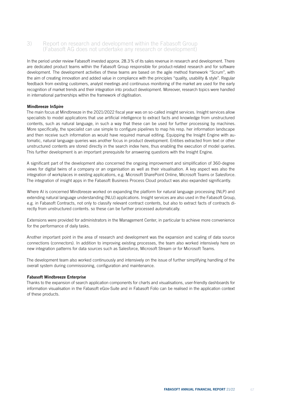# 3) Report on research and development within the Fabasoft Group (Fabasoft AG does not undertake any research or development)

In the period under review Fabasoft invested approx. 28.3% of its sales revenue in research and development. There are dedicated product teams within the Fabasoft Group responsible for product-related research and for software development. The development activities of these teams are based on the agile method framework "Scrum", with the aim of creating innovation and added value in compliance with the principles "quality, usability & style". Regular feedback from existing customers, analyst meetings and continuous monitoring of the market are used for the early recognition of market trends and their integration into product development. Moreover, research topics were handled in international partnerships within the framework of digitisation.

# Mindbreeze InSpire

The main focus at Mindbreeze in the 2021/2022 fiscal year was on so-called insight services. Insight services allow specialists to model applications that use artificial intelligence to extract facts and knowledge from unstructured contents, such as natural language, in such a way that these can be used for further processing by machines. More specifically, the specialist can use simple to configure pipelines to map his resp. her information landscape and then receive such information as would have required manual editing. Equipping the Insight Engine with automatic, natural language queries was another focus in product development. Entities extracted from text or other unstructured contents are stored directly in the search index here, thus enabling the execution of model queries. This further development is an important prerequisite for answering questions with the Insight Engine.

A significant part of the development also concerned the ongoing improvement and simplification of 360-degree views for digital twins of a company or an organisation as well as their visualisation. A key aspect was also the integration of workplaces in existing applications, e.g. Microsoft SharePoint Online, Microsoft Teams or Salesforce. The integration of insight apps in the Fabasoft Business Process Cloud product was also expanded significantly.

Where AI is concerned Mindbreeze worked on expanding the platform for natural language processing (NLP) and extending natural language understanding (NLU) applications. Insight services are also used in the Fabasoft Group, e.g. in Fabasoft Contracts, not only to classify relevant contract contents, but also to extract facts of contracts directly from unstructured contents. so these can be further processed automatically.

Extensions were provided for administrators in the Management Center, in particular to achieve more convenience for the performance of daily tasks.

Another important point in the area of research and development was the expansion and scaling of data source connections (connectors). In addition to improving existing processes, the team also worked intensively here on new integration patterns for data sources such as Salesforce, Microsoft Stream or for Microsoft Teams.

The development team also worked continuously and intensively on the issue of further simplifying handling of the overall system during commissioning, configuration and maintenance.

# Fabasoft Mindbreeze Enterprise

Thanks to the expansion of search application components for charts and visualisations, user-friendly dashboards for information visualisation in the Fabasoft eGov-Suite and in Fabasoft Folio can be realised in the application context of these products.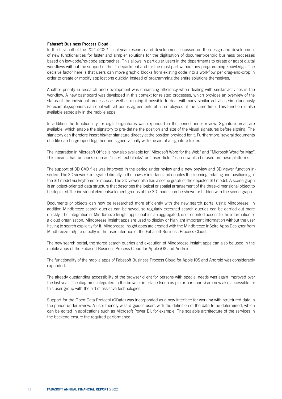# Fabasoft Business Process Cloud

In the first half of the 2021/2022 fiscal year research and development focussed on the design and development of new functionalities for faster and simpler solutions for the digitisation of document-centric business processes based on low-code/no-code approaches. This allows in particular users in the departments to create or adapt digital workflows without the support of the IT department and for the most part without any programming knowledge. The decisive factor here is that users can move graphic blocks from existing code into a workflow per drag-and-drop in order to create or modify applications quickly, instead of programming the entire solutions themselves.

Another priority in research and development was enhancing efficiency when dealing with similar activities in the workflow. A new dashboard was developed in this context for related processes, which provides an overview of the status of the individual processes as well as making it possible to deal withmany similar activities simultaneously. Forexample,superiors can deal with all bonus agreements of all employees at the same time. This function is also available especially in the mobile apps.

In addition the functionality for digital signatures was expanded in the period under review. Signature areas are available, which enable the signatory to pre-define the position and size of the visual signatures before signing. The signatory can therefore insert his/her signature directly at the position provided for it. Furthermore, several documents of a file can be grouped together and signed visually with the aid of a signature folder.

The integration in Microsoft Office is now also available for "Microsoft Word for the Web" and "Microsoft Word for Mac". This means that functions such as "Insert text blocks" or "Insert fields" can now also be used on these platforms.

The support of 3D CAD files was improved in the period under review and a new preview and 3D viewer function inserted. The 3D viewer is integrated directly in the bowser interface and enables the zooming, rotating and positioning of the 3D model via keyboard or mouse. The 3D viewer also has a scene graph of the depicted 3D model. A scene graph is an object-oriented data structure that describes the logical or spatial arrangement of the three-dimensional object to be depicted.The individual elements/element groups of the 3D model can be shown or hidden with the scene graph.

Documents or objects can now be researched more efficiently with the new search portal using Mindbreeze. In addition Mindbreeze search queries can be saved, so regularly executed search queries can be carried out more quickly. The integration of Mindbreeze Insight apps enables an aggregated, user-oriented access to the information of a cloud organisation. Mindbreeze Insight apps are used to display or highlight important information without the user having to search explicitly for it. Mindbreeze Insight apps are created with the Mindbreeze InSpire Apps Designer from Mindbreeze InSpire directly in the user interface of the Fabasoft Business Process Cloud.

The new search portal, the stored search queries and execution of Mindbreeze Insight apps can also be used in the mobile apps of the Fabasoft Business Process Cloud for Apple iOS and Android.

The functionality of the mobile apps of Fabasoft Business Process Cloud for Apple iOS and Android was considerably expanded.

The already outstanding accessibility of the browser client for persons with special needs was again improved over the last year. The diagrams integrated in the browser interface (such as pie or bar charts) are now also accessible for this user group with the aid of assistive technologies.

Support for the Open Data Protocol (OData) was incorporated as a new interface for working with structured data in the period under review. A user-friendly wizard guides users with the definition of the data to be determined, which can be edited in applications such as Microsoft Power BI, for example. The scalable architecture of the services in the backend ensure the required performance.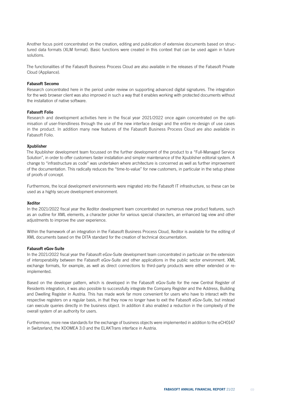Another focus point concentrated on the creation, editing and publication of extensive documents based on structured data formats (XLM format). Basic functions were created in this context that can be used again in future solutions.

The functionalities of the Fabasoft Business Process Cloud are also available in the releases of the Fabasoft Private Cloud (Appliance).

### Fabasoft Secomo

Research concentrated here in the period under review on supporting advanced digital signatures. The integration for the web browser client was also improved in such a way that it enables working with protected documents without the installation of native software.

# Fabasoft Folio

Research and development activities here in the fiscal year 2021/2022 once again concentrated on the optimisation of user-friendliness through the use of the new interface design and the entire re-design of use cases in the product. In addition many new features of the Fabasoft Business Process Cloud are also available in Fabasoft Folio.

### Xpublisher

The Xpublisher development team focussed on the further development of the product to a "Full-Managed Service Solution", in order to offer customers faster installation and simpler maintenance of the Xpublisher editorial system. A change to "infrastructure as code" was undertaken where architecture is concerned as well as further improvement of the documentation. This radically reduces the "time-to-value" for new customers, in particular in the setup phase of proofs of concept.

Furthermore, the local development environments were migrated into the Fabasoft IT infrastructure, so these can be used as a highly secure development environment.

#### Xeditor

In the 2021/2022 fiscal year the Xeditor development team concentrated on numerous new product features, such as an outline for XML elements, a character picker for various special characters, an enhanced tag view and other adjustments to improve the user experience.

Within the framework of an integration in the Fabasoft Business Process Cloud, Xeditor is available for the editing of XML documents based on the DITA standard for the creation of technical documentation.

#### Fabasoft eGov-Suite

In the 2021/2022 fiscal year the Fabasoft eGov-Suite development team concentrated in particular on the extension of interoperability between the Fabasoft eGov-Suite and other applications in the public sector environment. XML exchange formats, for example, as well as direct connections to third-party products were either extended or reimplemented.

Based on the developer pattern, which is developed in the Fabasoft eGov-Suite for the new Central Register of Residents integration, it was also possible to successfully integrate the Company Register and the Address, Building and Dwelling Register in Austria. This has made work far more convenient for users who have to interact with the respective registers on a regular basis, in that they now no longer have to exit the Fabasoft eGov-Suite, but instead can execute queries directly in the business object. In addition it also enabled a reduction in the complexity of the overall system of an authority for users.

Furthermore, more new standards for the exchange of business objects were implemented in addition to the eCH0147 in Switzerland, the XDOMEA 3.0 and the ELAKTrans interface in Austria.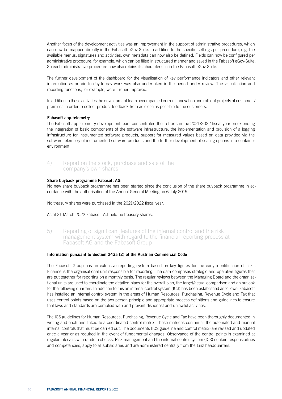Another focus of the development activities was an improvement in the support of administrative procedures, which can now be mapped directly in the Fabasoft eGov-Suite. In addition to the specific settings per procedure, e.g. the available menus, signatures and activities, own metadata can now also be defined. Fields can now be configured per administrative procedure, for example, which can be filled in structured manner and saved in the Fabasoft eGov-Suite. So each administrative procedure now also retains its characteristic in the Fabasoft eGov-Suite.

The further development of the dashboard for the visualisation of key performance indicators and other relevant information as an aid to day-to-day work was also undertaken in the period under review. The visualisation and reporting functions, for example, were further improved.

In addition to these activities the development team accompanied current innovation and roll-out projects at customers' premises in order to collect product feedback from as close as possible to the customers.

### Fabasoft app.telemetry

The Fabasoft app.telemetry development team concentrated their efforts in the 2021/2022 fiscal year on extending the integration of basic components of the software infrastructure, the implementation and provision of a logging infrastructure for instrumented software products, support for measured values based on data provided via the software telemetry of instrumented software products and the further development of scaling options in a container environment.

# 4) Report on the stock, purchase and sale of the company's own shares

#### Share buyback programme Fabasoft AG

No new share buyback programme has been started since the conclusion of the share buyback programme in accordance with the authorisation of the Annual General Meeting on 6 July 2015.

No treasury shares were purchased in the 2021/2022 fiscal year.

As at 31 March 2022 Fabasoft AG held no treasury shares.

5) Reporting of significant features of the internal control and the risk management system with regard to the financial reporting process at Fabasoft AG and the Fabasoft Group

#### Information pursuant to Section 243a (2) of the Austrian Commercial Code

The Fabasoft Group has an extensive reporting system based on key figures for the early identification of risks. Finance is the organisational unit responsible for reporting. The data comprises strategic and operative figures that are put together for reporting on a monthly basis. The regular reviews between the Managing Board and the organisational units are used to coordinate the detailed plans for the overall plan, the target/actual comparison and an outlook for the following quarters. In addition to this an internal control system (ICS) has been established as follows: Fabasoft has installed an internal control system in the areas of Human Resources, Purchasing, Revenue Cycle and Tax that uses control points based on the two person principle and appropriate process definitions and guidelines to ensure that laws and standards are complied with and prevent dishonest and unlawful activities.

The ICS guidelines for Human Resources, Purchasing, Revenue Cycle and Tax have been thoroughly documented in writing and each one linked to a coordinated control matrix. These matrices contain all the automated and manual internal controls that must be carried out. The documents (ICS guideline and control matrix) are revised and updated once a year or as required in the event of fundamental changes. Observance of the control points is examined at regular intervals with random checks. Risk management and the internal control system (ICS) contain responsibilities and competencies, apply to all subsidiaries and are administered centrally from the Linz headquarters.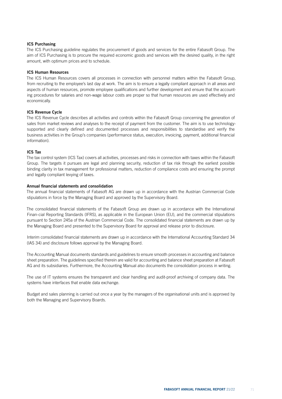# ICS Purchasing

The ICS Purchasing guideline regulates the procurement of goods and services for the entire Fabasoft Group. The aim of ICS Purchasing is to procure the required economic goods and services with the desired quality, in the right amount, with optimum prices and to schedule.

# ICS Human Resources

The ICS Human Resources covers all processes in connection with personnel matters within the Fabasoft Group, from recruiting to the employee's last day at work. The aim is to ensure a legally compliant approach in all areas and aspects of human resources, promote employee qualifications and further development and ensure that the accounting procedures for salaries and non-wage labour costs are proper so that human resources are used effectively and economically.

# ICS Revenue Cycle

The ICS Revenue Cycle describes all activities and controls within the Fabasoft Group concerning the generation of sales from market reviews and analyses to the receipt of payment from the customer. The aim is to use technologysupported and clearly defined and documented processes and responsibilities to standardise and verify the business activities in the Group's companies (performance status, execution, invoicing, payment, additional financial information).

# ICS Tax

The tax control system (ICS Tax) covers all activities, processes and risks in connection with taxes within the Fabasoft Group. The targets it pursues are legal and planning security, reduction of tax risk through the earliest possible binding clarity in tax management for professional matters, reduction of compliance costs and ensuring the prompt and legally compliant levying of taxes.

# Annual financial statements and consolidation

The annual financial statements of Fabasoft AG are drawn up in accordance with the Austrian Commercial Code stipulations in force by the Managing Board and approved by the Supervisory Board.

The consolidated financial statements of the Fabasoft Group are drawn up in accordance with the International Finan-cial Reporting Standards (IFRS), as applicable in the European Union (EU), and the commercial stipulations pursuant to Section 245a of the Austrian Commercial Code. The consolidated financial statements are drawn up by the Managing Board and presented to the Supervisory Board for approval and release prior to disclosure.

Interim consolidated financial statements are drawn up in accordance with the International Accounting Standard 34 (IAS 34) and disclosure follows approval by the Managing Board.

The Accounting Manual documents standards and guidelines to ensure smooth processes in accounting and balance sheet preparation. The guidelines specified therein are valid for accounting and balance sheet preparation at Fabasoft AG and its subsidiaries. Furthermore, the Accounting Manual also documents the consolidation process in writing.

The use of IT systems ensures the transparent and clear handling and audit-proof archiving of company data. The systems have interfaces that enable data exchange.

Budget and sales planning is carried out once a year by the managers of the organisational units and is approved by both the Managing and Supervisory Boards.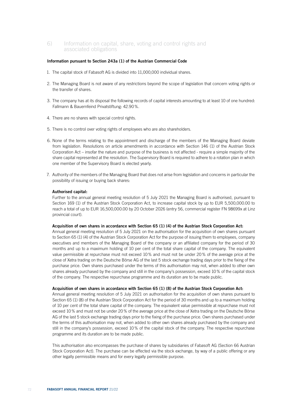# 6) Information on capital, share, voting and control rights and associated obligations

# Information pursuant to Section 243a (1) of the Austrian Commercial Code

- 1. The capital stock of Fabasoft AG is divided into 11,000,000 individual shares.
- 2. The Managing Board is not aware of any restrictions beyond the scope of legislation that concern voting rights or the transfer of shares.
- 3. The company has at its disposal the following records of capital interests amounting to at least 10 of one hundred: Fallmann & Bauernfeind Privatstiftung: 42.90%.
- 4. There are no shares with special control rights.
- 5. There is no control over voting rights of employees who are also shareholders.
- 6. None of the terms relating to the appointment and discharge of the members of the Managing Board deviate from legislation. Resolutions on article amendments in accordance with Section 146 (1) of the Austrian Stock Corporation Act – insofar the nature and purpose of the business is not affected - require a simple majority of the share capital represented at the resolution. The Supervisory Board is required to adhere to a rotation plan in which one member of the Supervisory Board is elected yearly.
- 7. Authority of the members of the Managing Board that does not arise from legislation and concerns in particular the possibility of issuing or buying back shares:

# Authorised capital:

Further to the annual general meeting resolution of 5 July 2021 the Managing Board is authorised, pursuant to Section 169 (1) of the Austrian Stock Corporation Act, to increase capital stock by up to EUR 5,500,000.00 to reach a total of up to EUR 16,500,000.00 by 20 October 2026 (entry 56, commercial register FN 98699x at Linz provincial court).

# Acquisition of own shares in accordance with Section 65 (1) (4) of the Austrian Stock Corporation Act:

Annual general meeting resolution of 5 July 2021 on the authorisation for the acquisition of own shares pursuant to Section 65 (1) (4) of the Austrian Stock Corporation Act for the purpose of issuing them to employees, company executives and members of the Managing Board of the company or an affiliated company for the period of 30 months and up to a maximum holding of 10 per cent of the total share capital of the company. The equivalent value permissible at repurchase must not exceed 10% and must not be under 20% of the average price at the close of Xetra trading on the Deutsche Börse AG of the last 5 stock exchange trading days prior to the fixing of the purchase price. Own shares purchased under the terms of this authorisation may not, when added to other own shares already purchased by the company and still in the company's possession, exceed 10% of the capital stock of the company. The respective repurchase programme and its duration are to be made public.

# Acquisition of own shares in accordance with Section 65 (1) (8) of the Austrian Stock Corporation Act:

Annual general meeting resolution of 5 July 2021 on authorisation for the acquisition of own shares pursuant to Section 65 (1) (8) of the Austrian Stock Corporation Act for the period of 30 months and up to a maximum holding of 10 per cent of the total share capital of the company. The equivalent value permissible at repurchase must not exceed 10% and must not be under 20% of the average price at the close of Xetra trading on the Deutsche Börse AG of the last 5 stock exchange trading days prior to the fixing of the purchase price. Own shares purchased under the terms of this authorisation may not, when added to other own shares already purchased by the company and still in the company's possession, exceed 10% of the capital stock of the company. The respective repurchase programme and its duration are to be made public.

This authorisation also encompasses the purchase of shares by subsidiaries of Fabasoft AG (Section 66 Austrian Stock Corporation Act). The purchase can be effected via the stock exchange, by way of a public offering or any other legally permissible means and for every legally permissible purpose.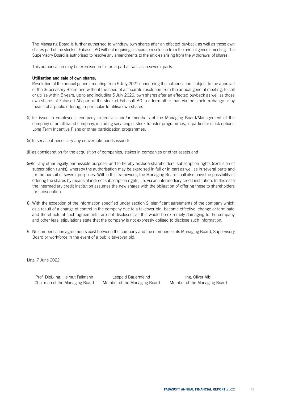The Managing Board is further authorised to withdraw own shares after an effected buyback as well as those own shares part of the stock of Fabasoft AG without requiring a separate resolution from the annual general meeting. The Supervisory Board is authorised to resolve any amendments to the articles arising from the withdrawal of shares.

This authorisation may be exercised in full or in part as well as in several parts.

### Utilisation and sale of own shares:

Resolution of the annual general meeting from 5 July 2021 concerning the authorisation, subject to the approval of the Supervisory Board and without the need of a separate resolution from the annual general meeting, to sell or utilise within 5 years, up to and including 5 July 2026, own shares after an effected buyback as well as those own shares of Fabasoft AG part of the stock of Fabasoft AG in a form other than via the stock exchange or by means of a public offering, in particular to utilise own shares

- (i) for issue to employees, company executives and/or members of the Managing Board/Management of the company or an affiliated company, including servicing of stock transfer programmes, in particular stock options, Long Term Incentive Plans or other participation programmes;
- (ii) to service if necessary any convertible bonds issued;
- (iii)as consideration for the acquisition of companies, stakes in companies or other assets and
- (iv)for any other legally permissible purpose; and to hereby exclude shareholders' subscription rights (exclusion of subscription rights), whereby the authorisation may be exercised in full or in part as well as in several parts and for the pursuit of several purposes. Within this framework, the Managing Board shall also have the possibility of offering the shares by means of indirect subscription rights, i.e. via an intermediary credit institution. In this case the intermediary credit institution assumes the new shares with the obligation of offering these to shareholders for subscription.
- 8. With the exception of the information specified under section 9, significant agreements of the company which, as a result of a change of control in the company due to a takeover bid, become effective, change or terminate, and the effects of such agreements, are not disclosed, as this would be extremely damaging to the company, and other legal stipulations state that the company is not expressly obliged to disclose such information.
- 9. No compensation agreements exist between the company and the members of its Managing Board, Supervisory Board or workforce in the event of a public takeover bid.

Linz, 7 June 2022

Prof. Dipl.-Ing. Helmut Fallmann Chairman of the Managing Board

Leopold Bauernfeind Member of the Managing Board

Ing. Oliver Albl Member of the Managing Board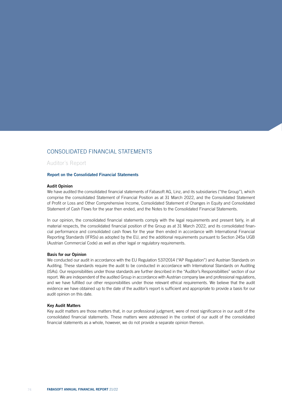# CONSOLIDATED FINANCIAL STATEMENTS

Auditor´s Report

### Report on the Consolidated Financial Statements

#### Audit Opinion

We have audited the consolidated financial statements of Fabasoft AG, Linz, and its subsidiaries ("the Group"), which comprise the consolidated Statement of Financial Position as at 31 March 2022, and the Consolidated Statement of Profit or Loss and Other Comprehensive Income, Consolidated Statement of Changes in Equity and Consolidated Statement of Cash Flows for the year then ended, and the Notes to the Consolidated Financial Statements.

In our opinion, the consolidated financial statements comply with the legal requirements and present fairly, in all material respects, the consolidated financial position of the Group as at 31 March 2022, and its consolidated financial performance and consolidated cash flows for the year then ended in accordance with International Financial Reporting Standards (IFRSs) as adopted by the EU, and the additional requirements pursuant to Section 245a UGB (Austrian Commercial Code) as well as other legal or regulatory requirements.

#### Basis for our Opinion

We conducted our audit in accordance with the EU Regulation 537/2014 ("AP Regulation") and Austrian Standards on Auditing. These standards require the audit to be conducted in accordance with International Standards on Auditing (ISAs). Our responsibilities under those standards are further described in the "Auditor's Responsibilities" section of our report. We are independent of the audited Group in accordance with Austrian company law and professional regulations, and we have fulfilled our other responsibilities under those relevant ethical requirements. We believe that the audit evidence we have obtained up to the date of the auditor's report is sufficient and appropriate to provide a basis for our audit opinion on this date.

#### Key Audit Matters

Key audit matters are those matters that, in our professional judgment, were of most significance in our audit of the consolidated financial statements. These matters were addressed in the context of our audit of the consolidated financial statements as a whole, however, we do not provide a separate opinion thereon.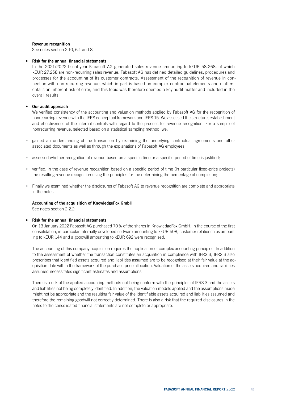#### Revenue recognition

See notes section 2.10, 6.1 and 8

#### • Risk for the annual financial statements

In the 2021/2022 fiscal year Fabasoft AG generated sales revenue amounting to kEUR 58,268, of which kEUR 27,258 are non-recurring sales revenue. Fabasoft AG has defined detailed guidelines, procedures and processes for the accounting of its customer contracts. Assessment of the recognition of revenue in connection with non-recurring revenue, which in part is based on complex contractual elements and matters, entails an inherent risk of error, and this topic was therefore deemed a key audit matter and included in the overall results.

### • Our audit approach

We verified consistency of the accounting and valuation methods applied by Fabasoft AG for the recognition of nonrecurring revenue with the IFRS conceptual framework and IFRS 15. We assessed the structure, establishment and effectiveness of the internal controls with regard to the process for revenue recognition. For a sample of nonrecurring revenue, selected based on a statistical sampling method, we:

- gained an understanding of the transaction by examining the underlying contractual agreements and other associated documents as well as through the explanations of Fabasoft AG employees;
- assessed whether recognition of revenue based on a specific time or a specific period of time is justified;
- verified, in the case of revenue recognition based on a specific period of time (in particular fixed-price projects) the resulting revenue recognition using the principles for the determining the percentage of completion;
- Finally we examined whether the disclosures of Fabasoft AG to revenue recognition are complete and appropriate in the notes.

#### Accounting of the acquisition of KnowledgeFox GmbH

See notes section 2.2.2

### • Risk for the annual financial statements

On 13 January 2022 Fabasoft AG purchased 70% of the shares in KnowledgeFox GmbH. In the course of the first consolidation, in particular internally developed software amounting to kEUR 508, customer relationships amounting to kEUR 144 and a goodwill amounting to kEUR 692 were recognised.

The accounting of this company acquisition requires the application of complex accounting principles. In addition to the assessment of whether the transaction constitutes an acquisition in compliance with IFRS 3, IFRS 3 also prescribes that identified assets acquired and liabilities assumed are to be recognised at their fair value at the acquisition date within the framework of the purchase price allocation. Valuation of the assets acquired and liabilities assumed necessitates significant estimates and assumptions.

There is a risk of the applied accounting methods not being conform with the principles of IFRS 3 and the assets and liabilities not being completely identified. In addition, the valuation models applied and the assumptions made might not be appropriate and the resulting fair value of the identifiable assets acquired and liabilities assumed and therefore the remaining goodwill not correctly determined. There is also a risk that the required disclosures in the notes to the consolidated financial statements are not complete or appropriate.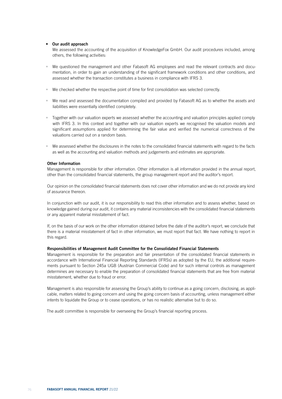### • Our audit approach

We assessed the accounting of the acquisition of KnowledgeFox GmbH. Our audit procedures included, among others, the following activities:

- We questioned the management and other Fabasoft AG employees and read the relevant contracts and documentation, in order to gain an understanding of the significant framework conditions and other conditions, and assessed whether the transaction constitutes a business in compliance with IFRS 3.
- We checked whether the respective point of time for first consolidation was selected correctly.
- We read and assessed the documentation compiled and provided by Fabasoft AG as to whether the assets and liabilities were essentially identified completely.
- Together with our valuation experts we assessed whether the accounting and valuation principles applied comply with IFRS 3. In this context and together with our valuation experts we recognised the valuation models and significant assumptions applied for determining the fair value and verified the numerical correctness of the valuations carried out on a random basis.
- We assessed whether the disclosures in the notes to the consolidated financial statements with regard to the facts as well as the accounting and valuation methods and judgements and estimates are appropriate.

### Other Information

Management is responsible for other information. Other information is all information provided in the annual report, other than the consolidated financial statements, the group management report and the auditor's report.

Our opinion on the consolidated financial statements does not cover other information and we do not provide any kind of assurance thereon.

In conjunction with our audit, it is our responsibility to read this other information and to assess whether, based on knowledge gained during our audit, it contains any material inconsistencies with the consolidated financial statements or any apparent material misstatement of fact.

If, on the basis of our work on the other information obtained before the date of the auditor's report, we conclude that there is a material misstatement of fact in other information, we must report that fact. We have nothing to report in this regard.

### Responsibilities of Management Audit Committee for the Consolidated Financial Statements

Management is responsible for the preparation and fair presentation of the consolidated financial statements in accordance with International Financial Reporting Standards (IFRSs) as adopted by the EU, the additional requirements pursuant to Section 245a UGB (Austrian Commercial Code) and for such internal controls as management determines are necessary to enable the preparation of consolidated financial statements that are free from material misstatement, whether due to fraud or error.

Management is also responsible for assessing the Group's ability to continue as a going concern, disclosing, as applicable, matters related to going concern and using the going concern basis of accounting, unless management either intents to liquidate the Group or to cease operations, or has no realistic alternative but to do so.

The audit committee is responsible for overseeing the Group's financial reporting process.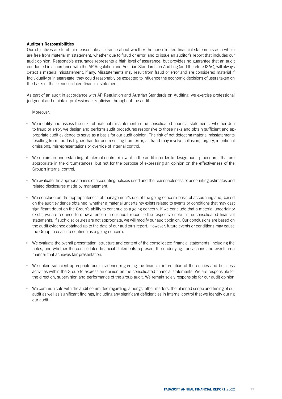### Auditor's Responsibilities

Our objectives are to obtain reasonable assurance about whether the consolidated financial statements as a whole are free from material misstatement, whether due to fraud or error, and to issue an auditor's report that includes our audit opinion. Reasonable assurance represents a high level of assurance, but provides no guarantee that an audit conducted in accordance with the AP Regulation and Austrian Standards on Auditing (and therefore ISAs), will always detect a material misstatement, if any. Misstatements may result from fraud or error and are considered material if, individually or in aggregate, they could reasonably be expected to influence the economic decisions of users taken on the basis of these consolidated financial statements.

As part of an audit in accordance with AP Regulation and Austrian Standards on Auditing, we exercise professional judgment and maintain professional skepticism throughout the audit.

### Moreover:

- We identify and assess the risks of material misstatement in the consolidated financial statements, whether due to fraud or error, we design and perform audit procedures responsive to those risks and obtain sufficient and appropriate audit evidence to serve as a basis for our audit opinion. The risk of not detecting material misstatements resulting from fraud is higher than for one resulting from error, as fraud may involve collusion, forgery, intentional omissions, misrepresentations or override of internal control.
- We obtain an understanding of internal control relevant to the audit in order to design audit procedures that are appropriate in the circumstances, but not for the purpose of expressing an opinion on the effectiveness of the Group's internal control.
- We evaluate the appropriateness of accounting policies used and the reasonableness of accounting estimates and related disclosures made by management.
- We conclude on the appropriateness of management's use of the going concern basis of accounting and, based on the audit evidence obtained, whether a material uncertainty exists related to events or conditions that may cast significant doubt on the Group's ability to continue as a going concern. If we conclude that a material uncertainty exists, we are required to draw attention in our audit report to the respective note in the consolidated financial statements. If such disclosures are not appropriate, we will modify our audit opinion. Our conclusions are based on the audit evidence obtained up to the date of our auditor's report. However, future events or conditions may cause the Group to cease to continue as a going concern.
- We evaluate the overall presentation, structure and content of the consolidated financial statements, including the notes, and whether the consolidated financial statements represent the underlying transactions and events in a manner that achieves fair presentation.
- We obtain sufficient appropriate audit evidence regarding the financial information of the entities and business activities within the Group to express an opinion on the consolidated financial statements. We are responsible for the direction, supervision and performance of the group audit. We remain solely responsible for our audit opinion.
- We communicate with the audit committee regarding, amongst other matters, the planned scope and timing of our audit as well as significant findings, including any significant deficiencies in internal control that we identify during our audit.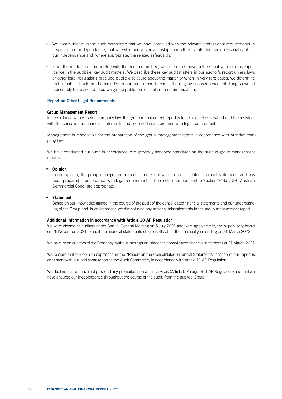- We communicate to the audit committee that we have complied with the relevant professional requirements in respect of our independence, that we will report any relationships and other events that could reasonably affect our independence and, where appropriate, the related safeguards.
- From the matters communicated with the audit committee, we determine those matters that were of most significance in the audit i.e. key audit matters. We describe these key audit matters in our auditor's report unless laws or other legal regulations preclude public disclosure about the matter or when in very rare cases, we determine that a matter should not be included in our audit report because the negative consequences of doing so would reasonably be expected to outweigh the public benefits of such communication.

#### Report on Other Legal Requirements

#### Group Management Report

In accordance with Austrian company law, the group management report is to be audited as to whether it is consistent with the consolidated financial statements and prepared in accordance with legal requirements.

Management is responsible for the preparation of the group management report in accordance with Austrian company law.

We have conducted our audit in accordance with generally accepted standards on the audit of group management reports.

#### • Opinion

In our opinion, the group management report is consistent with the consolidated financial statements and has been prepared in accordance with legal requirements. The disclosures pursuant to Section 243a UGB (Austrian Commercial Code) are appropriate.

#### • Statement

Based on our knowledge gained in the course of the audit of the consolidated financial statements and our understanding of the Group and its environment, we did not note any material misstatements in the group management report.

#### Additional Information in accordance with Article 10 AP Regulation

We were elected as auditors at the Annual General Meeting on 5 July 2021 and were appointed by the supervisory board on 26 November 2021 to audit the financial statements of Fabasoft AG for the financial year ending on 31 March 2022.

We have been auditors of the Company, without interruption, since the consolidated financial statements at 31 March 2021.

We declare that our opinion expressed in the "Report on the Consolidated Financial Statements" section of our report is consistent with our additional report to the Audit Committee, in accordance with Article 11 AP Regulation.

We declare that we have not provided any prohibited non-audit services (Article 5 Paragraph 1 AP Regulation) and that we have ensured our independence throughout the course of the audit, from the audited Group.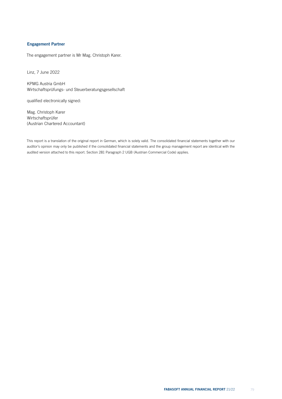## Engagement Partner

The engagement partner is Mr Mag. Christoph Karer.

Linz, 7 June 2022

KPMG Austria GmbH Wirtschaftsprüfungs- und Steuerberatungsgesellschaft

qualified electronically signed:

Mag. Christoph Karer Wirtschaftsprüfer (Austrian Chartered Accountant)

This report is a translation of the original report in German, which is solely valid. The consolidated financial statements together with our auditor's opinion may only be published if the consolidated financial statements and the group management report are identical with the audited version attached to this report. Section 281 Paragraph 2 UGB (Austrian Commercial Code) applies.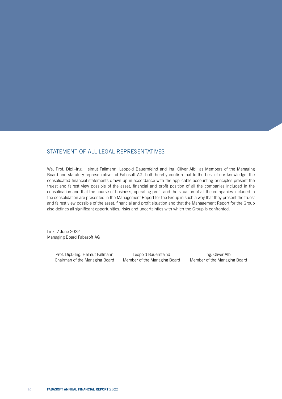# STATEMENT OF ALL LEGAL REPRESENTATIVES

We, Prof. Dipl.-Ing. Helmut Fallmann, Leopold Bauernfeind and Ing. Oliver Albl, as Members of the Managing Board and statutory representatives of Fabasoft AG, both hereby confirm that to the best of our knowledge, the consolidated financial statements drawn up in accordance with the applicable accounting principles present the truest and fairest view possible of the asset, financial and profit position of all the companies included in the consolidation and that the course of business, operating profit and the situation of all the companies included in the consolidation are presented in the Management Report for the Group in such a way that they present the truest and fairest view possible of the asset, financial and profit situation and that the Management Report for the Group also defines all significant opportunities, risks and uncertainties with which the Group is confronted.

Linz, 7 June 2022 Managing Board Fabasoft AG

> Prof. Dipl.-Ing. Helmut Fallmann Chairman of the Managing Board

Leopold Bauernfeind Member of the Managing Board

Ing. Oliver Albl Member of the Managing Board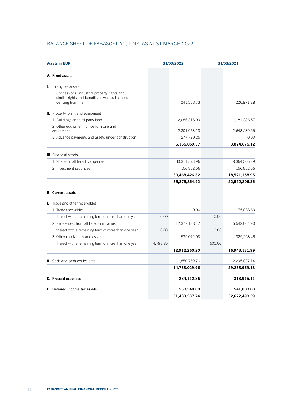# BALANCE SHEET OF FABASOFT AG, LINZ, AS AT 31 MARCH 2022

| <b>Assets in EUR</b>                                                                                                 |          | 31/03/2022    | 31/03/2021 |               |
|----------------------------------------------------------------------------------------------------------------------|----------|---------------|------------|---------------|
| A. Fixed assets                                                                                                      |          |               |            |               |
| I. Intangible assets                                                                                                 |          |               |            |               |
| Concessions, industrial property rights and<br>similar rights and benefits as well as licenses<br>deriving from them |          | 241,358.73    |            | 226,971.28    |
| II. Property, plant and equipment                                                                                    |          |               |            |               |
| 1. Buildings on third-party land                                                                                     |          | 2,086,316.09  |            | 1,181,386.57  |
| 2. Other equipment, office furniture and<br>equipment                                                                |          | 2,801,963.23  |            | 2,643,289.55  |
| 3. Advance payments and assets under construction                                                                    |          | 277,790.25    |            | 0.00          |
|                                                                                                                      |          | 5,166,069.57  |            | 3,824,676.12  |
| III. Financial assets                                                                                                |          |               |            |               |
| 1. Shares in affiliated companies                                                                                    |          | 30,311,573.96 |            | 18,364,306.29 |
| 2. Investment securities                                                                                             |          | 156,852.66    |            | 156,852.66    |
|                                                                                                                      |          | 30,468,426.62 |            | 18,521,158.95 |
|                                                                                                                      |          | 35,875,854.92 |            | 22,572,806.35 |
| <b>B.</b> Current assets                                                                                             |          |               |            |               |
| I. Trade and other receivables                                                                                       |          |               |            |               |
| 1. Trade receivables                                                                                                 |          | 0.00          |            | 75,828.63     |
| thereof with a remaining term of more than one year                                                                  | 0.00     |               | 0.00       |               |
| 2. Receivables from affiliated companies                                                                             |          | 12,377,188.17 |            | 16,542,004.90 |
| thereof with a remaining term of more than one year                                                                  | 0.00     |               | 0.00       |               |
| 3. Other receivables and assets                                                                                      |          | 535,072.03    |            | 325,298.46    |
| thereof with a remaining term of more than one year                                                                  | 4,798.80 |               | 500.00     |               |
|                                                                                                                      |          | 12,912,260.20 |            | 16,943,131.99 |
| II. Cash and cash equivalents                                                                                        |          | 1,850,769.76  |            | 12,295,837.14 |
|                                                                                                                      |          | 14,763,029.96 |            | 29,238,969.13 |
| C. Prepaid expenses                                                                                                  |          | 284,112.86    |            | 318,915.11    |
| D. Deferred income tax assets                                                                                        |          | 560,540.00    |            | 541,800.00    |
|                                                                                                                      |          | 51,483,537.74 |            | 52,672,490.59 |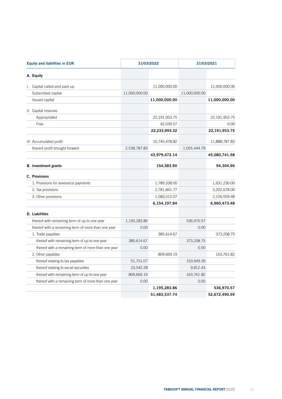| <b>Equity and liabilities in EUR</b>                | 31/03/2022    |                  | 31/03/2021    |               |
|-----------------------------------------------------|---------------|------------------|---------------|---------------|
| A. Equity                                           |               |                  |               |               |
| I. Capital called and paid-up                       |               | 11,000,000.00    |               | 11,000,000.00 |
| Subscribed capital                                  | 11,000,000.00 |                  | 11,000,000.00 |               |
| Issued capital                                      |               | 11,000,000.00    |               | 11,000,000.00 |
| II. Capital reserves                                |               |                  |               |               |
| Appropriated                                        |               | 22, 191, 953. 75 |               | 22,191,953.75 |
| Free                                                |               | 42,039.57        |               | 0.00          |
|                                                     |               | 22,233,993.32    |               | 22,191,953.75 |
| III. Accumulated profit                             |               | 10,745,478.82    |               | 11,888,787.83 |
| thereof profit brought forward                      | 2,538,787.83  |                  | 1,055,444.79  |               |
|                                                     |               | 43,979,472.14    |               | 45,080,741.58 |
| <b>B.</b> Investment grants                         |               | 154,583.90       |               | 94,304.96     |
| C. Provisions                                       |               |                  |               |               |
| 1. Provisions for severance payments                |               | 1,789,338.00     |               | 1,631,236.00  |
| 2. Tax provisions                                   |               | 2,781,841.77     |               | 3,202,678.00  |
| 3. Other provisions                                 |               | 1,583,012.07     |               | 2,126,559.48  |
|                                                     |               | 6,154,197.84     |               | 6,960,473.48  |
| <b>D.</b> Liabilities                               |               |                  |               |               |
| thereof with remaining term of up to one year       | 1,195,283.86  |                  | 536,970.57    |               |
| thereof with a remaining term of more than one year | 0.00          |                  | 0.00          |               |
| 1. Trade payables                                   |               | 385,614.67       |               | 373,208.75    |
| thereof with remaining term of up to one year       | 385,614.67    |                  | 373,208.75    |               |
| thereof with a remaining term of more than one year | 0.00          |                  | 0.00          |               |
| 2. Other payables                                   |               | 809,669.19       |               | 163,761.82    |
| thereof relating to tax payables                    | 51,751.07     |                  | 153,949.39    |               |
| thereof relating to social securities               | 10,542.28     |                  | 9,812.43      |               |
| thereof with remaining term of up to one year       | 809,669.19    |                  | 163,761.82    |               |
| thereof with a remaining term of more than one year | 0.00          |                  | 0.00          |               |
|                                                     |               | 1,195,283.86     |               | 536,970.57    |
|                                                     |               | 51,483,537.74    |               | 52,672,490.59 |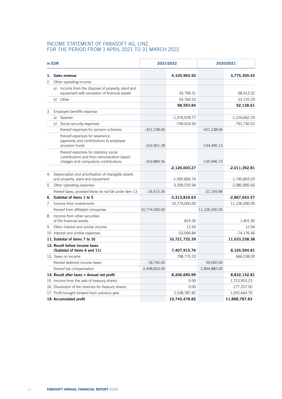## INCOME STATEMENT OF FABASOFT AG, LINZ, FOR THE PERIOD FROM 1 APRIL 2021 TO 31 MARCH 2022

| in EUR |                                                                                                                            | 2021/2022     |                 | 2020/2021     |                 |
|--------|----------------------------------------------------------------------------------------------------------------------------|---------------|-----------------|---------------|-----------------|
|        | 1. Sales revenue                                                                                                           |               | 4,105,965.50    |               | 3,775,309.43    |
| 2.     | Other operating income                                                                                                     |               |                 |               |                 |
|        | a) Income from the disposal of property, plant and                                                                         |               |                 |               |                 |
|        | equipment with exception of financial assets                                                                               |               | 43,799.31       |               | 68,413.32       |
|        | b)<br>Other                                                                                                                |               | 54,794.53       |               | 23,725.29       |
|        |                                                                                                                            |               | 98,593.84       |               | 92,138.61       |
| 3.     | Employee benefits expense                                                                                                  |               |                 |               |                 |
|        | Salaries<br>a)                                                                                                             |               | $-1,376,978.77$ |               | $-1,219,662.29$ |
|        | b) Social security expenses                                                                                                |               | -749,024.50     |               | -791,730.52     |
|        | thereof expenses for pension schemes                                                                                       | $-421,238.66$ |                 | -421,238.66   |                 |
|        | thereof expenses for severance<br>payments and contributions to employee<br>provision funds                                | $-163,901.28$ |                 | $-234,495.13$ |                 |
|        | thereof expenses for statutory social<br>contributions and from remuneration-based<br>charges and compulsory contributions | $-163,884.56$ |                 | -135,996.73   |                 |
|        |                                                                                                                            |               | $-2,126,003.27$ |               | $-2,011,392.81$ |
|        | 4. Depreciation and amortisation of intangible assets<br>and property, plant and equipment                                 |               | $-1,992,836.76$ |               | $-1,740,803.20$ |
| 5.     | Other operating expenses                                                                                                   |               | $-3,399,535.94$ |               | $-2,982,895.60$ |
|        | thereof taxes, provided these do not fall under item 13                                                                    | $-24,615.30$  |                 | $-22,169.84$  |                 |
|        | 6. Subtotal of items 1 to 5                                                                                                |               | $-3,313,816.63$ |               | $-2,867,643.57$ |
|        | 7. Income from investments                                                                                                 |               | 10,774,000.00   |               | 11,106,000.00   |
|        | thereof from affiliated companies                                                                                          | 10,774,000.00 |                 | 11,106,000.00 |                 |
| 8.     | Income from other securities<br>of the financial assets                                                                    |               | 819.30          |               | 1,401.90        |
|        | 9. Other interest and similar income                                                                                       |               | 12.93           |               | 12.94           |
|        | 10. Interest and similar expenses                                                                                          |               | $-53,099.84$    |               | $-74,176.46$    |
|        | 11. Subtotal of items 7 to 10                                                                                              |               | 10,721,732.39   |               | 11,033,238.38   |
|        | 12. Result before income taxes<br>(Subtotal of items 6 and 11)                                                             |               | 7,407,915.76    |               | 8,165,594.81    |
|        | 13. Taxes on income                                                                                                        |               | 798,775.23      |               | 666,538.00      |
|        | thereof deferred income taxes                                                                                              | 18,740.00     |                 | 59,000.00     |                 |
|        | thereof tax compensation                                                                                                   | 2,448,824.00  |                 | 2,894,885.00  |                 |
|        | 14. Result after taxes = Annual net profit                                                                                 |               | 8,206,690.99    |               | 8,832,132.81    |
|        | 15. Income from the sale of treasury shares                                                                                |               | 0.00            |               | 1,723,953.23    |
|        | 16. Dissolution of the reserves for treasury shares                                                                        |               | 0.00            |               | 277,257.00      |
|        | 17. Profit brought forward from previous year                                                                              |               | 2,538,787.82    |               | 1,055,444.79    |
|        | 18. Accumulated profit                                                                                                     |               | 10,745,478.82   |               | 11,888,787.83   |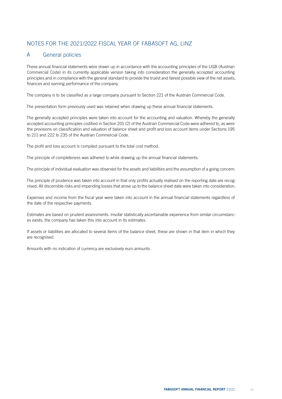# NOTES FOR THE 2021/2022 FISCAL YEAR OF FABASOFT AG, LINZ

# A General policies

These annual financial statements were drawn up in accordance with the accounting principles of the UGB (Austrian Commercial Code) in its currently applicable version taking into consideration the generally accepted accounting principles and in compliance with the general standard to provide the truest and fairest possible view of the net assets, finances and earning performance of the company.

The company is to be classified as a large company pursuant to Section 221 of the Austrian Commercial Code.

The presentation form previously used was retained when drawing up these annual financial statements.

The generally accepted principles were taken into account for the accounting and valuation. Whereby the generally accepted accounting principles codified in Section 201 (2) of the Austrian Commercial Code were adhered to, as were the provisions on classification and valuation of balance sheet and profit and loss account items under Sections 195 to 211 and 222 to 235 of the Austrian Commercial Code.

The profit and loss account is compiled pursuant to the total cost method.

The principle of completeness was adhered to while drawing up the annual financial statements.

The principle of individual evaluation was observed for the assets and liabilities and the assumption of a going concern.

The principle of prudence was taken into account in that only profits actually realised on the reporting date are recognised. All discernible risks and impending losses that arose up to the balance sheet date were taken into consideration.

Expenses and income from the fiscal year were taken into account in the annual financial statements regardless of the date of the respective payments.

Estimates are based on prudent assessments. Insofar statistically ascertainable experience from similar circumstances exists, the company has taken this into account in its estimates.

If assets or liabilities are allocated to several items of the balance sheet, these are shown in that item in which they are recognised.

Amounts with no indication of currency are exclusively euro amounts.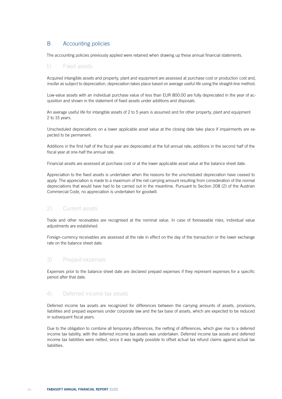# B Accounting policies

The accounting policies previously applied were retained when drawing up these annual financial statements.

## 1) Fixed assets

Acquired intangible assets and property, plant and equipment are assessed at purchase cost or production cost and, insofar as subject to depreciation, depreciation takes place based on average useful life using the straight-line method.

Low-value assets with an individual purchase value of less than EUR 800.00 are fully depreciated in the year of acquisition and shown in the statement of fixed assets under additions and disposals.

An average useful life for intangible assets of 2 to 5 years is assumed and for other property, plant and equipment 2 to 15 years.

Unscheduled depreciations on a lower applicable asset value at the closing date take place if impairments are expected to be permanent.

Additions in the first half of the fiscal year are depreciated at the full annual rate; additions in the second half of the fiscal year at one-half the annual rate.

Financial assets are assessed at purchase cost or at the lower applicable asset value at the balance sheet date.

Appreciation to the fixed assets is undertaken when the reasons for the unscheduled depreciation have ceased to apply. The appreciation is made to a maximum of the net carrying amount resulting from consideration of the normal depreciations that would have had to be carried out in the meantime. Pursuant to Section 208 (2) of the Austrian Commercial Code, no appreciation is undertaken for goodwill.

# 2) Current assets

Trade and other receivables are recognised at the nominal value. In case of foreseeable risks, individual value adiustments are established.

Foreign-currency receivables are assessed at the rate in effect on the day of the transaction or the lower exchange rate on the balance sheet date.

## 3) Prepaid expenses

Expenses prior to the balance sheet date are declared prepaid expenses if they represent expenses for a specific period after that date.

## 4) Deferred income tax assets

Deferred income tax assets are recognized for differences between the carrying amounts of assets, provisions, liabilities and prepaid expenses under corporate law and the tax base of assets, which are expected to be reduced in subsequent fiscal years.

Due to the obligation to combine all temporary differences, the netting of differences, which give rise to a deferred income tax liability, with the deferred income tax assets was undertaken. Deferred income tax assets and deferred income tax liabilities were netted, since it was legally possible to offset actual tax refund claims against actual tax liabilities.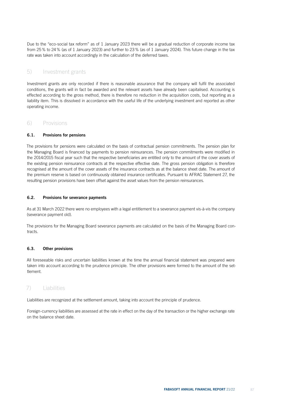Due to the "eco-social tax reform" as of 1 January 2023 there will be a gradual reduction of corporate income tax from 25% to 24% (as of 1 January 2023) and further to 23% (as of 1 January 2024). This future change in the tax rate was taken into account accordingly in the calculation of the deferred taxes.

# 5) Investment grants

Investment grants are only recorded if there is reasonable assurance that the company will fulfil the associated conditions, the grants will in fact be awarded and the relevant assets have already been capitalised. Accounting is effected according to the gross method, there is therefore no reduction in the acquisition costs, but reporting as a liability item. This is dissolved in accordance with the useful life of the underlying investment and reported as other operating income.

## 6) Provisions

## 6.1. Provisions for pensions

The provisions for pensions were calculated on the basis of contractual pension commitments. The pension plan for the Managing Board is financed by payments to pension reinsurances. The pension commitments were modified in the 2014/2015 fiscal year such that the respective beneficiaries are entitled only to the amount of the cover assets of the existing pension reinsurance contracts at the respective effective date. The gross pension obligation is therefore recognised at the amount of the cover assets of the insurance contracts as at the balance sheet date. The amount of the premium reserve is based on continuously obtained insurance certificates. Pursuant to AFRAC Statement 27, the resulting pension provisions have been offset against the asset values from the pension reinsurances.

## 6.2. Provisions for severance payments

As at 31 March 2022 there were no employees with a legal entitlement to a severance payment vis-à-vis the company (severance payment old).

The provisions for the Managing Board severance payments are calculated on the basis of the Managing Board contracts.

## 6.3. Other provisions

All foreseeable risks and uncertain liabilities known at the time the annual financial statement was prepared were taken into account according to the prudence principle. The other provisions were formed to the amount of the settlement.

# 7) Liabilities

Liabilities are recognized at the settlement amount, taking into account the principle of prudence.

Foreign-currency liabilities are assessed at the rate in effect on the day of the transaction or the higher exchange rate on the balance sheet date.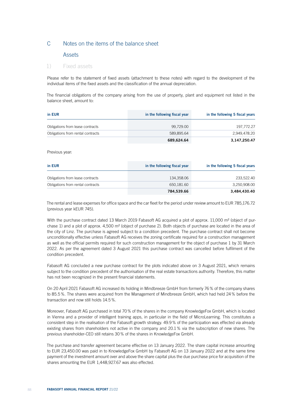# C Notes on the items of the balance sheet

## **Assets**

## 1) Fixed assets

Please refer to the statement of fixed assets (attachment to these notes) with regard to the development of the individual items of the fixed assets and the classification of the annual depreciation.

The financial obligations of the company arising from the use of property, plant and equipment not listed in the balance sheet, amount to:

| in EUR                            | in the following fiscal year | in the following 5 fiscal years |
|-----------------------------------|------------------------------|---------------------------------|
| Obligations from lease contracts  | 99.729.00                    | 197.772.27                      |
| Obligations from rental contracts | 589.895.64                   | 2.949.478.20                    |
|                                   | 689,624.64                   | 3,147,250.47                    |

Previous year:

| in EUR                            | in the following fiscal year | in the following 5 fiscal years |
|-----------------------------------|------------------------------|---------------------------------|
| Obligations from lease contracts  | 134.358.06                   | 233,522.40                      |
| Obligations from rental contracts | 650.181.60                   | 3,250,908.00                    |
|                                   | 784.539.66                   | 3.484.430.40                    |

The rental and lease expenses for office space and the car fleet for the period under review amount to EUR 785,176.72 (previous year kEUR 745).

With the purchase contract dated 13 March 2019 Fabasoft AG acquired a plot of approx. 11,000 m<sup>2</sup> (object of purchase 1) and a plot of approx. 4,500 m<sup>2</sup> (object of purchase 2). Both objects of purchase are located in the area of the city of Linz. The purchase is agreed subject to a condition precedent. The purchase contract shall not become unconditionally effective unless Fabasoft AG receives the zoning certificate required for a construction management as well as the official permits required for such construction management for the object of purchase 1 by 31 March 2022. As per the agreement dated 3 August 2021 this purchase contract was cancelled before fulfilment of the condition precedent.

Fabasoft AG concluded a new purchase contract for the plots indicated above on 3 August 2021, which remains subject to the condition precedent of the authorisation of the real estate transactions authority. Therefore, this matter has not been recognized in the present financial statements.

On 20 April 2021 Fabasoft AG increased its holding in Mindbreeze GmbH from formerly 76% of the company shares to 85.5%. The shares were acquired from the Management of Mindbreeze GmbH, which had held 24% before the transaction and now still holds 14.5%.

Moreover, Fabasoft AG purchased in total 70% of the shares in the company KnowledgeFox GmbH, which is located in Vienna and a provider of intelligent training apps, in particular in the field of MicroLearning. This constitutes a consistent step in the realisation of the Fabasoft growth strategy. 49.9% of the participation was effected via already existing shares from shareholders not active in the company and 20.1% via the subscription of new shares. The previous shareholder-CEO still retains 30% of the shares in KnowledgeFox GmbH.

The purchase and transfer agreement became effective on 13 January 2022. The share capital increase amounting to EUR 23,450.00 was paid in to KnowledgeFox GmbH by Fabasoft AG on 13 January 2022 and at the same time payment of the investment amount over and above the share capital plus the due purchase price for acquisition of the shares amounting the EUR 1,448,927.67 was also effected.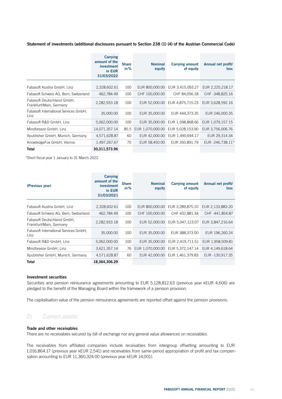### Statement of investments (additional disclosures pursuant to Section 238 (1) (4) of the Austrian Commercial Code)

|                                                       | <b>Carrying</b><br>amount of the<br>investment<br>in EUR<br>31/03/2022 | <b>Share</b><br>in % | <b>Nominal</b><br>equity | <b>Carrying amount</b><br>of equity | Annual net profit/<br>loss |
|-------------------------------------------------------|------------------------------------------------------------------------|----------------------|--------------------------|-------------------------------------|----------------------------|
| Fabasoft Austria GmbH, Linz                           | 2,328,602.61                                                           | 100                  | EUR 800,000.00           | EUR 3,415,093.27                    | EUR 2,225,218.17           |
| Fabasoft Schweiz AG, Bern, Switzerland                | 462,784.49                                                             | 100                  | CHF 100,000.00           | CHF 84,056.18                       | CHF-348,825.16             |
| Fabasoft Deutschland GmbH,<br>Frankfurt/Main, Germany | 2,282,933.18                                                           | 100                  | EUR 52,000.00            | EUR 4,875,715.23                    | EUR 3,628,592.16           |
| Fabasoft International Services GmbH,<br>Linz         | 35,000.00                                                              | 100                  | EUR 35,000.00            | EUR 444,373.35                      | EUR 246,000.35             |
| Fabasoft R&D GmbH, Linz                               | 5,062,000.00                                                           | 100                  | EUR 35,000.00            | EUR 1,598,868.66                    | EUR 1,079,157.15           |
| Mindbreeze GmbH, Linz                                 | 14,071,357.14                                                          | 85.5                 | EUR 1,070,000.00         | EUR 5,028,153.90                    | EUR 3,756,006.76           |
| Xpublisher GmbH, Munich, Germany                      | 4,571,628.87                                                           | 60                   | EUR 42,000.00            | EUR 1,490,694.17                    | EUR 29,314.34              |
| KnowledgeFox GmbH, Vienna                             | 1,497,267,67                                                           | 70                   | EUR 58,450.00            | EUR 350,891.79                      | EUR -246,738.11*           |
| <b>Total</b>                                          | 30,311,573.96                                                          |                      |                          |                                     |                            |

\*Short fiscal year 1 January to 31 March 2022

| (Previous year)                                       | <b>Carrying</b><br>amount of the<br>investment<br>in EUR<br>31/03/2021 | <b>Share</b><br>in % | <b>Nominal</b><br>equity | <b>Carrying amount</b><br>of equity | Annual net profit/<br>loss |
|-------------------------------------------------------|------------------------------------------------------------------------|----------------------|--------------------------|-------------------------------------|----------------------------|
| Fabasoft Austria GmbH, Linz                           | 2,328,602.61                                                           | 100                  | EUR 800,000.00           | EUR 3,289,875.10                    | EUR 2,133,883.20           |
| Fabasoft Schweiz AG, Bern, Switzerland                | 462,784.49                                                             | 100                  | CHF 100,000.00           | CHF 432,881.34                      | CHF-441,854.87             |
| Fabasoft Deutschland GmbH,<br>Frankfurt/Main, Germany | 2,282,933.18                                                           | 100                  | EUR 52,000.00            | EUR 5.047.123.07                    | EUR 3.847.216.64           |
| Fabasoft International Services GmbH,<br>Linz         | 35,000.00                                                              | 100                  | EUR 35,000.00            | EUR 388,373.00                      | EUR 196,260.24             |
| Fabasoft R&D GmbH, Linz                               | 5,062,000.00                                                           | 100                  | EUR 35,000.00            | EUR 2,419,711.51                    | EUR 1,958,509.81           |
| Mindbreeze GmbH, Linz                                 | 3,621,357.14                                                           | 76                   | EUR 1.070.000.00         | EUR 5,372,147.14                    | EUR 4,149,618.64           |
| Xpublisher GmbH, Munich, Germany                      | 4,571,628.87                                                           | 60                   |                          | EUR 42,000.00 EUR 1,461,379.83      | EUR -130.917.35            |
| <b>Total</b>                                          | 18,364,306.29                                                          |                      |                          |                                     |                            |

### Investment securities

Securities and pension reinsurance agreements amounting to EUR 5,128,812.63 (previous year kEUR 4,606) are pledged to the benefit of the Managing Board within the framework of a pension provision.

The capitalisation value of the pension reinsurance agreements are reported offset against the pension provisions.

# 2) Current assets

#### Trade and other receivables

There are no receivables secured by bill of exchange nor any general value allowances on receivables.

The receivables from affiliated companies include receivables from intergroup offsetting amounting to EUR 1,016,864.17 (previous year kEUR 2,541) and receivables from same-period appropriation of profit and tax compensation amounting to EUR 11,360,324.00 (previous year kEUR 14,001).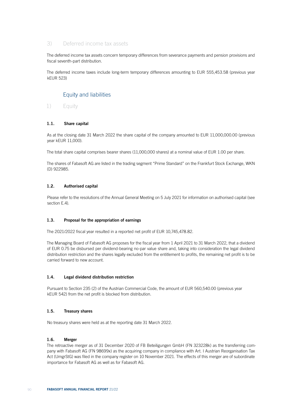## 3) Deferred income tax assets

The deferred income tax assets concern temporary differences from severance payments and pension provisions and fiscal seventh-part distribution.

The deferred income taxes include long-term temporary differences amounting to EUR 555,453.58 (previous year kEUR 523)

# Equity and liabilities

1) Equity

## 1.1. Share capital

As at the closing date 31 March 2022 the share capital of the company amounted to EUR 11,000,000.00 (previous year kEUR 11,000).

The total share capital comprises bearer shares (11,000,000 shares) at a nominal value of EUR 1.00 per share.

The shares of Fabasoft AG are listed in the trading segment "Prime Standard" on the Frankfurt Stock Exchange, WKN (D) 922985.

## 1.2. Authorised capital

Please refer to the resolutions of the Annual General Meeting on 5 July 2021 for information on authorised capital (see section E.4).

## 1.3. Proposal for the appropriation of earnings

The 2021/2022 fiscal year resulted in a reported net profit of EUR 10,745,478.82.

The Managing Board of Fabasoft AG proposes for the fiscal year from 1 April 2021 to 31 March 2022, that a dividend of EUR 0.75 be disbursed per dividend-bearing no-par value share and, taking into consideration the legal dividend distribution restriction and the shares legally excluded from the entitlement to profits, the remaining net profit is to be carried forward to new account.

## 1.4. Legal dividend distribution restriction

Pursuant to Section 235 (2) of the Austrian Commercial Code, the amount of EUR 560,540.00 (previous year kEUR 542) from the net profit is blocked from distribution.

## 1.5. Treasury shares

No treasury shares were held as at the reporting date 31 March 2022.

## 1.6. Merger

The retroactive merger as of 31 December 2020 of FB Beteiligungen GmbH (FN 323228k) as the transferring company with Fabasoft AG (FN 98699x) as the acquiring company in compliance with Art. I Austrian Reorganisation Tax Act (UmgrStG) was filed in the company register on 10 November 2021. The effects of this merger are of subordinate importance for Fabasoft AG as well as for Fabasoft AG.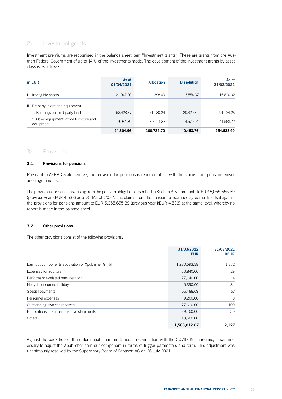# 2) Investment grants

Investment premiums are recognised in the balance sheet item "Investment grants". These are grants from the Austrian Federal Government of up to 14% of the investments made. The development of the investment grants by asset class is as follows:

| in EUR                                                | As at<br>01/04/2021 | <b>Allocation</b> | <b>Dissolution</b> | As at<br>31/03/2022 |
|-------------------------------------------------------|---------------------|-------------------|--------------------|---------------------|
| I. Intangible assets                                  | 21,047.20           | 398.09            | 5,554.37           | 15,890.92           |
| II. Property, plant and equipment                     |                     |                   |                    |                     |
| 1. Buildings on third-party land                      | 53,323.37           | 61.130.24         | 20.329.35          | 94.124.26           |
| 2. Other equipment, office furniture and<br>equipment | 19,934.39           | 39.204.37         | 14.570.04          | 44,568.72           |
|                                                       | 94.304.96           | 100.732.70        | 40,453.76          | 154,583.90          |

## 3) Provisions

## 3.1. Provisions for pensions

Pursuant to AFRAC Statement 27, the provision for pensions is reported offset with the claims from pension reinsurance agreements.

The provisions for pensions arising from the pension obligation described in Section B.6.1 amounts to EUR 5,055,655.39 (previous year kEUR 4,533) as at 31 March 2022. The claims from the pension reinsurance agreements offset against the provisions for pensions amount to EUR 5,055,655.39 (previous year kEUR 4,533) at the same level, whereby no report is made in the balance sheet.

## 3.2. Other provisions

The other provisions consist of the following provisions:

|                                                    | 31/03/2022<br><b>EUR</b> | 31/03/2021<br><b>kEUR</b> |
|----------------------------------------------------|--------------------------|---------------------------|
|                                                    |                          |                           |
| Earn-out components acquisition of Xpublisher GmbH | 1,280,693.38             | 1,872                     |
| Expenses for auditors                              | 33,840.00                | 29                        |
| Performance-related remuneration                   | 77,140.00                | $\overline{4}$            |
| Not yet consumed holidays                          | 5,390.00                 | 34                        |
| Special payments                                   | 56,488.69                | 57                        |
| Personnel expenses                                 | 9,200.00                 | $\Omega$                  |
| Outstanding invoices received                      | 77,610.00                | 100                       |
| Publications of annual financial statements        | 29,150.00                | 30                        |
| Others                                             | 13,500.00                |                           |
|                                                    | 1,583,012.07             | 2,127                     |

Against the backdrop of the unforeseeable circumstances in connection with the COVID-19 pandemic, it was necessary to adjust the Xpublisher earn-out component in terms of trigger parameters and term. This adjustment was unanimously resolved by the Supervisory Board of Fabasoft AG on 26 July 2021.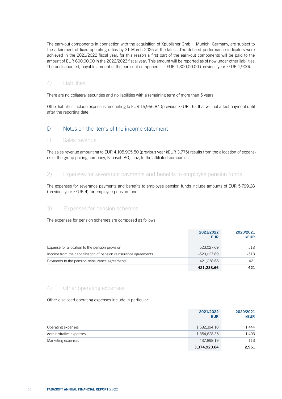The earn-out components in connection with the acquisition of Xpublisher GmbH, Munich, Germany, are subject to the attainment of fixed operating ratios by 31 March 2025 at the latest. The defined performance indicators were achieved in the 2021/2022 fiscal year, for this reason a first part of the earn-out components will be paid to the amount of EUR 600,00.00 in the 2022/2023 fiscal year. This amount will be reported as of now under other liabilities. The undiscounted, payable amount of the earn-out components is EUR 1,300,00.00 (previous year kEUR 1,900).

# 4) Liabilities

There are no collateral securities and no liabilities with a remaining term of more than 5 years.

Other liabilities include expenses amounting to EUR 16,966.84 (previous kEUR 16), that will not affect payment until after the reporting date.

# D Notes on the items of the income statement

## 1) Sales revenue

The sales revenue amounting to EUR 4,105,965.50 (previous year kEUR 3,775) results from the allocation of expenses of the group pairing company, Fabasoft AG, Linz, to the affiliated companies.

# 2) Expenses for severance payments and benefits to employee pension funds

The expenses for severance payments and benefits to employee pension funds include amounts of EUR 5,799.28 (previous year kEUR 4) for employee pension funds.

# 3) Expenses for pension schemes

The expenses for pension schemes are composed as follows:

|                                                                  | 2021/2022<br><b>EUR</b> | 2020/2021<br><b>kEUR</b> |
|------------------------------------------------------------------|-------------------------|--------------------------|
| Expense for allocation to the pension provision                  | 523,027.69              | 518                      |
| Income from the capitalisation of pension reinsurance agreements | -523,027.69             | -518                     |
| Payments to the pension reinsurance agreements                   | 421.238.66              | 421                      |
|                                                                  | 421.238.66              | 421                      |

## 4) Other operating expenses

## Other disclosed operating expenses include in particular:

|                         | 2021/2022<br><b>EUR</b> | 2020/2021<br><b>kEUR</b> |
|-------------------------|-------------------------|--------------------------|
| Operating expenses      | 1,582,394.10            | 1,444                    |
| Administrative expenses | 1,354,628.35            | 1,403                    |
| Marketing expenses      | 437,898.19              | 113                      |
|                         | 3,374,920.64            | 2.961                    |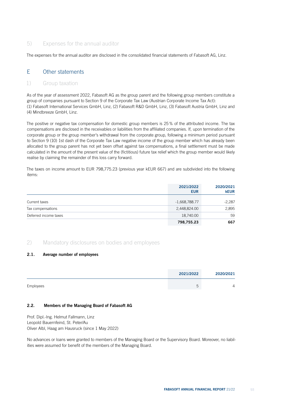# 5) Expenses for the annual auditor

The expenses for the annual auditor are disclosed in the consolidated financial statements of Fabasoft AG, Linz.

# E Other statements

## 1) Group taxation

As of the year of assessment 2022, Fabasoft AG as the group parent and the following group members constitute a group of companies pursuant to Section 9 of the Corporate Tax Law (Austrian Corporate Income Tax Act): (1) Fabasoft International Services GmbH, Linz, (2) Fabasoft R&D GmbH, Linz, (3) Fabasoft Austria GmbH, Linz and (4) Mindbreeze GmbH, Linz.

The positive or negative tax compensation for domestic group members is 25% of the attributed income. The tax compensations are disclosed in the receivables or liabilities from the affiliated companies. If, upon termination of the corporate group or the group member's withdrawal from the corporate group, following a minimum period pursuant to Section 9 (10) 1st dash of the Corporate Tax Law negative income of the group member which has already been allocated to the group parent has not yet been offset against tax compensations, a final settlement must be made calculated in the amount of the present value of the (fictitious) future tax relief which the group member would likely realise by claiming the remainder of this loss carry forward.

The taxes on income amount to EUR 798,775.23 (previous year kEUR 667) and are subdivided into the following items:

|                       | 2021/2022<br><b>EUR</b> | 2020/2021<br><b>kEUR</b> |
|-----------------------|-------------------------|--------------------------|
| Current taxes         | $-1,668,788.77$         | $-2,287$                 |
| Tax compensations     | 2,448,824.00            | 2,895                    |
| Deferred income taxes | 18,740.00               | 59                       |
|                       | 798,755.23              | 667                      |

## 2) Mandatory disclosures on bodies and employees

## 2.1. Average number of employees

|           | 2021/2022            | 2020/2021 |
|-----------|----------------------|-----------|
| Employees | $\ddot{\phantom{a}}$ |           |

## 2.2. Members of the Managing Board of Fabasoft AG

Prof. Dipl.-Ing. Helmut Fallmann, Linz Leopold Bauernfeind, St. Peter/Au Oliver Albl, Haag am Hausruck (since 1 May 2022)

No advances or loans were granted to members of the Managing Board or the Supervisory Board. Moreover, no liabilities were assumed for benefit of the members of the Managing Board.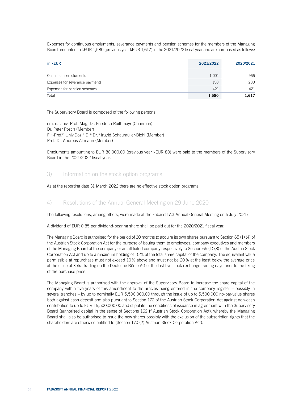Expenses for continuous emoluments, severance payments and pension schemes for the members of the Managing Board amounted to kEUR 1,580 (previous year kEUR 1,617) in the 2021/2022 fiscal year and are composed as follows:

| in kEUR                         | 2021/2022 | 2020/2021 |
|---------------------------------|-----------|-----------|
| Continuous emoluments           | 1,001     | 966       |
| Expenses for severance payments | 158       | 230       |
| Expenses for pension schemes    | 421       | 421       |
| Total                           | 1,580     | 1,617     |

The Supervisory Board is composed of the following persons:

em. o. Univ.-Prof. Mag. Dr. Friedrich Roithmayr (Chairman) Dr. Peter Posch (Member) FH-Prof.<sup>in</sup> Univ.Doz.in DIin Dr.in Ingrid Schaumüller-Bichl (Member) Prof. Dr. Andreas Altmann (Member)

Emoluments amounting to EUR 80,000.00 (previous year kEUR 80) were paid to the members of the Supervisory Board in the 2021/2022 fiscal year.

## 3) Information on the stock option programs

As at the reporting date 31 March 2022 there are no effective stock option programs.

# 4) Resolutions of the Annual General Meeting on 29 June 2020

The following resolutions, among others, were made at the Fabasoft AG Annual General Meeting on 5 July 2021:

A dividend of EUR 0.85 per dividend-bearing share shall be paid out for the 2020/2021 fiscal year.

The Managing Board is authorised for the period of 30 months to acquire its own shares pursuant to Section 65 (1) (4) of the Austrian Stock Corporation Act for the purpose of issuing them to employees, company executives and members of the Managing Board of the company or an affiliated company respectively to Section 65 (1) (8) of the Austria Stock Corporation Act and up to a maximum holding of 10% of the total share capital of the company. The equivalent value permissible at repurchase must not exceed 10% above and must not be 20% at the least below the average price at the close of Xetra trading on the Deutsche Börse AG of the last five stock exchange trading days prior to the fixing of the purchase price.

The Managing Board is authorised with the approval of the Supervisory Board to increase the share capital of the company within five years of this amendment to the articles being entered in the company register – possibly in several tranches – by up to nominally EUR 5,500,000.00 through the issue of up to 5,500,000 no-par-value shares both against cash deposit and also pursuant to Section 172 of the Austrian Stock Corporation Act against non-cash contribution to up to EUR 16,500,000.00 and stipulate the conditions of issuance in agreement with the Supervisory Board (authorised capital in the sense of Sections 169 ff Austrian Stock Corporation Act), whereby the Managing Board shall also be authorised to issue the new shares possibly with the exclusion of the subscription rights that the shareholders are otherwise entitled to (Section 170 (2) Austrian Stock Corporation Act).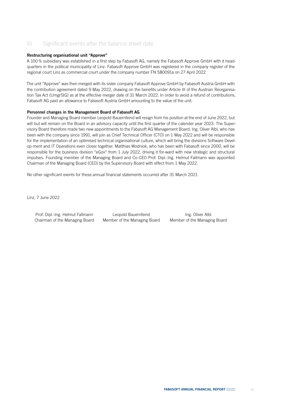# 5) Significant events after the balance sheet date

## Restructuring organisational unit "Approve"

A 100% subsidiary was established in a first step by Fabasoft AG, namely the Fabasoft Approve GmbH with it headquarters in the political municipality of Linz. Fabasoft Approve GmbH was registered in the company register of the regional court Linz as commercial court under the company number FN 580091a on 27 April 2022.

The unit "Approve" was then merged with its sister company Fabasoft Approve GmbH by Fabasoft Austria GmbH with the contribution agreement dated 9 May 2022, drawing on the benefits under Article III of the Austrian Reorganisation Tax Act (UmgrStG) as at the effective merger date of 31 March 2022. In order to avoid a refund of contributions, Fabasoft AG paid an allowance to Fabasoft Austria GmbH amounting to the value of the unit.

### Personnel changes in the Management Board of Fabasoft AG

Founder and Managing Board member Leopold Bauernfeind will resign from his position at the end of June 2022, but will but will remain on the Board in an advisory capacity until the first quarter of the calender year 2023. The Supervisory Board therefore made two new appointments to the Fabasoft AG Management Board: Ing. Oliver Albl, who has been with the company since 1991, will join as Chief Technical Officer (CTO) on 1 May 2022 and will be responsible for the implementation of an optimised technical organisational culture, which will bring the divisions Software Develop-ment and IT Operations even closer together. Matthias Wodniok, who has been with Fabasoft since 2000, will be responsible for the business division "eGov" from 1 July 2022, driving it for-ward with new strategic and structural impulses. Founding member of the Managing Board and Co-CEO Prof. Dipl.-Ing. Helmut Fallmann was appointed Chairman of the Managing Board (CEO) by the Supervisory Board with effect from 1 May 2022.

No other significant events for these annual financial statements occurred after 31 March 2021.

Linz, 7 June 2022

Prof. Dipl.-Ing. Helmut Fallmann Chairman of the Managing Board

Leopold Bauernfeind Member of the Managing Board

Ing. Oliver Albl Member of the Managing Board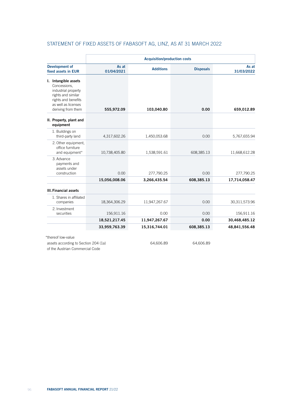# STATEMENT OF FIXED ASSETS OF FABASOFT AG, LINZ, AS AT 31 MARCH 2022

|                                                                                                                                                       | <b>Acquisition/production costs</b> |                  |                                |               |  |
|-------------------------------------------------------------------------------------------------------------------------------------------------------|-------------------------------------|------------------|--------------------------------|---------------|--|
| <b>Development of</b><br>fixed assets in EUR                                                                                                          | As at<br>01/04/2021                 | <b>Additions</b> | <b>Disposals</b><br>31/03/2022 |               |  |
| I. Intangible assets<br>Concessions,<br>industrial property<br>rights and similar<br>rights and benefits<br>as well as licenses<br>deriving from them | 555,972.09                          | 103,040.80       | 0.00                           | 659,012.89    |  |
| II. Property, plant and<br>equipment                                                                                                                  |                                     |                  |                                |               |  |
| 1. Buildings on<br>third-party land                                                                                                                   | 4,317,602.26                        | 1,450,053.68     | 0.00                           | 5,767,655.94  |  |
| 2. Other equipment,<br>office furniture<br>and equipment*                                                                                             | 10,738,405.80                       | 1,538,591.61     | 608,385.13                     | 11,668,612.28 |  |
| 3. Advance<br>payments and<br>assets under<br>construction                                                                                            | 0.00                                | 277,790.25       | 0.00                           | 277,790.25    |  |
|                                                                                                                                                       | 15,056,008.06                       | 3,266,435.54     | 608,385.13                     | 17,714,058.47 |  |
| <b>III. Financial assets</b>                                                                                                                          |                                     |                  |                                |               |  |
| 1. Shares in affiliated<br>companies                                                                                                                  | 18,364,306.29                       | 11,947,267.67    | 0.00                           | 30,311,573.96 |  |
| 2. Investment<br>securities                                                                                                                           | 156,911.16                          | 0.00             | 0.00                           | 156,911.16    |  |
|                                                                                                                                                       | 18,521,217.45                       | 11,947,267.67    | 0.00                           | 30,468,485.12 |  |
|                                                                                                                                                       | 33,959,763.39                       | 15,316,744.01    | 608,385.13                     | 48,841,556.48 |  |
| *thereof low-value                                                                                                                                    |                                     |                  |                                |               |  |
| assets according to Section 204 (1a)                                                                                                                  |                                     | 64.606.89        | 64.606.89                      |               |  |

of the Austrian Commercial Code

96 **FABASOFT ANNUAL FINANCIAL REPORT** 21/22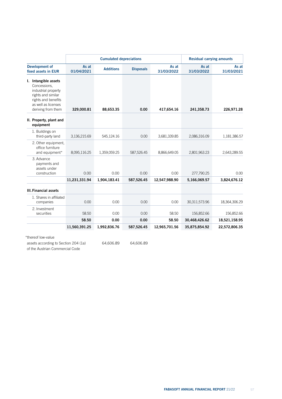|                                                                                                                                                       |                     | <b>Cumulated depreciations</b> | <b>Residual carrying amounts</b> |                     |                     |                     |
|-------------------------------------------------------------------------------------------------------------------------------------------------------|---------------------|--------------------------------|----------------------------------|---------------------|---------------------|---------------------|
| <b>Development of</b><br>fixed assets in EUR                                                                                                          | As at<br>01/04/2021 | <b>Additions</b>               | <b>Disposals</b>                 | As at<br>31/03/2022 | As at<br>31/03/2022 | As at<br>31/03/2021 |
| I. Intangible assets<br>Concessions,<br>industrial property<br>rights and similar<br>rights and benefits<br>as well as licenses<br>deriving from them | 329,000.81          | 88,653.35                      | 0.00                             | 417,654.16          | 241,358.73          | 226,971.28          |
| II. Property, plant and<br>equipment                                                                                                                  |                     |                                |                                  |                     |                     |                     |
| 1. Buildings on<br>third-party land                                                                                                                   | 3,136,215.69        | 545,124.16                     | 0.00                             | 3,681,339.85        | 2,086,316.09        | 1,181,386.57        |
| 2. Other equipment,<br>office furniture<br>and equipment*                                                                                             | 8,095,116.25        | 1,359,059.25                   | 587,526.45                       | 8,866,649.05        | 2,801,963.23        | 2,643,289.55        |
| 3. Advance<br>payments and<br>assets under<br>construction                                                                                            | 0.00                | 0.00                           | 0.00                             | 0.00                | 277,790.25          | 0.00                |
|                                                                                                                                                       | 11,231,331.94       | 1,904,183.41                   | 587,526.45                       | 12,547,988.90       | 5,166,069.57        | 3,824,676.12        |
| <b>III. Financial assets</b>                                                                                                                          |                     |                                |                                  |                     |                     |                     |
| 1. Shares in affiliated<br>companies                                                                                                                  | 0.00                | 0.00                           | 0.00                             | 0.00                | 30,311,573.96       | 18,364,306.29       |
| 2. Investment<br>securities                                                                                                                           | 58.50               | 0.00                           | 0.00                             | 58.50               | 156,852.66          | 156,852.66          |
|                                                                                                                                                       | 58.50               | 0.00                           | 0.00                             | 58.50               | 30,468,426.62       | 18,521,158.95       |
|                                                                                                                                                       | 11,560,391.25       | 1,992,836.76                   | 587,526.45                       | 12,965,701.56       | 35,875,854.92       | 22,572,806.35       |
| *thereof low-value                                                                                                                                    |                     |                                |                                  |                     |                     |                     |
| assets according to Section 204 (1a)                                                                                                                  |                     | 64.606.89                      | 64.606.89                        |                     |                     |                     |

of the Austrian Commercial Code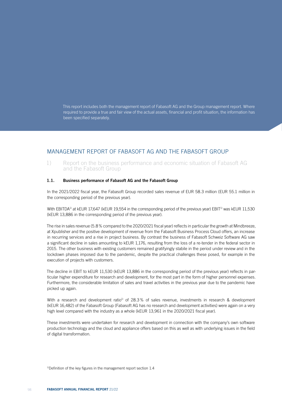This report includes both the management report of Fabasoft AG and the Group management report. Where required to provide a true and fair view of the actual assets, financial and profit situation, the information has been specified separately.

# MANAGEMENT REPORT OF FABASOFT AG AND THE FABASOFT GROUP

1) Report on the business performance and economic situation of Fabasoft AG and the Fabasoft Group

## 1.1. Business performance of Fabasoft AG and the Fabasoft Group

In the 2021/2022 fiscal year, the Fabasoft Group recorded sales revenue of EUR 58.3 million (EUR 55.1 million in the corresponding period of the previous year).

With EBITDA<sup>1)</sup> at kEUR 17,647 (kEUR 19,554 in the corresponding period of the previous year) EBIT<sup>1)</sup> was kEUR 11,530 (kEUR 13,886 in the corresponding period of the previous year).

The rise in sales revenue (5.8% compared to the 2020/2021 fiscal year) reflects in particular the growth at Mindbreeze, at Xpublisher and the positive development of revenue from the Fabasoft Business Process Cloud offers, an increase in recurring services and a rise in project business. By contrast the business of Fabasoft Schweiz Software AG saw a significant decline in sales amounting to kEUR 1,176, resulting from the loss of a re-tender in the federal sector in 2015. The other business with existing customers remained gratifyingly stabile in the period under review and in the lockdown phases imposed due to the pandemic, despite the practical challenges these posed, for example in the execution of projects with customers.

The decline in EBIT to kEUR 11,530 (kEUR 13,886 in the corresponding period of the previous year) reflects in particular higher expenditure for research and development, for the most part in the form of higher personnel expenses. Furthermore, the considerable limitation of sales and travel activities in the previous year due to the pandemic have picked up again.

With a research and development ratio<sup>1)</sup> of 28.3% of sales revenue, investments in research & development (kEUR 16,482) of the Fabasoft Group (Fabasoft AG has no research and development activities) were again on a very high level compared with the industry as a whole (kEUR 13,961 in the 2020/2021 fiscal year).

These investments were undertaken for research and development in connection with the company's own software production technology and the cloud and appliance offers based on this as well as with underlying issues in the field of digital transformation.

<sup>1)</sup>Definition of the key figures in the management report section 1.4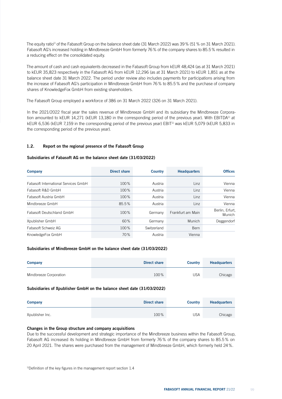The equity ratio<sup>1</sup> of the Fabasoft Group on the balance sheet date (31 March 2022) was 39% (51% on 31 March 2021). Fabasoft AG's increased holding in Mindbreeze GmbH from formerly 76% of the company shares to 85.5% resulted in a reducing effect on the consolidated equity.

The amount of cash and cash equivalents decreased in the Fabasoft Group from kEUR 48,424 (as at 31 March 2021) to kEUR 35,823 respectively in the Fabasoft AG from kEUR 12,296 (as at 31 March 2021) to kEUR 1,851 as at the balance sheet date 31 March 2022. The period under review also includes payments for participations arising from the increase of Fabasoft AG's participation in Mindbreeze GmbH from 76% to 85.5% and the purchase of company shares of KnowledgeFox GmbH from existing shareholders.

The Fabasoft Group employed a workforce of 386 on 31 March 2022 (326 on 31 March 2021).

In the 2021/2022 fiscal year the sales revenue of Mindbreeze GmbH and its subsidiary the Mindbreeze Corporation amounted to kEUR 14,271 (kEUR 13,180 in the corresponding period of the previous year). With EBITDA<sup>1)</sup> at kEUR 6,536 (kEUR 7,159 in the corresponding period of the previous year) EBIT<sup>1)</sup> was kEUR 5,079 (kEUR 5,833 in the corresponding period of the previous year).

## 1.2. Report on the regional presence of the Fabasoft Group

## Subsidiaries of Fabasoft AG on the balance sheet date (31/03/2022)

| <b>Company</b>                       | <b>Direct share</b> | <b>Country</b> | <b>Headquarters</b> | <b>Offices</b>            |
|--------------------------------------|---------------------|----------------|---------------------|---------------------------|
|                                      |                     |                |                     |                           |
| Fabasoft International Services GmbH | 100%                | Austria        | Linz                | Vienna                    |
| Fabasoft R&D GmbH                    | 100%                | Austria        | Linz                | Vienna                    |
| Fabasoft Austria GmbH                | 100%                | Austria        | Linz                | Vienna                    |
| Mindbreeze GmbH                      | 85.5%               | Austria        | Linz                | Vienna                    |
| Fabasoft Deutschland GmbH            | 100%                | Germany        | Frankfurt am Main   | Berlin, Erfurt,<br>Munich |
| Xpublisher GmbH                      | 60%                 | Germany        | Munich              | Deggendorf                |
| Fabasoft Schweiz AG                  | 100%                | Switzerland    | Bern                |                           |
| KnowledgeFox GmbH                    | 70%                 | Austria        | Vienna              |                           |

### Subsidiaries of Mindbreeze GmbH on the balance sheet date (31/03/2022)

| <b>Company</b>         | Direct share | <b>Country</b> | <b>Headquarters</b> |
|------------------------|--------------|----------------|---------------------|
| Mindbreeze Corporation | 100%         | JSA            | Chicago             |

### Subsidiaries of Xpublisher GmbH on the balance sheet date (31/03/2022)

| Company         | Direct share | <b>Country</b> | <b>Headquarters</b> |
|-----------------|--------------|----------------|---------------------|
| Xpublisher Inc. | 100%         | <b>USA</b>     | Chicago             |

### Changes in the Group structure and company acquisitions

Due to the successful development and strategic importance of the Mindbreeze business within the Fabasoft Group, Fabasoft AG increased its holding in Mindbreeze GmbH from formerly 76% of the company shares to 85.5% on 20 April 2021. The shares were purchased from the management of Mindbreeze GmbH, which formerly held 24%.

<sup>1)</sup>Definition of the key figures in the management report section 1.4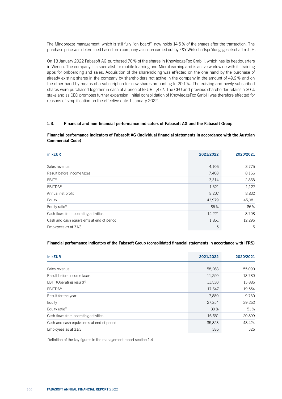The Mindbreeze management, which is still fully "on board", now holds 14.5% of the shares after the transaction. The purchase price was determined based on a company valuation carried out by E&Y Wirtschaftsprüfungsgesellschaft m.b.H.

On 13 January 2022 Fabasoft AG purchased 70% of the shares in KnowledgeFox GmbH, which has its headquarters in Vienna. The company is a specialist for mobile learning and MicroLearning and is active worldwide with its training apps for onboarding and sales. Acquisition of the shareholding was effected on the one hand by the purchase of already existing shares in the company by shareholders not active in the company in the amount of 49.9% and on the other hand by means of a subscription for new shares amounting to 20.1%. The existing and newly subscribed shares were purchased together in cash at a price of kEUR 1,472. The CEO and previous shareholder retains a 30% stake and as CEO promotes further expansion. Initial consolidation of KnowledgeFox GmbH was therefore effected for reasons of simplification on the effective date 1 January 2022.

#### 1.3. Financial and non-financial performance indicators of Fabasoft AG and the Fabasoft Group

### Financial performance indicators of Fabasoft AG (individual financial statements in accordance with the Austrian Commercial Code)

| in kEUR                                    | 2021/2022 | 2020/2021 |
|--------------------------------------------|-----------|-----------|
|                                            |           |           |
| Sales revenue                              | 4,106     | 3,775     |
| Result before income taxes                 | 7,408     | 8,166     |
| EBIT <sup>1</sup>                          | $-3,314$  | $-2,868$  |
| EBITDA <sup>1)</sup>                       | $-1,321$  | $-1,127$  |
| Annual net profit                          | 8,207     | 8,832     |
| Equity                                     | 43,979    | 45,081    |
| Equity ratio <sup>1)</sup>                 | 85%       | 86%       |
| Cash flows from operating activities       | 14,221    | 8,708     |
| Cash and cash equivalents at end of period | 1,851     | 12,296    |
| Employees as at 31/3                       | 5         | 5         |

#### Financial performance indicators of the Fabasoft Group (consolidated financial statements in accordance with IFRS)

| in kEUR                                    | 2021/2022 | 2020/2021 |
|--------------------------------------------|-----------|-----------|
|                                            |           |           |
| Sales revenue                              | 58,268    | 55,090    |
| Result before income taxes                 | 11,250    | 13,780    |
| EBIT (Operating result) <sup>1)</sup>      | 11,530    | 13,886    |
| EBITDA <sup>1)</sup>                       | 17,647    | 19,554    |
| Result for the year                        | 7,880     | 9,730     |
| Equity                                     | 27,254    | 39,252    |
| Equity ratio <sup>1)</sup>                 | 39%       | 51%       |
| Cash flows from operating activities       | 16,651    | 20,899    |
| Cash and cash equivalents at end of period | 35,823    | 48,424    |
| Employees as at 31/3                       | 386       | 326       |

1) Definition of the key figures in the management report section 1.4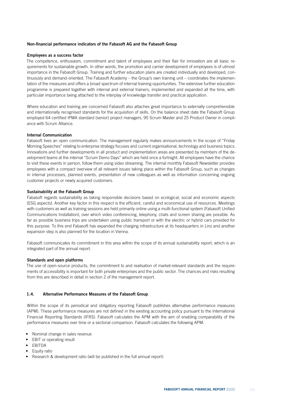### Non-financial performance indicators of the Fabasoft AG and the Fabasoft Group

#### Employees as a success factor

The competence, enthusiasm, commitment and talent of employees and their flair for innovation are all basic requirements for sustainable growth. In other words, the promotion and carrier development of employees is of utmost importance in the Fabasoft Group. Training and further education plans are created individually and developed, continuously and demand-oriented. The Fabasoft Academy – the Group's own training unit – coordinates the implementation of the measures and offers a broad spectrum of internal training opportunities. The extensive further education programme is prepared together with internal and external trainers, implemented and expanded all the time, with particular importance being attached to the interplay of knowledge transfer and practical application.

Where education and training are concerned Fabasoft also attaches great importance to externally comprehensible and internationally recognised standards for the acquisition of skills. On the balance sheet date the Fabasoft Group employed 64 certified IPMA standard (senior) project managers, 95 Scrum Master and 25 Product Owner in compliance with Scrum Alliance.

### Internal Communication

Fabasoft lives an open communication. The management regularly makes announcements in the scope of "Friday Morning Speeches" relating to enterprise strategy focuses and current organisational, technology and business topics. Innovations and further developments in all product and implementation areas are presented by members of the development teams at the internal "Scrum Demo Days" which are held once a fortnight. All employees have the chance to visit these events in person, follow them using video streaming. The internal monthly Fabasoft Newsletter provides employees with a compact overview of all relevant issues taking place within the Fabasoft Group, such as changes in internal processes, planned events, presentation of new colleagues as well as information concerning ongoing customer projects or newly acquired customers.

#### Sustainability at the Fabasoft Group

Fabasoft regards sustainability as taking responsible decisions based on ecological, social and economic aspects (ESG aspects). Another key factor in this respect is the efficient, careful and economical use of resources. Meetings with customers as well as training sessions are held primarily online using a multi-functional system (Fabasoft Unified Communications Installation), over which video conferencing, telephony, chats and screen sharing are possible. As far as possible business trips are undertaken using public transport or with the electric or hybrid cars provided for this purpose. To this end Fabasoft has expanded the charging infrastructure at its headquarters in Linz and another expansion step is also planned for the location in Vienna.

Fabasoft communicates its commitment in this area within the scope of its annual sustainability report, which is an integrated part of the annual report.

#### Standards and open platforms

The use of open-source products, the commitment to and realisation of market-relevant standards and the requirements of accessibility is important for both private enterprises and the public sector. The chances and risks resulting from this are described in detail in section 2 of the management report.

## 1.4. Alternative Performance Measures of the Fabasoft Group

Within the scope of its periodical and obligatory reporting Fabasoft publishes alternative performance measures (APM). These performance measures are not defined in the existing accounting policy pursuant to the International Financial Reporting Standards (IFRS). Fabasoft calculates the APM with the aim of enabling comparability of the performance measures over time or a sectorial comparison. Fabasoft calculates the following APM:

- Nominal change in sales revenue
- EBIT or operating result
- EBITDA
- Equity ratio
- Research & development ratio (will be published in the full annual report)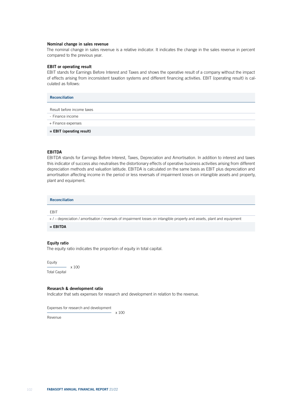#### Nominal change in sales revenue

The nominal change in sales revenue is a relative indicator. It indicates the change in the sales revenue in percent compared to the previous year.

#### EBIT or operating result

EBIT stands for Earnings Before Interest and Taxes and shows the operative result of a company without the impact of effects arising from inconsistent taxation systems and different financing activities. EBIT (operating result) is calculated as follows:

| <b>Reconciliation</b>       |
|-----------------------------|
| Result before income taxes  |
| - Finance income            |
| + Finance expenses          |
| $=$ EBIT (operating result) |

## EBITDA

EBITDA stands for Earnings Before Interest, Taxes, Depreciation and Amortisation. In addition to interest and taxes this indicator of success also neutralises the distortionary effects of operative business activities arising from different depreciation methods and valuation latitude. EBITDA is calculated on the same basis as EBIT plus depreciation and amortisation affecting income in the period or less reversals of impairment losses on intangible assets and property, plant and equipment.

Reconciliation

#### EBIT

+ / – depreciation / amortisation / reversals of impairment losses on intangible property and assets, plant and equipment

 $=$  EBITDA

#### Equity ratio

The equity ratio indicates the proportion of equity in total capital.

Equity x 100 Total Capital

#### Research & development ratio

Indicator that sets expenses for research and development in relation to the revenue.

x 100

Expenses for research and development

Revenue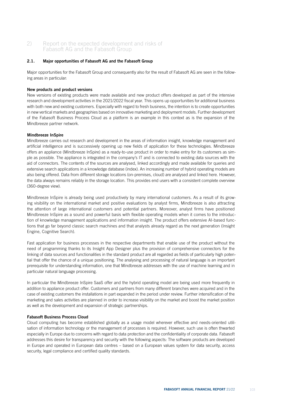# 2) Report on the expected development and risks of Fabasoft AG and the Fabasoft Group

## 2.1. Major opportunities of Fabasoft AG and the Fabasoft Group

Major opportunities for the Fabasoft Group and consequently also for the result of Fabasoft AG are seen in the following areas in particular:

### New products and product versions

New versions of existing products were made available and new product offers developed as part of the intensive research and development activities in the 2021/2022 fiscal year. This opens up opportunities for additional business with both new and existing customers. Especially with regard to fresh business, the intention is to create opportunities in new vertical markets and geographies based on innovative marketing and deployment models. Further development of the Fabasoft Business Process Cloud as a platform is an example in this context as is the expansion of the Mindbreeze partner network.

### Mindbreeze InSpire

Mindbreeze carries out research and development in the areas of information insight, knowledge management and artificial intelligence and is successively opening up new fields of application for these technologies. Mindbreeze offers an appliance (Mindbreeze InSpire) as a ready-to-use product in order to make entry for its customers as simple as possible. The appliance is integrated in the company's IT and is connected to existing data sources with the aid of connectors. The contents of the sources are analysed, linked accordingly and made available for queries and extensive search applications in a knowledge database (index). An increasing number of hybrid operating models are also being offered. Data from different storage locations (on-premises, cloud) are analysed and linked here. However, the data always remains reliably in the storage location. This provides end users with a consistent complete overview (360-degree view).

Mindbreeze InSpire is already being used productively by many international customers. As a result of its growing visibility on the international market and positive evaluations by analyst firms, Mindbreeze is also attracting the attention of large international customers and potential partners. Moreover, analyst firms have positioned Mindbreeze InSpire as a sound and powerful basis with flexible operating models when it comes to the introduction of knowledge management applications and information insight. The product offers extensive AI-based functions that go far beyond classic search machines and that analysts already regard as the next generation (Insight Engine, Cognitive Search).

Fast application for business processes in the respective departments that enable use of the product without the need of programming thanks to its Insight App Designer plus the provision of comprehensive connectors for the linking of data sources and functionalities in the standard product are all regarded as fields of particularly high potential that offer the chance of a unique positioning. The analysing and processing of natural language is an important prerequisite for understanding information, one that Mindbreeze addresses with the use of machine learning and in particular natural language processing.

In particular the Mindbreeze InSpire SaaS offer and the hybrid operating model are being used more frequently in addition to appliance product offer. Customers and partners from many different branches were acquired and in the case of existing customers the installations in part expanded in the period under review. Further intensification of the marketing and sales activities are planned in order to increase visibility on the market and boost the market position as well as the development and expansion of strategic partnerships.

### Fabasoft Business Process Cloud

Cloud computing has become established globally as a usage model wherever effective and needs-oriented utilisation of information technology or the management of processes is required. However, such use is often thwarted especially in Europe due to concerns with regard to data protection and the confidentiality of corporate data. Fabasoft addresses this desire for transparency and security with the following aspects: The software products are developed in Europe and operated in European data centres – based on a European values system for data security, access security, legal compliance and certified quality standards.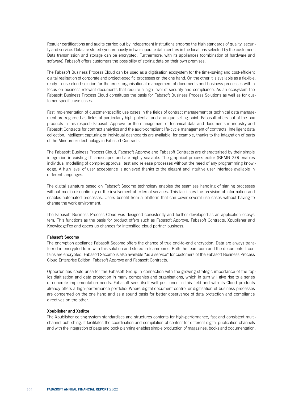Regular certifications and audits carried out by independent institutions endorse the high standards of quality, security and service. Data are stored synchronously in two separate data centres in the locations selected by the customers. Data transmission and storage can be encrypted. Furthermore, with its appliances (combination of hardware and software) Fabasoft offers customers the possibility of storing data on their own premises.

The Fabasoft Business Process Cloud can be used as a digitisation ecosystem for the time-saving and cost-efficient digital realisation of corporate and project-specific processes on the one hand. On the other it is available as a flexible, ready-to-use cloud solution for the cross-organisational management of documents and business processes with a focus on business-relevant documents that require a high level of security and compliance. As an ecosystem the Fabasoft Business Process Cloud constitutes the basis for Fabasoft Business Process Solutions as well as for customer-specific use cases.

Fast implementation of customer-specific use cases in the fields of contract management or technical data management are regarded as fields of particularly high potential and a unique selling point. Fabasoft offers out-of-the-box products in this respect: Fabasoft Approve for the management of technical data and documents in industry and Fabasoft Contracts for contract analytics and the audit-compliant life-cycle management of contracts. Intelligent data collection, intelligent capturing or individual dashboards are available, for example, thanks to the integration of parts of the Mindbreeze technology in Fabasoft Contracts.

The Fabasoft Business Process Cloud, Fabasoft Approve and Fabasoft Contracts are characterised by their simple integration in existing IT landscapes and are highly scalable. The graphical process editor (BPMN 2.0) enables individual modelling of complex approval, test and release processes without the need of any programming knowledge. A high level of user acceptance is achieved thanks to the elegant and intuitive user interface available in different languages.

The digital signature based on Fabasoft Secomo technology enables the seamless handling of signing processes without media discontinuity or the involvement of external services. This facilitates the provision of information and enables automated processes. Users benefit from a platform that can cover several use cases without having to change the work environment.

The Fabasoft Business Process Cloud was designed consistently and further developed as an application ecosystem. This functions as the basis for product offers such as Fabasoft Approve, Fabasoft Contracts, Xpublisher and KnowledgeFox and opens up chances for intensified cloud partner business.

### Fabasoft Secomo

The encryption appliance Fabasoft Secomo offers the chance of true end-to-end encryption. Data are always transferred in encrypted form with this solution and stored in teamrooms. Both the teamroom and the documents it contains are encrypted. Fabasoft Secomo is also available "as a service" for customers of the Fabasoft Business Process Cloud Enterprise Edition, Fabasoft Approve and Fabasoft Contracts.

Opportunities could arise for the Fabasoft Group in connection with the growing strategic importance of the topics digitisation and data protection in many companies and organisations, which in turn will give rise to a series of concrete implementation needs. Fabasoft sees itself well positioned in this field and with its Cloud products already offers a high-performance portfolio: Where digital document control or digitisation of business processes are concerned on the one hand and as a sound basis for better observance of data protection and compliance directives on the other.

### Xpublisher and Xeditor

The Xpublisher editing system standardises and structures contents for high-performance, fast and consistent multichannel publishing. It facilitates the coordination and compilation of content for different digital publication channels and with the integration of page and book planning enables simple production of magazines, books and documentation.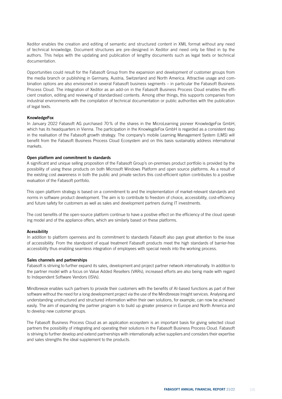Xeditor enables the creation and editing of semantic and structured content in XML format without any need of technical knowledge. Document structures are pre-designed in Xeditor and need only be filled in by the authors. This helps with the updating and publication of lengthy documents such as legal texts or technical documentation.

Opportunities could result for the Fabasoft Group from the expansion and development of customer groups from the media branch or publishing in Germany, Austria, Switzerland and North America. Attractive usage and combination options are also envisioned in several Fabasoft business segments – in particular the Fabasoft Business Process Cloud. The integration of Xeditor as an add-on in the Fabasoft Business Process Cloud enables the efficient creation, editing and reviewing of standardised contents. Among other things, this supports companies from industrial environments with the compilation of technical documentation or public authorities with the publication of legal texts.

### KnowledgeFox

In January 2022 Fabasoft AG purchased 70% of the shares in the MicroLearning pioneer KnowledgeFox GmbH, which has its headquarters in Vienna. The participation in the KnowlegdeFox GmbH is regarded as a consistent step in the realisation of the Fabasoft growth strategy. The company's mobile Learning Management System (LMS) will benefit from the Fabasoft Business Process Cloud Ecosystem and on this basis sustainably address international markets.

#### Open platform and commitment to standards

A significant and unique selling proposition of the Fabasoft Group's on-premises product portfolio is provided by the possibility of using these products on both Microsoft Windows Platform and open source platforms. As a result of the existing cost awareness in both the public and private sectors this cost-efficient option contributes to a positive evaluation of the Fabasoft portfolio.

This open platform strategy is based on a commitment to and the implementation of market-relevant standards and norms in software product development. The aim is to contribute to freedom of choice, accessibility, cost-efficiency and future safety for customers as well as sales and development partners during IT investments.

The cost benefits of the open-source platform continue to have a positive effect on the efficiency of the cloud operating model and of the appliance offers, which are similarly based on these platforms.

#### **Acessibility**

In addition to platform openness and its commitment to standards Fabasoft also pays great attention to the issue of accessibility. From the standpoint of equal treatment Fabasoft products meet the high standards of barrier-free accessibility thus enabling seamless integration of employees with special needs into the working process.

#### Sales channels and partnerships

Fabasoft is striving to further expand its sales, development and project partner network internationally. In addition to the partner model with a focus on Value Added Resellers (VARs), increased efforts are also being made with regard to Independent Software Vendors (ISVs).

Mindbreeze enables such partners to provide their customers with the benefits of AI-based functions as part of their software without the need for a long development project via the use of the Mindbreeze Insight services. Analysing and understanding unstructured and structured information within their own solutions, for example, can now be achieved easily. The aim of expanding the partner program is to build up greater presence in Europe and North America and to develop new customer groups.

The Fabasoft Business Process Cloud as an application ecosystem is an important basis for giving selected cloud partners the possibility of integrating and operating their solutions in the Fabasoft Business Process Cloud. Fabasoft is striving to further develop and extend partnerships with internationally active suppliers and considers their expertise and sales strengths the ideal supplement to the products.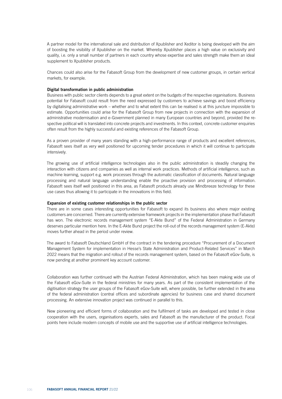A partner model for the international sale and distribution of Xpublisher and Xeditor is being developed with the aim of boosting the visibility of Xpublisher on the market. Whereby Xpublisher places a high value on exclusivity and quality, i.e. only a small number of partners in each country whose expertise and sales strength make them an ideal supplement to Xpublisher products.

Chances could also arise for the Fabasoft Group from the development of new customer groups, in certain vertical markets, for example.

#### Digital transformation in public administration

Business with public sector clients depends to a great extent on the budgets of the respective organisations. Business potential for Fabasoft could result from the need expressed by customers to achieve savings and boost efficiency by digitalising administrative work – whether and to what extent this can be realised is at this juncture impossible to estimate. Opportunities could arise for the Fabasoft Group from new projects in connection with the expansion of administrative modernisation and e-Government planned in many European countries and beyond, provided the respective political will is translated into concrete projects and investments. In this context, concrete customer enquiries often result from the highly successful and existing references of the Fabasoft Group.

As a proven provider of many years standing with a high-performance range of products and excellent references, Fabasoft sees itself as very well positioned for upcoming tender procedures in which it will continue to participate intensively.

The growing use of artificial intelligence technologies also in the public administration is steadily changing the interaction with citizens and companies as well as internal work practices. Methods of artificial intelligence, such as machine learning, support e.g. work processes through the automatic classification of documents. Natural language processing and natural language understanding enable the proactive provision and processing of information. Fabasoft sees itself well positioned in this area, as Fabasoft products already use Mindbreeze technology for these use cases thus allowing it to participate in the innovations in this field.

#### Expansion of existing customer relationships in the public sector

There are in some cases interesting opportunities for Fabasoft to expand its business also where major existing customers are concerned. There are currently extensive framework projects in the implementation phase that Fabasoft has won. The electronic records management system "E-Akte Bund" of the Federal Administration in Germany deserves particular mention here. In the E-Akte Bund project the roll-out of the records management system (E-Akte) moves further ahead in the period under review.

The award to Fabasoft Deutschland GmbH of the contract in the tendering procedure "Procurement of a Document Management System for implementation in Hesse's State Administration and Product-Related Services" in March 2022 means that the migration and rollout of the records management system, based on the Fabasoft eGov-Suite, is now pending at another prominent key account customer.

Collaboration was further continued with the Austrian Federal Administration, which has been making wide use of the Fabasoft eGov-Suite in the federal ministries for many years. As part of the consistent implementation of the digitisation strategy the user groups of the Fabasoft eGov-Suite will, where possible, be further extended in the area of the federal administration (central offices and subordinate agencies) for business case and shared document processing. An extensive innovation project was continued in parallel to this.

New pioneering and efficient forms of collaboration and the fulfilment of tasks are developed and tested in close cooperation with the users, organisations experts, sales and Fabasoft as the manufacturer of the product. Focal points here include modern concepts of mobile use and the supportive use of artificial intelligence technologies.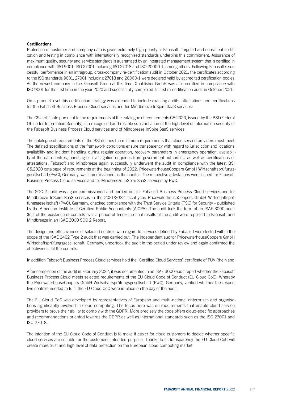### **Certifications**

Protection of customer and company data is given extremely high priority at Fabasoft. Targeted and consistent certification and testing in compliance with internationally recognised standards underpins this commitment. Assurance of maximum quality, security and service standards is guaranteed by an integrated management system that is certified in compliance with ISO 9001, ISO 27001 including ISO 27018 and ISO 20000-1, among others. Following Fabasoft's successful performance in an intragroup, cross-company re-certification audit in October 2021, the certificates according to the ISO standards 9001, 27001 including 27018 and 20000-1 were declared valid by accredited certification bodies. As the newest company in the Fabasoft Group at this time, Xpublisher GmbH was also certified in compliance with ISO 9001 for the first time in the year 2020 and successfully completed its first re-certification audit in October 2021.

On a product level this certification strategy was extended to include exacting audits, attestations and certifications for the Fabasoft Business Process Cloud services and for Mindbreeze InSpire SaaS services:

The C5 certificate pursuant to the requirements of the catalogue of requirements C5:2020, issued by the BSI (Federal Office for Information Security) is a recognised and reliable substantiation of the high level of information security of the Fabasoft Business Process Cloud services and of Mindbreeze InSpire SaaS services.

The catalogue of requirements of the BSI defines the minimum requirements that cloud service providers must meet. The defined specifications of the framework conditions ensure transparency with regard to jurisdiction and locations, availability and incident handling during regular operation, recovery parameters in emergency operation, availability of the data centres, handling of investigation enquiries from government authorities, as well as certifications or attestations. Fabasoft and Mindbreeze again successfully underwent the audit in compliance with the latest BSI C5:2020 catalogue of requirements at the beginning of 2022. PricewaterhouseCoopers GmbH Wirtschaftsprüfungsgesellschaft (PwC), Germany, was commissioned as the auditor. The respective attestations were issued for Fabasoft Business Process Cloud services and for Mindbreeze InSpire SaaS services by PwC.

The SOC 2 audit was again commissioned and carried out for Fabasoft Business Process Cloud services and for Mindbreeze InSpire SaaS services in the 2021/2022 fiscal year. PricewaterhouseCoopers GmbH Wirtschaftsprüfungsgesellschaft (PwC), Germany, checked compliance with the Trust Service Criteria (TSC) for Security – published by the American Institute of Certified Public Accountants (AICPA). The audit took the form of an ISAE 3000 audit (test of the existence of controls over a period of time); the final results of the audit were reported to Fabasoft and Mindbreeze in an ISAE 3000 SOC 2 Report.

The design and effectiveness of selected controls with regard to services defined by Fabasoft were tested within the scope of the ISAE 3402 Type 2 audit that was carried out. The independent auditor PricewaterhouseCoopers GmbH Wirtschaftsprüfungsgesellschaft, Germany, undertook the audit in the period under review and again confirmed the effectiveness of the controls.

In addition Fabasoft Business Process Cloud services hold the "Certified Cloud Services" certificate of TÜV Rheinland.

After completion of the audit in February 2022, it was documented in an ISAE 3000 audit report whether the Fabasoft Business Process Cloud meets selected requirements of the EU Cloud Code of Conduct (EU Cloud CoC). Whereby the PricewaterhouseCoopers GmbH Wirtschaftsprüfungsgesellschaft (PwC), Germany, verified whether the respective controls needed to fulfil the EU Cloud CoC were in place on the day of the audit.

The EU Cloud CoC was developed by representatives of European and multi-national enterprises and organisations significantly involved in cloud computing. The focus here was on requirements that enable cloud service providers to prove their ability to comply with the GDPR. More precisely the code offers cloud-specific approaches and recommendations oriented towards the GDPR as well as international standards such as the ISO 27001 and ISO 27018.

The intention of the EU Cloud Code of Conduct is to make it easier for cloud customers to decide whether specific cloud services are suitable for the customer's intended purpose. Thanks to its transparency the EU Cloud CoC will create more trust and high level of data protection on the European cloud computing market.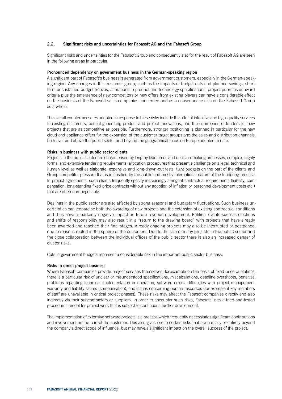### 2.2. Significant risks and uncertainties for Fabasoft AG and the Fabasoft Group

Significant risks and uncertainties for the Fabasoft Group and consequently also for the result of Fabasoft AG are seen in the following areas in particular:

#### Pronounced dependency on government business in the German-speaking region

A significant part of Fabasoft's business is generated from government customers, especially in the German-speaking region. Any changes in this customer group, such as the impacts of budget cuts and planned savings, shortterm or sustained budget freezes, alterations to product and technology specifications, project priorities or award criteria plus the emergence of new competitors or new offers from existing players can have a considerable effect on the business of the Fabasoft sales companies concerned and as a consequence also on the Fabasoft Group as a whole.

The overall countermeasures adopted in response to these risks include the offer of intensive and high-quality services to existing customers, benefit-generating product and project innovations, and the submission of tenders for new projects that are as competitive as possible. Furthermore, stronger positioning is planned in particular for the new cloud and appliance offers for the expansion of the customer target groups and the sales and distribution channels, both over and above the public sector and beyond the geographical focus on Europe adopted to date.

### Risks in business with public sector clients

Projects in the public sector are characterised by lengthy lead times and decision-making processes, complex, highly formal and extensive tendering requirements, allocation procedures that present a challenge on a legal, technical and human level as well as elaborate, expensive and long-drawn-out tests, tight budgets on the part of the clients and strong competitor pressure that is intensified by the public and mostly international nature of the tendering process. In project agreements, such clients frequently specify increasingly stringent contractual requirements (liability, compensation, long-standing fixed price contracts without any adoption of inflation or personnel development costs etc.) that are often non-negotiable.

Dealings in the public sector are also affected by strong seasonal and budgetary fluctuations. Such business uncertainties can jeopardise both the awarding of new projects and the extension of existing contractual conditions and thus have a markedly negative impact on future revenue development. Political events such as elections and shifts of responsibility may also result in a "return to the drawing board" with projects that have already been awarded and reached their final stages. Already ongoing projects may also be interrupted or postponed, due to reasons rooted in the sphere of the customers. Due to the size of many projects in the public sector and the close collaboration between the individual offices of the public sector there is also an increased danger of cluster risks.

Cuts in government budgets represent a considerable risk in the important public sector business.

#### Risks in direct project business

Where Fabasoft companies provide project services themselves, for example on the basis of fixed price quotations, there is a particular risk of unclear or misunderstood specifications, miscalculations, deadline overshoots, penalties, problems regarding technical implementation or operation, software errors, difficulties with project management, warranty and liability claims (compensation), and issues concerning human resources (for example if key members of staff are unavailable in critical project phases). These risks may affect the Fabasoft companies directly and also indirectly via their subcontractors or suppliers. In order to encounter such risks, Fabasoft uses a tried-and-tested procedures model for project work that is subject to continuous further development.

The implementation of extensive software projects is a process which frequently necessitates significant contributions and involvement on the part of the customer. This also gives rise to certain risks that are partially or entirely beyond the company's direct scope of influence, but may have a significant impact on the overall success of the project.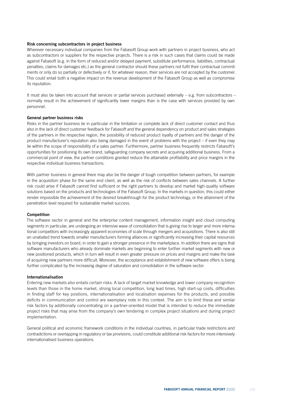## Risk concerning subcontractors in project business

Wherever necessary individual companies from the Fabasoft Group work with partners in project business, who act as subcontractors or suppliers for the respective projects. There is a risk in such cases that claims could be made against Fabasoft (e.g. in the form of reduced and/or delayed payment, substitute performance, liabilities, contractual penalties, claims for damages etc.) as the general contractor should these partners not fulfil their contractual commitments or only do so partially or defectively or if, for whatever reason, their services are not accepted by the customer. This could entail both a negative impact on the revenue development of the Fabasoft Group as well as compromise its reputation.

It must also be taken into account that services or partial services purchased externally – e.g. from subcontractors – normally result in the achievement of significantly lower margins than is the case with services provided by own personnel.

#### General partner business risks

Risks in the partner business lie in particular in the limitation or complete lack of direct customer contact and thus also in the lack of direct customer feedback for Fabasoft and the general dependency on product and sales strategies of the partners in the respective region, the possibility of reduced product loyalty of partners and the danger of the product manufacturer's reputation also being damaged in the event of problems with the project – if even they may lie within the scope of responsibility of a sales partner. Furthermore, partner business frequently restricts Fabasoft's opportunities for positioning its own brand, safeguarding company secrets and acquiring additional business. From a commercial point of view, the partner conditions granted reduce the attainable profitability and price margins in the respective individual business transactions.

With partner business in general there may also be the danger of tough competition between partners, for example in the acquisition phase for the same end client, as well as the risk of conflicts between sales channels. A further risk could arise if Fabasoft cannot find sufficient or the right partners to develop and market high-quality software solutions based on the products and technologies of the Fabasoft Group. In the markets in question, this could either render impossible the achievement of the desired breakthrough for the product technology, or the attainment of the penetration level required for sustainable market success.

### Competition

The software sector in general and the enterprise content management, information insight and cloud computing segments in particular, are undergoing an intensive wave of consolidation that is giving rise to larger and more international competitors with increasingly apparent economies of scale through mergers and acquisitions. There is also still an unabated trend towards smaller manufacturers forming alliances or significantly increasing their capital resources by bringing investors on board, in order to gain a stronger presence in the marketplace. In addition there are signs that software manufacturers who already dominate markets are beginning to enter further market segments with new or new positioned products, which in turn will result in even greater pressure on prices and margins and make the task of acquiring new partners more difficult. Moreover, the acceptance and establishment of new software offers is being further complicated by the increasing degree of saturation and consolidation in the software sector.

## Internationalisation

Entering new markets also entails certain risks. A lack of target market knowledge and lower company recognition levels than those in the home market, strong local competition, long lead times, high start-up costs, difficulties in finding staff for key positions, internationalisation and localisation expenses for the products, and possible deficits in communication and control are exemplary note in this context. The aim is to limit these and similar risk factors by additionally concentrating on a partner-oriented model that is intended to reduce the immediate project risks that may arise from the company's own tendering in complex project situations and during project implementation.

General political and economic framework conditions in the individual countries, in particular trade restrictions and contradictions or overlapping in regulatory or tax provisions, could constitute additional risk factors for more intensively internationalised business operations.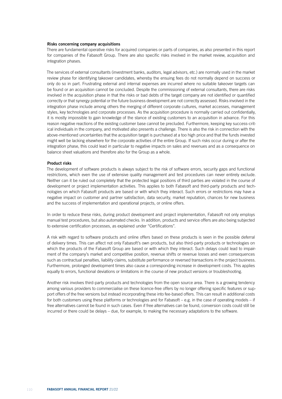## Risks concerning company acquisitions

There are fundamental operative risks for acquired companies or parts of companies, as also presented in this report for companies of the Fabasoft Group. There are also specific risks involved in the market review, acquisition and integration phases.

The services of external consultants (investment banks, auditors, legal advisors, etc.) are normally used in the market review phase for identifying takeover candidates, whereby the ensuing fees do not normally depend on success or only do so in part. Frustrating external and internal expenses are incurred where no suitable takeover targets can be found or an acquisition cannot be concluded. Despite the commissioning of external consultants, there are risks involved in the acquisition phase in that the risks or bad debts of the target company are not identified or quantified correctly or that synergy potential or the future business development are not correctly assessed. Risks involved in the integration phase include among others the merging of different corporate cultures, market accesses, management styles, key technologies and corporate processes. As the acquisition procedure is normally carried out confidentially, it is mostly impossible to gain knowledge of the stance of existing customers to an acquisition in advance. For this reason negative reactions of the existing customer base cannot be precluded. Furthermore, keeping key success-critical individuals in the company, and motivated also presents a challenge. There is also the risk in connection with the above-mentioned uncertainties that the acquisition target is purchased at a too high price and that the funds invested might well be lacking elsewhere for the corporate activities of the entire Group. If such risks occur during or after the integration phase, this could lead in particular to negative impacts on sales and revenues and as a consequence on balance sheet valuations and therefore also for the Group as a whole.

#### Product risks

The development of software products is always subject to the risk of software errors, security gaps and functional restrictions, which even the use of extensive quality management and test procedures can never entirely exclude. Neither can it be ruled out completely that the protected legal positions of third parties are violated in the course of development or project implementation activities. This applies to both Fabasoft and third-party products and technologies on which Fabasoft products are based or with which they interact. Such errors or restrictions may have a negative impact on customer and partner satisfaction, data security, market reputation, chances for new business and the success of implementation and operational projects, or online offers.

In order to reduce these risks, during product development and project implementation, Fabasoft not only employs manual test procedures, but also automated checks. In addition, products and service offers are also being subjected to extensive certification processes, as explained under "Certifications".

A risk with regard to software products and online offers based on these products is seen in the possible deferral of delivery times. This can affect not only Fabasoft's own products, but also third-party products or technologies on which the products of the Fabasoft Group are based or with which they interact. Such delays could lead to impairment of the company's market and competitive position, revenue shifts or revenue losses and even consequences such as contractual penalties, liability claims, substitute performance or reversed transactions in the project business. Furthermore, prolonged development times also cause a corresponding increase in development costs. This applies equally to errors, functional deviations or limitations in the course of new product versions or troubleshooting.

Another risk involves third-party products and technologies from the open source area. There is a growing tendency among various providers to commercialise on these licence-free offers by no longer offering specific features or support offers of the free versions but instead incorporating these into fee-based offers. This can result in additional costs for both customers using these platforms or technologies and for Fabasoft – e.g. in the case of operating models – if free alternatives cannot be found in such cases. Even if free alternatives can be found, conversion costs could still be incurred or there could be delays – due, for example, to making the necessary adaptations to the software.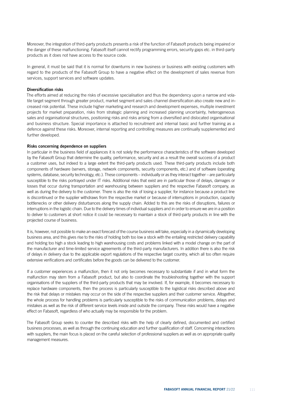Moreover, the integration of third-party products presents a risk of the function of Fabasoft products being impaired or the danger of these malfunctioning. Fabasoft itself cannot rectify programming errors, security gaps etc. in third-party products as it does not have access to the source code.

In general, it must be said that it is normal for downturns in new business or business with existing customers with regard to the products of the Fabasoft Group to have a negative effect on the development of sales revenue from services, support services and software updates.

## Diversification risks

The efforts aimed at reducing the risks of excessive specialisation and thus the dependency upon a narrow and volatile target segment through greater product, market segment and sales channel diversification also create new and increased risk potential. These include higher marketing and research and development expenses, multiple investment projects for market preparation, risks from strategic planning and increased planning uncertainty, heterogeneous sales and organisational structures, positioning risks and risks arising from a diversified and dislocated organisational and business structure. Special importance is attached to recruitment and internal basic and further training as a defence against these risks. Moreover, internal reporting and controlling measures are continually supplemented and further developed.

#### Risks concerning dependence on suppliers

In particular in the business field of appliances it is not solely the performance characteristics of the software developed by the Fabasoft Group that determine the quality, performance, security and as a result the overall success of a product a customer uses, but indeed to a large extent the third-party products used. These third-party products include both components of hardware (servers, storage, network components, security components, etc.) and of software (operating systems, database, security technology, etc.). These components – individually or as they interact together – are particularly susceptible to the risks portrayed under IT risks. Additional risks that exist are in particular those of delays, damages or losses that occur during transportation and warehousing between suppliers and the respective Fabasoft company, as well as during the delivery to the customer. There is also the risk of losing a supplier, for instance because a product line is discontinued or the supplier withdraws from the respective market or because of interruptions in production, capacity bottlenecks or other delivery disturbances along the supply chain. Added to this are the risks of disruptions, failures or interruptions in the logistic chain. Due to the delivery times of individual suppliers and in order to ensure we are in a position to deliver to customers at short notice it could be necessary to maintain a stock of third-party products in line with the projected course of business.

It is, however, not possible to make an exact forecast of the course business will take, especially in a dynamically developing business area, and this gives rise to the risks of holding both too low a stock with the entailing restricted delivery capability and holding too high a stock leading to high warehousing costs and problems linked with a model change on the part of the manufacturer and time-limited service agreements of the third-party manufacturers. In addition there is also the risk of delays in delivery due to the applicable export regulations of the respective target country, which all too often require extensive verifications and certificates before the goods can be delivered to the customer.

If a customer experiences a malfunction, then it not only becomes necessary to substantiate if and in what form the malfunction may stem from a Fabasoft product, but also to coordinate the troubleshooting together with the support organisations of the suppliers of the third-party products that may be involved. If, for example, it becomes necessary to replace hardware components, then the process is particularly susceptible to the logistical risks described above and the risk that delays or mistakes may occur on the side of the respective suppliers and their customer service. Altogether, the whole process for handling problems is particularly susceptible to the risks of communication problems, delays and mistakes as well as the risk of different service levels inside and outside the company. These risks would have a negative effect on Fabasoft, regardless of who actually may be responsible for the problem.

The Fabasoft Group seeks to counter the described risks with the help of clearly defined, documented and certified business processes, as well as through the continuing education and further qualification of staff. Concerning interactions with suppliers, the main focus is placed on the careful selection of professional suppliers as well as on appropriate quality management measures.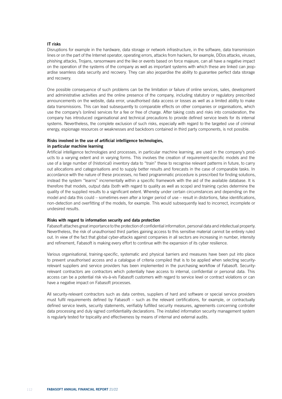#### IT risks

Disruptions for example in the hardware, data storage or network infrastructure, in the software, data transmission lines or on the part of the Internet operator, operating errors, attacks from hackers, for example, DDos attacks, viruses, phishing attacks, Trojans, ransomware and the like or events based on force majeure, can all have a negative impact on the operation of the systems of the company as well as important systems with which these are linked can jeopardise seamless data security and recovery. They can also jeopardise the ability to guarantee perfect data storage and recovery.

One possible consequence of such problems can be the limitation or failure of online services, sales, development and administrative activities and the online presence of the company, including statutory or regulatory prescribed announcements on the website, data error, unauthorised data access or losses as well as a limited ability to make data transmissions. This can lead subsequently to comparable effects on other companies or organisations, which use the company's (online) services for a fee or free of charge. After taking costs and risks into consideration, the company has introduced organisational and technical precautions to provide defined service levels for its internal systems. Nevertheless, the complete exclusion of such risks, especially with regard to the targeted use of criminal energy, espionage resources or weaknesses and backdoors contained in third party components, is not possible.

### Risks involved in the use of artificial intelligence technologies, in particular machine learning

Artificial intelligence technologies and processes, in particular machine learning, are used in the company's products to a varying extent and in varying forms. This involves the creation of requirement-specific models and the use of a large number of (historical) inventory data to "train" these to recognise relevant patterns in future, to carry out allocations and categorisations and to supply better results and forecasts in the case of comparable tasks. In accordance with the nature of these processes, no fixed programmatic procedure is prescribed for finding solutions, instead the system "learns" incrementally within a specific framework with the aid of the available database. It is therefore that models, output data (both with regard to quality as well as scope) and training cycles determine the quality of the supplied results to a significant extent. Whereby under certain circumstances and depending on the model and data this could – sometimes even after a longer period of use – result in distortions, false identifications, non-detection and overfitting of the models, for example. This would subsequently lead to incorrect, incomplete or undesired results.

#### Risks with regard to information security and data protection

Fabasoft attaches great importance to the protection of confidential information, personal data and intellectual property. Nevertheless, the risk of unauthorised third parties gaining access to this sensitive material cannot be entirely ruled out. In view of the fact that global cyber-attacks against companies in all sectors are increasing in number, intensity and refinement, Fabasoft is making every effort to continue with the expansion of its cyber resilience.

Various organisational, training-specific, systematic and physical barriers and measures have been put into place to prevent unauthorised access and a catalogue of criteria compiled that is to be applied when selecting securityrelevant suppliers and service providers has been implemented in the purchasing workflow of Fabasoft. Securityrelevant contractors are contractors which potentially have access to internal, confidential or personal data. This access can be a potential risk vis-à-vis Fabasoft customers with regard to service level or contract violations or can have a negative impact on Fabasoft processes.

All security-relevant contractors such as data centres, suppliers of hard and software or special service providers must fulfil requirements defined by Fabasoft – such as the relevant certifications, for example, or contractually defined service levels, security statements, verifiably fulfilled security measures, agreements concerning controller data processing and duly signed confidentiality declarations. The installed information security management system is regularly tested for topicality and effectiveness by means of internal and external audits.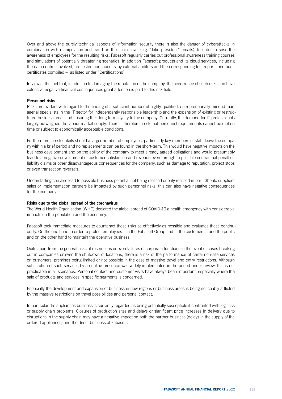Over and above the purely technical aspects of information security there is also the danger of cyberattacks in combination with manipulation and fraud on the social level (e.g. "fake president" emails). In order to raise the awareness of employees for the resulting risks, Fabasoft regularly carries out professional awareness training courses and simulations of potentially threatening scenarios. In addition Fabasoft products and its cloud services, including the data centres involved, are tested continuously by external auditors and the corresponding test reports and audit certificates compiled – as listed under "Certifications".

In view of the fact that, in addition to damaging the reputation of the company, the occurrence of such risks can have extensive negative financial consequences great attention is paid to this risk field.

## Personnel risks

Risks are evident with regard to the finding of a sufficient number of highly-qualified, entrepreneurially-minded managerial specialists in the IT sector for independently responsible leadership and the expansion of existing or restructured business areas and ensuring their long-term loyalty to the company. Currently, the demand for IT professionals largely outweighed the labour market supply. There is therefore a risk that personnel requirements cannot be met on time or subject to economically acceptable conditions.

Furthermore, a risk entails should a larger number of employees, particularly key members of staff, leave the company within a brief period and no replacements can be found in the short-term. This would have negative impacts on the business development and on the ability of the company to meet already agreed obligations and would presumably lead to a negative development of customer satisfaction and revenue even through to possible contractual penalties, liability claims or other disadvantageous consequences for the company, such as damage to reputation, project stops or even transaction reversals.

Understaffing can also lead to possible business potential not being realised or only realised in part. Should suppliers, sales or implementation partners be impacted by such personnel risks, this can also have negative consequences for the company.

#### Risks due to the global spread of the coronavirus

The World Health Organisation (WHO) declared the global spread of COVID-19 a health emergency with considerable impacts on the population and the economy.

Fabasoft took immediate measures to counteract these risks as effectively as possible and evaluates these continuously. On the one hand in order to protect employees – in the Fabasoft Group and at the customers – and the public and on the other hand to maintain the operative business.

Quite apart from the general risks of restrictions or even failures of corporate functions in the event of cases breaking out in companies or even the shutdown of locations, there is a risk of the performance of certain on-site services on customers' premises being limited or not possible in the case of massive travel and entry restrictions. Although substitution of such services by an online presence was widely implemented in the period under review, this is not practicable in all scenarios. Personal contact and customer visits have always been important, especially where the sale of products and services in specific segments is concerned.

Especially the development and expansion of business in new regions or business areas is being noticeably afflicted by the massive restrictions on travel possibilities and personal contact.

In particular the appliances business is currently regarded as being potentially susceptible if confronted with logistics or supply chain problems. Closures of production sites and delays or significant price increases in delivery due to disruptions in the supply chain may have a negative impact on both the partner business (delays in the supply of the ordered appliances) and the direct business of Fabasoft.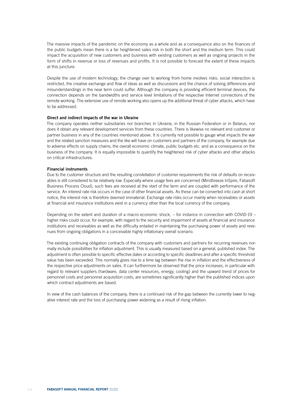The massive impacts of the pandemic on the economy as a whole and as a consequence also on the finances of the public budgets mean there is a far heightened sales risk in both the short and the medium term. This could impact the acquisition of new customers and business with existing customers as well as ongoing projects in the form of shifts in revenue or loss of revenues and profits. It is not possible to forecast the extent of these impacts at this juncture.

Despite the use of modern technology, the change over to working from home involves risks: social interaction is restricted, the creative exchange and flow of ideas as well as discussions and the chance of solving differences and misunderstandings in the near term could suffer. Although the company is providing efficient terminal devices, the connection depends on the bandwidths and service level limitations of the respective Internet connections of the remote working. The extensive use of remote working also opens up the additional threat of cyber attacks, which have to be addressed.

## Direct and indirect impacts of the war in Ukraine

The company operates neither subsidiaries nor branches in Ukraine, in the Russian Federation or in Belarus, nor does it obtain any relevant development services from these countries. There is likewise no relevant end customer or partner business in any of the countries mentioned above. It is currently not possible to gauge what impacts the war and the related sanction measures and the like will have on customers and partners of the company, for example due to adverse effects on supply chains, the overall economic climate, public budgets etc. and as a consequence on the business of the company. It is equally impossible to quantify the heightened risk of cyber attacks and other attacks on critical infrastructures.

#### Financial instruments

Due to the customer structure and the resulting constellation of customer requirements the risk of defaults on receivables is still considered to be relatively low. Especially where usage fees are concerned (Mindbreeze InSpire, Fabasoft Business Process Cloud), such fees are received at the start of the term and are coupled with performance of the service. An interest rate risk occurs in the case of other financial assets. As these can be converted into cash at short notice, the interest risk is therefore deemed immaterial. Exchange rate risks occur mainly when receivables or assets at financial and insurance institutions exist in a currency other than the local currency of the company.

Depending on the extent and duration of a macro-economic shock, – for instance in connection with COVID-19 – higher risks could occur, for example, with regard to the security and impairment of assets at financial and insurance institutions and receivables as well as the difficulty entailed in maintaining the purchasing power of assets and revenues from ongoing obligations in a conceivable highly inflationary overall scenario.

The existing continuing obligation contracts of the company with customers and partners for recurring revenues normally include possibilities for inflation adjustment. This is usually measured based on a general, published index. The adjustment is often possible to specific effective dates or according to specific deadlines and after a specific threshold value has been exceeded. This normally gives rise to a time lag between the rise in inflation and the effectiveness of the respective price adjustments on sales. It can furthermore be observed that the price increases, in particular with regard to relevant suppliers (hardware, data center resources, energy, cooling) and the upward trend of prices for personnel costs and personnel acquisition costs, are sometimes significantly higher than the published indices upon which contract adjustments are based.

In view of the cash balances of the company, there is a continued risk of the gap between the currently lower to negative interest rate and the loss of purchasing power widening as a result of rising inflation.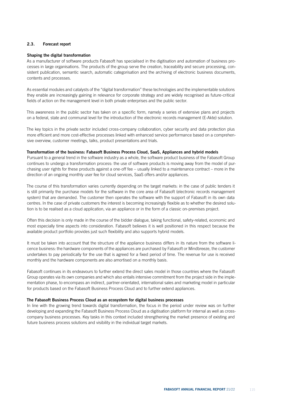## 2.3. Forecast report

## Shaping the digital transformation

As a manufacturer of software products Fabasoft has specialised in the digitisation and automation of business processes in large organisations. The products of the group serve the creation, traceability and secure processing, consistent publication, semantic search, automatic categorisation and the archiving of electronic business documents, contents and processes.

As essential modules and catalysts of the "digital transformation" these technologies and the implementable solutions they enable are increasingly gaining in relevance for corporate strategy and are widely recognised as future-critical fields of action on the management level in both private enterprises and the public sector.

This awareness in the public sector has taken on a specific form, namely a series of extensive plans and projects on a federal, state and communal level for the introduction of the electronic records management (E-Akte) solution.

The key topics in the private sector included cross-company collaboration, cyber security and data protection plus more efficient and more cost-effective processes linked with enhanced service performance based on a comprehensive overview, customer meetings, talks, product presentations and trials.

#### Transformation of the business: Fabasoft Business Process Cloud, SaaS, Appliances and hybrid models

Pursuant to a general trend in the software industry as a whole, the software product business of the Fabasoft Group continues to undergo a transformation process: the use of software products is moving away from the model of purchasing user rights for these products against a one-off fee – usually linked to a maintenance contract – more in the direction of an ongoing monthly user fee for cloud services, SaaS offers and/or appliances.

The course of this transformation varies currently depending on the target markets: in the case of public tenders it is still primarily the purchase models for the software in the core area of Fabasoft (electronic records management system) that are demanded. The customer then operates the software with the support of Fabasoft in its own data centres. In the case of private customers the interest is becoming increasingly flexible as to whether the desired solution is to be realised as a cloud application, via an appliance or in the form of a classic on-premises project.

Often this decision is only made in the course of the bidder dialogue, taking functional, safety-related, economic and most especially time aspects into consideration. Fabasoft believes it is well positioned in this respect because the available product portfolio provides just such flexibility and also supports hybrid models.

It must be taken into account that the structure of the appliance business differs in its nature from the software licence business: the hardware components of the appliances are purchased by Fabasoft or Mindbreeze, the customer undertakes to pay periodically for the use that is agreed for a fixed period of time. The revenue for use is received monthly and the hardware components are also amortised on a monthly basis.

Fabasoft continues in its endeavours to further extend the direct sales model in those countries where the Fabasoft Group operates via its own companies and which also entails intensive commitment from the project side in the implementation phase, to encompass an indirect, partner-orientated, international sales and marketing model in particular for products based on the Fabasoft Business Process Cloud and to further extend appliances.

## The Fabasoft Business Process Cloud as an ecosystem for digital business processes

In line with the growing trend towards digital transformation, the focus in the period under review was on further developing and expanding the Fabasoft Business Process Cloud as a digitisation platform for internal as well as crosscompany business processes. Key tasks in this context included strengthening the market presence of existing and future business process solutions and visibility in the individual target markets.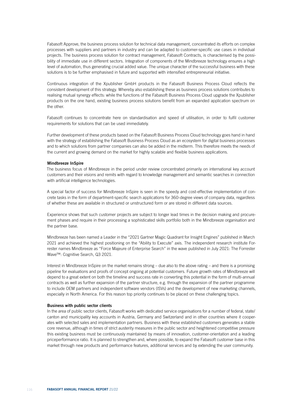Fabasoft Approve, the business process solution for technical data management, concentrated its efforts on complex processes with suppliers and partners in industry and can be adapted to customer-specific use cases in individual projects. The business process solution for contract management, Fabasoft Contracts, is characterised by the possibility of immediate use in different sectors. Integration of components of the Mindbreeze technology ensures a high level of automation, thus generating crucial added value. The unique character of the successful business with these solutions is to be further emphasised in future and supported with intensified entrepreneurial initiative.

Continuous integration of the Xpublisher GmbH products in the Fabasoft Business Process Cloud reflects the consistent development of this strategy. Whereby also establishing these as business process solutions contributes to realising mutual synergy effects: while the functions of the Fabasoft Business Process Cloud upgrade the Xpublisher products on the one hand, existing business process solutions benefit from an expanded application spectrum on the other.

Fabasoft continues to concentrate here on standardisation and speed of utilisation, in order to fulfil customer requirements for solutions that can be used immediately.

Further development of these products based on the Fabasoft Business Process Cloud technology goes hand in hand with the strategy of establishing the Fabasoft Business Process Cloud as an ecosystem for digital business processes and to which solutions from partner companies can also be added in the midterm. This therefore meets the needs of the current and growing demand on the market for highly scalable and flexible business applications.

#### Mindbreeze InSpire

The business focus of Mindbreeze in the period under review concentrated primarily on international key account customers and their visions and remits with regard to knowledge management and semantic searches in connection with artificial intelligence technologies.

A special factor of success for Mindbreeze InSpire is seen in the speedy and cost-effective implementation of concrete tasks in the form of department-specific search applications for 360-degree views of company data, regardless of whether these are available in structured or unstructured form or are stored in different data sources.

Experience shows that such customer projects are subject to longer lead times in the decision making and procurement phases and require in their processing a sophisticated skills portfolio both in the Mindbreeze organisation and the partner base.

Mindbreeze has been named a Leader in the "2021 Gartner Magic Quadrant for Insight Engines" published in March 2021 and achieved the highest positioning on the "Ability to Execute" axis. The independent research institute Forrester names Mindbreeze as "Force Majeure of Enterprise Search" in the wave published in July 2021: The Forrester Wave™: Cognitive Search, Q3 2021.

Interest in Mindbreeze InSpire on the market remains strong – due also to the above rating – and there is a promising pipeline for evaluations and proofs of concept ongoing at potential customers. Future growth rates of Mindbreeze will depend to a great extent on both the timeline and success rate in converting this potential in the form of multi-annual contracts as well as further expansion of the partner structure, e.g. through the expansion of the partner programme to include OEM partners and independent software vendors (ISVs) and the development of new marketing channels, especially in North America. For this reason top priority continues to be placed on these challenging topics.

#### Business with public sector clients

In the area of public sector clients, Fabasoft works with dedicated service organisations for a number of federal, state/ canton and municipality key accounts in Austria, Germany and Switzerland and in other countries where it cooperates with selected sales and implementation partners. Business with these established customers generates a stable core revenue, although in times of strict austerity measures in the public sector and heightened competitive pressure this existing business must be continuously maintained by means of innovation, customer-orientation and a leading priceperformance ratio. It is planned to strengthen and, where possible, to expand the Fabasoft customer base in this market through new products and performance features, additional services and by extending the user community.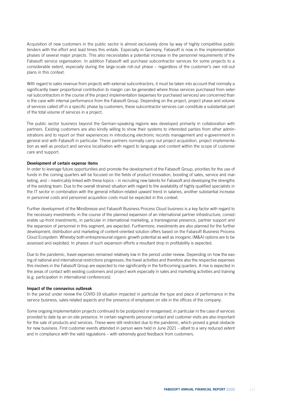Acquisition of new customers in the public sector is almost exclusively done by way of highly competitive public tenders with the effort and lead times this entails. Especially in Germany, Fabasoft is now in the implementation phases of several major projects. This also necessitates a potential increase in the personnel requirements of the Fabasoft service organisation. In addition Fabasoft will purchase subcontractor services for some projects to a considerable extent, especially during the large-scale roll-out phase – regardless of the customer's own roll-out plans in this context.

With regard to sales revenue from projects with external subcontractors, it must be taken into account that normally a significantly lower proportional contribution to margin can be generated where those services purchased from external subcontractors in the course of the project implementation (expenses for purchased services) are concerned than is the case with internal performance from the Fabasoft Group. Depending on the project, project phase and volume of services called off in a specific phase by customers, these subcontractor services can constitute a substantial part of the total volume of services in a project.

The public sector business beyond the German-speaking regions was developed primarily in collaboration with partners. Existing customers are also kindly willing to show their systems to interested parties from other administrations and to report on their experiences in introducing electronic records management and e-government in general and with Fabasoft in particular. These partners normally carry out project acquisition, project implementation as well as product and service localisation with regard to language and content within the scope of customer care and support.

#### Development of certain expense items

In order to leverage future opportunities and promote the development of the Fabasoft Group, priorities for the use of funds in the coming quarters will be focused on the fields of product innovation, boosting of sales, service and marketing, and – inextricably linked with these topics – in recruiting new talents for Fabasoft and developing the strengths of the existing team. Due to the overall strained situation with regard to the availability of highly qualified specialists in the IT sector in combination with the general inflation-related upward trend in salaries, another substantial increase in personnel costs and personnel acquisition costs must be expected in this context.

Further development of the Mindbreeze and Fabasoft Business Process Cloud business is a key factor with regard to the necessary investments: in the course of the planned expansion of an international partner infrastructure, considerable up-front investments, in particular in international marketing, a transregional presence, partner support and the expansion of personnel in this segment, are expected. Furthermore, investments are also planned for the further development, distribution and marketing of content-oriented solution offers based on the Fabasoft Business Process Cloud Ecosystem. Whereby both entrepreneurial organic growth potential as well as inorganic (M&A) options are to be assessed and exploited. In phases of such expansion efforts a resultant drop in profitability is expected.

Due to the pandemic, travel expenses remained relatively low in the period under review. Depending on how the easing of national and international restrictions progresses, the travel activities and therefore also the respective expenses this involves in the Fabasoft Group are expected to rise significantly in the forthcoming quarters. A rise is expected in the areas of contact with existing customers and project work especially in sales and marketing activities and training (e.g. participation in international conferences).

#### Impact of the coronavirus outbreak

In the period under review the COVID-19 situation impacted in particular the type and place of performance in the service business, sales-related aspects and the presence of employees on site in the offices of the company.

Some ongoing implementation projects continued to be postponed or reorganised, in particular in the case of services provided to date by an on-site presence. In certain segments personal contact and customer visits are also important for the sale of products and services. These were still restricted due to the pandemic, which proved a great obstacle for new business. First customer events attended in person were held in June 2021 – albeit to a very reduced extent and in compliance with the valid regulations – with extremely good feedback from customers.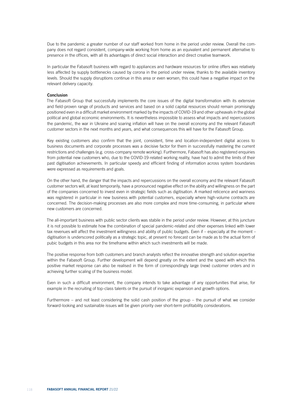Due to the pandemic a greater number of our staff worked from home in the period under review. Overall the company does not regard consistent, company-wide working from home as an equivalent and permanent alternative to presence in the offices, with all its advantages of direct social interaction and direct creative teamwork.

In particular the Fabasoft business with regard to appliances and hardware resources for online offers was relatively less affected by supply bottlenecks caused by corona in the period under review, thanks to the available inventory levels. Should the supply disruptions continue in this area or even worsen, this could have a negative impact on the relevant delivery capacity.

## Conclusion

The Fabasoft Group that successfully implements the core issues of the digital transformation with its extensive and field-proven range of products and services and based on a solid capital resources should remain promisingly positioned even in a difficult market environment marked by the impacts of COVID-19 and other upheavals in the global political and global economic environments. It is nevertheless impossible to assess what impacts and repercussions the pandemic, the war in Ukraine and soaring inflation will have on the overall economy and the relevant Fabasoft customer sectors in the next months and years, and what consequences this will have for the Fabasoft Group.

Key existing customers also confirm that the joint, consistent, time and location-independent digital access to business documents and corporate processes was a decisive factor for them in successfully mastering the current restrictions and challenges (e.g. cross-company remote working). Furthermore, Fabasoft has also registered enquiries from potential new customers who, due to the COVID-19-related working reality, have had to admit the limits of their past digitisation achievements. In particular speedy and efficient finding of information across system boundaries were expressed as requirements and goals.

On the other hand, the danger that the impacts and repercussions on the overall economy and the relevant Fabasoft customer sectors will, at least temporarily, have a pronounced negative effect on the ability and willingness on the part of the companies concerned to invest even in strategic fields such as digitisation. A marked reticence and wariness was registered in particular in new business with potential customers, especially where high-volume contracts are concerned. The decision-making processes are also more complex and more time-consuming, in particular where new customers are concerned.

The all-important business with public sector clients was stabile in the period under review. However, at this juncture it is not possible to estimate how the combination of special pandemic-related and other expenses linked with lower tax revenues will affect the investment willingness and ability of public budgets. Even if – especially at the moment – digitisation is underscored politically as a strategic topic, at present no forecast can be made as to the actual form of pubic budgets in this area nor the timeframe within which such investments will be made.

The positive response from both customers and branch analysts reflect the innovative strength and solution expertise within the Fabasoft Group. Further development will depend greatly on the extent and the speed with which this positive market response can also be realised in the form of correspondingly large (new) customer orders and in achieving further scaling of the business model.

Even in such a difficult environment, the company intends to take advantage of any opportunities that arise, for example in the recruiting of top-class talents or the pursuit of inorganic expansion and growth options.

Furthermore – and not least considering the solid cash position of the group – the pursuit of what we consider forward-looking and sustainable issues will be given priority over short-term profitability considerations.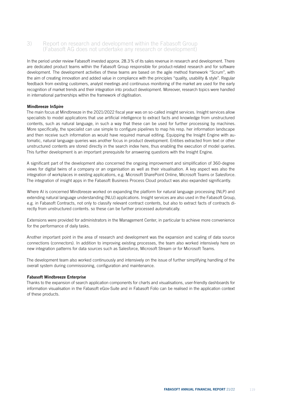# 3) Report on research and development within the Fabasoft Group (Fabasoft AG does not undertake any research or development)

In the period under review Fabasoft invested approx. 28.3% of its sales revenue in research and development. There are dedicated product teams within the Fabasoft Group responsible for product-related research and for software development. The development activities of these teams are based on the agile method framework "Scrum", with the aim of creating innovation and added value in compliance with the principles "quality, usability & style". Regular feedback from existing customers, analyst meetings and continuous monitoring of the market are used for the early recognition of market trends and their integration into product development. Moreover, research topics were handled in international partnerships within the framework of digitisation.

## Mindbreeze InSpire

The main focus at Mindbreeze in the 2021/2022 fiscal year was on so-called insight services. Insight services allow specialists to model applications that use artificial intelligence to extract facts and knowledge from unstructured contents, such as natural language, in such a way that these can be used for further processing by machines. More specifically, the specialist can use simple to configure pipelines to map his resp. her information landscape and then receive such information as would have required manual editing. Equipping the Insight Engine with automatic, natural language queries was another focus in product development. Entities extracted from text or other unstructured contents are stored directly in the search index here, thus enabling the execution of model queries. This further development is an important prerequisite for answering questions with the Insight Engine.

A significant part of the development also concerned the ongoing improvement and simplification of 360-degree views for digital twins of a company or an organisation as well as their visualisation. A key aspect was also the integration of workplaces in existing applications, e.g. Microsoft SharePoint Online, Microsoft Teams or Salesforce. The integration of insight apps in the Fabasoft Business Process Cloud product was also expanded significantly.

Where AI is concerned Mindbreeze worked on expanding the platform for natural language processing (NLP) and extending natural language understanding (NLU) applications. Insight services are also used in the Fabasoft Group, e.g. in Fabasoft Contracts, not only to classify relevant contract contents, but also to extract facts of contracts directly from unstructured contents. so these can be further processed automatically.

Extensions were provided for administrators in the Management Center, in particular to achieve more convenience for the performance of daily tasks.

Another important point in the area of research and development was the expansion and scaling of data source connections (connectors). In addition to improving existing processes, the team also worked intensively here on new integration patterns for data sources such as Salesforce, Microsoft Stream or for Microsoft Teams.

The development team also worked continuously and intensively on the issue of further simplifying handling of the overall system during commissioning, configuration and maintenance.

## Fabasoft Mindbreeze Enterprise

Thanks to the expansion of search application components for charts and visualisations, user-friendly dashboards for information visualisation in the Fabasoft eGov-Suite and in Fabasoft Folio can be realised in the application context of these products.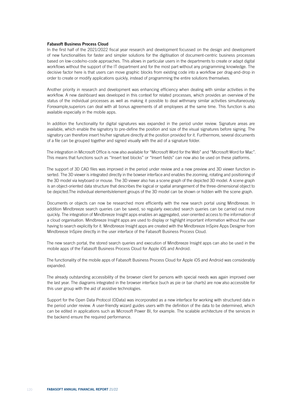## Fabasoft Business Process Cloud

In the first half of the 2021/2022 fiscal year research and development focussed on the design and development of new functionalities for faster and simpler solutions for the digitisation of document-centric business processes based on low-code/no-code approaches. This allows in particular users in the departments to create or adapt digital workflows without the support of the IT department and for the most part without any programming knowledge. The decisive factor here is that users can move graphic blocks from existing code into a workflow per drag-and-drop in order to create or modify applications quickly, instead of programming the entire solutions themselves.

Another priority in research and development was enhancing efficiency when dealing with similar activities in the workflow. A new dashboard was developed in this context for related processes, which provides an overview of the status of the individual processes as well as making it possible to deal withmany similar activities simultaneously. Forexample,superiors can deal with all bonus agreements of all employees at the same time. This function is also available especially in the mobile apps.

In addition the functionality for digital signatures was expanded in the period under review. Signature areas are available, which enable the signatory to pre-define the position and size of the visual signatures before signing. The signatory can therefore insert his/her signature directly at the position provided for it. Furthermore, several documents of a file can be grouped together and signed visually with the aid of a signature folder.

The integration in Microsoft Office is now also available for "Microsoft Word for the Web" and "Microsoft Word for Mac". This means that functions such as "Insert text blocks" or "Insert fields" can now also be used on these platforms.

The support of 3D CAD files was improved in the period under review and a new preview and 3D viewer function inserted. The 3D viewer is integrated directly in the bowser interface and enables the zooming, rotating and positioning of the 3D model via keyboard or mouse. The 3D viewer also has a scene graph of the depicted 3D model. A scene graph is an object-oriented data structure that describes the logical or spatial arrangement of the three-dimensional object to be depicted.The individual elements/element groups of the 3D model can be shown or hidden with the scene graph.

Documents or objects can now be researched more efficiently with the new search portal using Mindbreeze. In addition Mindbreeze search queries can be saved, so regularly executed search queries can be carried out more quickly. The integration of Mindbreeze Insight apps enables an aggregated, user-oriented access to the information of a cloud organisation. Mindbreeze Insight apps are used to display or highlight important information without the user having to search explicitly for it. Mindbreeze Insight apps are created with the Mindbreeze InSpire Apps Designer from Mindbreeze InSpire directly in the user interface of the Fabasoft Business Process Cloud.

The new search portal, the stored search queries and execution of Mindbreeze Insight apps can also be used in the mobile apps of the Fabasoft Business Process Cloud for Apple iOS and Android.

The functionality of the mobile apps of Fabasoft Business Process Cloud for Apple iOS and Android was considerably expanded.

The already outstanding accessibility of the browser client for persons with special needs was again improved over the last year. The diagrams integrated in the browser interface (such as pie or bar charts) are now also accessible for this user group with the aid of assistive technologies.

Support for the Open Data Protocol (OData) was incorporated as a new interface for working with structured data in the period under review. A user-friendly wizard guides users with the definition of the data to be determined, which can be edited in applications such as Microsoft Power BI, for example. The scalable architecture of the services in the backend ensure the required performance.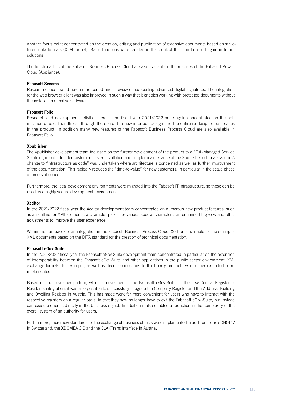Another focus point concentrated on the creation, editing and publication of extensive documents based on structured data formats (XLM format). Basic functions were created in this context that can be used again in future solutions.

The functionalities of the Fabasoft Business Process Cloud are also available in the releases of the Fabasoft Private Cloud (Appliance).

## Fabasoft Secomo

Research concentrated here in the period under review on supporting advanced digital signatures. The integration for the web browser client was also improved in such a way that it enables working with protected documents without the installation of native software.

## Fabasoft Folio

Research and development activities here in the fiscal year 2021/2022 once again concentrated on the optimisation of user-friendliness through the use of the new interface design and the entire re-design of use cases in the product. In addition many new features of the Fabasoft Business Process Cloud are also available in Fabasoft Folio.

#### Xpublisher

The Xpublisher development team focussed on the further development of the product to a "Full-Managed Service Solution", in order to offer customers faster installation and simpler maintenance of the Xpublisher editorial system. A change to "infrastructure as code" was undertaken where architecture is concerned as well as further improvement of the documentation. This radically reduces the "time-to-value" for new customers, in particular in the setup phase of proofs of concept.

Furthermore, the local development environments were migrated into the Fabasoft IT infrastructure, so these can be used as a highly secure development environment.

#### Xeditor

In the 2021/2022 fiscal year the Xeditor development team concentrated on numerous new product features, such as an outline for XML elements, a character picker for various special characters, an enhanced tag view and other adjustments to improve the user experience.

Within the framework of an integration in the Fabasoft Business Process Cloud, Xeditor is available for the editing of XML documents based on the DITA standard for the creation of technical documentation.

#### Fabasoft eGov-Suite

In the 2021/2022 fiscal year the Fabasoft eGov-Suite development team concentrated in particular on the extension of interoperability between the Fabasoft eGov-Suite and other applications in the public sector environment. XML exchange formats, for example, as well as direct connections to third-party products were either extended or reimplemented.

Based on the developer pattern, which is developed in the Fabasoft eGov-Suite for the new Central Register of Residents integration, it was also possible to successfully integrate the Company Register and the Address, Building and Dwelling Register in Austria. This has made work far more convenient for users who have to interact with the respective registers on a regular basis, in that they now no longer have to exit the Fabasoft eGov-Suite, but instead can execute queries directly in the business object. In addition it also enabled a reduction in the complexity of the overall system of an authority for users.

Furthermore, more new standards for the exchange of business objects were implemented in addition to the eCH0147 in Switzerland, the XDOMEA 3.0 and the ELAKTrans interface in Austria.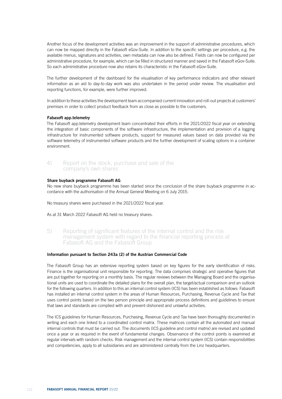Another focus of the development activities was an improvement in the support of administrative procedures, which can now be mapped directly in the Fabasoft eGov-Suite. In addition to the specific settings per procedure, e.g. the available menus, signatures and activities, own metadata can now also be defined. Fields can now be configured per administrative procedure, for example, which can be filled in structured manner and saved in the Fabasoft eGov-Suite. So each administrative procedure now also retains its characteristic in the Fabasoft eGov-Suite.

The further development of the dashboard for the visualisation of key performance indicators and other relevant information as an aid to day-to-day work was also undertaken in the period under review. The visualisation and reporting functions, for example, were further improved.

In addition to these activities the development team accompanied current innovation and roll-out projects at customers' premises in order to collect product feedback from as close as possible to the customers.

#### Fabasoft app.telemetry

The Fabasoft app.telemetry development team concentrated their efforts in the 2021/2022 fiscal year on extending the integration of basic components of the software infrastructure, the implementation and provision of a logging infrastructure for instrumented software products, support for measured values based on data provided via the software telemetry of instrumented software products and the further development of scaling options in a container environment.

## 4) Report on the stock, purchase and sale of the company's own shares

#### Share buyback programme Fabasoft AG

No new share buyback programme has been started since the conclusion of the share buyback programme in accordance with the authorisation of the Annual General Meeting on 6 July 2015.

No treasury shares were purchased in the 2021/2022 fiscal year.

As at 31 March 2022 Fabasoft AG held no treasury shares.

5) Reporting of significant features of the internal control and the risk management system with regard to the financial reporting process at Fabasoft AG and the Fabasoft Group

#### Information pursuant to Section 243a (2) of the Austrian Commercial Code

The Fabasoft Group has an extensive reporting system based on key figures for the early identification of risks. Finance is the organisational unit responsible for reporting. The data comprises strategic and operative figures that are put together for reporting on a monthly basis. The regular reviews between the Managing Board and the organisational units are used to coordinate the detailed plans for the overall plan, the target/actual comparison and an outlook for the following quarters. In addition to this an internal control system (ICS) has been established as follows: Fabasoft has installed an internal control system in the areas of Human Resources, Purchasing, Revenue Cycle and Tax that uses control points based on the two person principle and appropriate process definitions and guidelines to ensure that laws and standards are complied with and prevent dishonest and unlawful activities.

The ICS guidelines for Human Resources, Purchasing, Revenue Cycle and Tax have been thoroughly documented in writing and each one linked to a coordinated control matrix. These matrices contain all the automated and manual internal controls that must be carried out. The documents (ICS guideline and control matrix) are revised and updated once a year or as required in the event of fundamental changes. Observance of the control points is examined at regular intervals with random checks. Risk management and the internal control system (ICS) contain responsibilities and competencies, apply to all subsidiaries and are administered centrally from the Linz headquarters.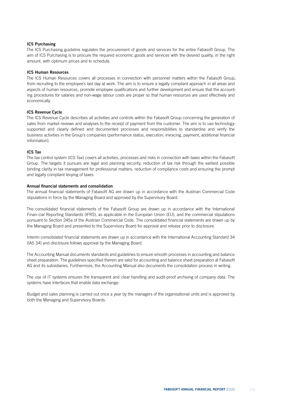## ICS Purchasing

The ICS Purchasing guideline regulates the procurement of goods and services for the entire Fabasoft Group. The aim of ICS Purchasing is to procure the required economic goods and services with the desired quality, in the right amount, with optimum prices and to schedule.

## ICS Human Resources

The ICS Human Resources covers all processes in connection with personnel matters within the Fabasoft Group, from recruiting to the employee's last day at work. The aim is to ensure a legally compliant approach in all areas and aspects of human resources, promote employee qualifications and further development and ensure that the accounting procedures for salaries and non-wage labour costs are proper so that human resources are used effectively and economically.

## ICS Revenue Cycle

The ICS Revenue Cycle describes all activities and controls within the Fabasoft Group concerning the generation of sales from market reviews and analyses to the receipt of payment from the customer. The aim is to use technologysupported and clearly defined and documented processes and responsibilities to standardise and verify the business activities in the Group's companies (performance status, execution, invoicing, payment, additional financial information).

## ICS Tax

The tax control system (ICS Tax) covers all activities, processes and risks in connection with taxes within the Fabasoft Group. The targets it pursues are legal and planning security, reduction of tax risk through the earliest possible binding clarity in tax management for professional matters, reduction of compliance costs and ensuring the prompt and legally compliant levying of taxes.

## Annual financial statements and consolidation

The annual financial statements of Fabasoft AG are drawn up in accordance with the Austrian Commercial Code stipulations in force by the Managing Board and approved by the Supervisory Board.

The consolidated financial statements of the Fabasoft Group are drawn up in accordance with the International Finan-cial Reporting Standards (IFRS), as applicable in the European Union (EU), and the commercial stipulations pursuant to Section 245a of the Austrian Commercial Code. The consolidated financial statements are drawn up by the Managing Board and presented to the Supervisory Board for approval and release prior to disclosure.

Interim consolidated financial statements are drawn up in accordance with the International Accounting Standard 34 (IAS 34) and disclosure follows approval by the Managing Board.

The Accounting Manual documents standards and guidelines to ensure smooth processes in accounting and balance sheet preparation. The guidelines specified therein are valid for accounting and balance sheet preparation at Fabasoft AG and its subsidiaries. Furthermore, the Accounting Manual also documents the consolidation process in writing.

The use of IT systems ensures the transparent and clear handling and audit-proof archiving of company data. The systems have interfaces that enable data exchange.

Budget and sales planning is carried out once a year by the managers of the organisational units and is approved by both the Managing and Supervisory Boards.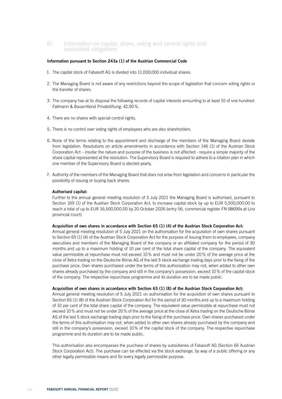## 6) Information on capital, share, voting and control rights and associated obligations

## Information pursuant to Section 243a (1) of the Austrian Commercial Code

- 1. The capital stock of Fabasoft AG is divided into 11,000,000 individual shares.
- 2. The Managing Board is not aware of any restrictions beyond the scope of legislation that concern voting rights or the transfer of shares.
- 3. The company has at its disposal the following records of capital interests amounting to at least 10 of one hundred: Fallmann & Bauernfeind Privatstiftung: 42.90%.
- 4. There are no shares with special control rights.
- 5. There is no control over voting rights of employees who are also shareholders.
- 6. None of the terms relating to the appointment and discharge of the members of the Managing Board deviate from legislation. Resolutions on article amendments in accordance with Section 146 (1) of the Austrian Stock Corporation Act – insofar the nature and purpose of the business is not affected - require a simple majority of the share capital represented at the resolution. The Supervisory Board is required to adhere to a rotation plan in which one member of the Supervisory Board is elected yearly.
- 7. Authority of the members of the Managing Board that does not arise from legislation and concerns in particular the possibility of issuing or buying back shares:

## Authorised capital:

Further to the annual general meeting resolution of 5 July 2021 the Managing Board is authorised, pursuant to Section 169 (1) of the Austrian Stock Corporation Act, to increase capital stock by up to EUR 5,500,000.00 to reach a total of up to EUR 16,500,000.00 by 20 October 2026 (entry 56, commercial register FN 98699x at Linz provincial court).

## Acquisition of own shares in accordance with Section 65 (1) (4) of the Austrian Stock Corporation Act:

Annual general meeting resolution of 5 July 2021 on the authorisation for the acquisition of own shares pursuant to Section 65 (1) (4) of the Austrian Stock Corporation Act for the purpose of issuing them to employees, company executives and members of the Managing Board of the company or an affiliated company for the period of 30 months and up to a maximum holding of 10 per cent of the total share capital of the company. The equivalent value permissible at repurchase must not exceed 10% and must not be under 20% of the average price at the close of Xetra trading on the Deutsche Börse AG of the last 5 stock exchange trading days prior to the fixing of the purchase price. Own shares purchased under the terms of this authorisation may not, when added to other own shares already purchased by the company and still in the company's possession, exceed 10% of the capital stock of the company. The respective repurchase programme and its duration are to be made public.

## Acquisition of own shares in accordance with Section 65 (1) (8) of the Austrian Stock Corporation Act:

Annual general meeting resolution of 5 July 2021 on authorisation for the acquisition of own shares pursuant to Section 65 (1) (8) of the Austrian Stock Corporation Act for the period of 30 months and up to a maximum holding of 10 per cent of the total share capital of the company. The equivalent value permissible at repurchase must not exceed 10% and must not be under 20% of the average price at the close of Xetra trading on the Deutsche Börse AG of the last 5 stock exchange trading days prior to the fixing of the purchase price. Own shares purchased under the terms of this authorisation may not, when added to other own shares already purchased by the company and still in the company's possession, exceed 10% of the capital stock of the company. The respective repurchase programme and its duration are to be made public.

This authorisation also encompasses the purchase of shares by subsidiaries of Fabasoft AG (Section 66 Austrian Stock Corporation Act). The purchase can be effected via the stock exchange, by way of a public offering or any other legally permissible means and for every legally permissible purpose.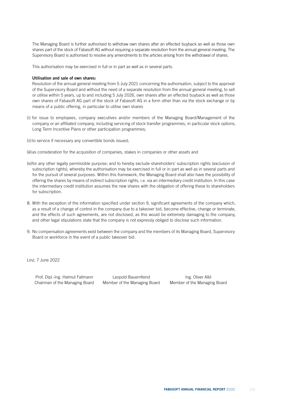The Managing Board is further authorised to withdraw own shares after an effected buyback as well as those own shares part of the stock of Fabasoft AG without requiring a separate resolution from the annual general meeting. The Supervisory Board is authorised to resolve any amendments to the articles arising from the withdrawal of shares.

This authorisation may be exercised in full or in part as well as in several parts.

## Utilisation and sale of own shares:

Resolution of the annual general meeting from 5 July 2021 concerning the authorisation, subject to the approval of the Supervisory Board and without the need of a separate resolution from the annual general meeting, to sell or utilise within 5 years, up to and including 5 July 2026, own shares after an effected buyback as well as those own shares of Fabasoft AG part of the stock of Fabasoft AG in a form other than via the stock exchange or by means of a public offering, in particular to utilise own shares

- (i) for issue to employees, company executives and/or members of the Managing Board/Management of the company or an affiliated company, including servicing of stock transfer programmes, in particular stock options, Long Term Incentive Plans or other participation programmes;
- (ii) to service if necessary any convertible bonds issued;
- (iii)as consideration for the acquisition of companies, stakes in companies or other assets and
- (iv)for any other legally permissible purpose; and to hereby exclude shareholders' subscription rights (exclusion of subscription rights), whereby the authorisation may be exercised in full or in part as well as in several parts and for the pursuit of several purposes. Within this framework, the Managing Board shall also have the possibility of offering the shares by means of indirect subscription rights, i.e. via an intermediary credit institution. In this case the intermediary credit institution assumes the new shares with the obligation of offering these to shareholders for subscription.
- 8. With the exception of the information specified under section 9, significant agreements of the company which, as a result of a change of control in the company due to a takeover bid, become effective, change or terminate, and the effects of such agreements, are not disclosed, as this would be extremely damaging to the company, and other legal stipulations state that the company is not expressly obliged to disclose such information.
- 9. No compensation agreements exist between the company and the members of its Managing Board, Supervisory Board or workforce in the event of a public takeover bid.

Linz, 7 June 2022

Prof. Dipl.-Ing. Helmut Fallmann Chairman of the Managing Board

Leopold Bauernfeind Member of the Managing Board

Ing. Oliver Albl Member of the Managing Board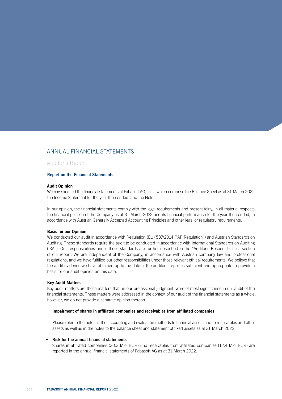# ANNUAL FINANCIAL STATEMENTS

## Auditor´s Report

## Report on the Financial Statements

#### Audit Opinion

We have audited the financial statements of Fabasoft AG, Linz, which comprise the Balance Sheet as at 31 March 2022, the Income Statement for the year then ended, and the Notes.

In our opinion, the financial statements comply with the legal requirements and present fairly, in all material respects, the financial position of the Company as at 31 March 2022 and its financial performance for the year then ended, in accordance with Austrian Generally Accepted Accounting Principles and other legal or regulatory requirements.

#### Basis for our Opinion

We conducted our audit in accordance with Regulation (EU) 537/2014 ("AP Regulation") and Austrian Standards on Auditing. These standards require the audit to be conducted in accordance with International Standards on Auditing (ISAs). Our responsibilities under those standards are further described in the "Auditor's Responsibilities" section of our report. We are independent of the Company, in accordance with Austrian company law and professional regulations, and we have fulfilled our other responsibilities under those relevant ethical requirements. We believe that the audit evidence we have obtained up to the date of the auditor's report is sufficient and appropriate to provide a basis for our audit opinion on this date.

#### Key Audit Matters

Key audit matters are those matters that, in our professional judgment, were of most significance in our audit of the financial statements. These matters were addressed in the context of our audit of the financial statements as a whole, however, we do not provide a separate opinion thereon.

### Impairment of shares in affiliated companies and receivables from affiliated companies

Please refer to the notes in the accounting and evaluation methods to financial assets and to receivables and other assets as well as in the notes to the balance sheet and statement of fixed assets as at 31 March 2022.

## • Risk for the annual financial statements

Shares in affiliated companies (30.3 Mio. EUR) und receivables from affiliated companies (12.4 Mio. EUR) are reported in the annual financial statements of Fabasoft AG as at 31 March 2022.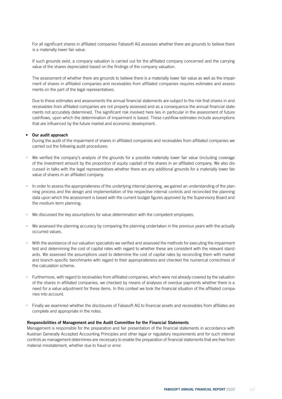For all significant shares in affiliated companies Fabasoft AG assesses whether there are grounds to believe there is a materially lower fair value.

If such grounds exist, a company valuation is carried out for the affiliated company concerned and the carrying value of the shares depreciated based on the findings of the company valuation.

The assessment of whether there are grounds to believe there is a materially lower fair value as well as the impairment of shares in affiliated companies and receivables from affiliated companies requires estimates and assessments on the part of the legal representatives.

Due to these estimates and assessments the annual financial statements are subject to the risk that shares in and receivables from affiliated companies are not properly assessed and as a consequence the annual financial statements not accurately determined. The significant risk involved here lies in particular in the assessment of future cashflows, upon which the determination of impairment is based. These cashflow estimates include assumptions that are influenced by the future market and economic development.

## Our audit approach

During the audit of the impairment of shares in affiliated companies and receivables from affiliated companies we carried out the following audit procedures:

- We verified the company's analysis of the grounds for a possible materially lower fair value (including coverage of the investment amount by the proportion of equity capital) of the shares in an affiliated company. We also discussed in talks with the legal representatives whether there are any additional grounds for a materially lower fair value of shares in an affiliated company.
- In order to assess the appropriateness of the underlying internal planning, we gained an understanding of the planning process and the design and implementation of the respective internal controls and reconciled the planning data upon which the assessment is based with the current budget figures approved by the Supervisory Board and the medium-term planning.
- We discussed the key assumptions for value determination with the competent employees.
- We assessed the planning accuracy by comparing the planning undertaken in the previous years with the actually occurred values.
- With the assistance of our valuation specialists we verified and assessed the methods for executing the impairment test and determining the cost of capital rates with regard to whether these are consistent with the relevant standards. We assessed the assumptions used to determine the cost of capital rates by reconciling them with market and branch-specific benchmarks with regard to their appropriateness and checked the numerical correctness of the calculation scheme.
- Furthermore, with regard to receivables from affiliated companies, which were not already covered by the valuation of the shares in affiliated companies, we checked by means of analyses of overdue payments whether there is a need for a value adjustment for these items. In this context we took the financial situation of the affiliated companies into account.
- Finally we examined whether the disclosures of Fabasoft AG to financial assets and receivables from affiliates are complete and appropriate in the notes.

#### Responsibilities of Management and the Audit Committee for the Financial Statements

Management is responsible for the preparation and fair presentation of the financial statements in accordance with Austrian Generally Accepted Accounting Principles and other legal or regulatory requirements and for such internal controls as management determines are necessary to enable the preparation of financial statements that are free from material misstatement, whether due to fraud or error.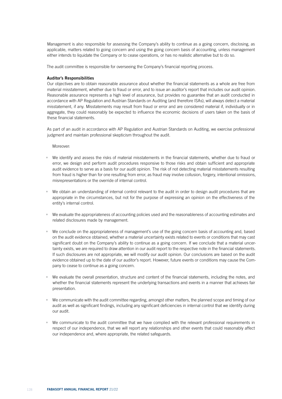Management is also responsible for assessing the Company's ability to continue as a going concern, disclosing, as applicable, matters related to going concern and using the going concern basis of accounting, unless management either intends to liquidate the Company or to cease operations, or has no realistic alternative but to do so.

The audit committee is responsible for overseeing the Company's financial reporting process.

## Auditor's Responsibilities

Our objectives are to obtain reasonable assurance about whether the financial statements as a whole are free from material misstatement, whether due to fraud or error, and to issue an auditor's report that includes our audit opinion. Reasonable assurance represents a high level of assurance, but provides no guarantee that an audit conducted in accordance with AP Regulation and Austrian Standards on Auditing (and therefore ISAs), will always detect a material misstatement, if any. Misstatements may result from fraud or error and are considered material if, individually or in aggregate, they could reasonably be expected to influence the economic decisions of users taken on the basis of these financial statements.

As part of an audit in accordance with AP Regulation and Austrian Standards on Auditing, we exercise professional judgment and maintain professional skepticism throughout the audit.

Moreover:

- We identify and assess the risks of material misstatements in the financial statements, whether due to fraud or error, we design and perform audit procedures responsive to those risks and obtain sufficient and appropriate audit evidence to serve as a basis for our audit opinion. The risk of not detecting material misstatements resulting from fraud is higher than for one resulting from error, as fraud may involve collusion, forgery, intentional omissions, misrepresentations or the override of internal control.
- We obtain an understanding of internal control relevant to the audit in order to design audit procedures that are appropriate in the circumstances, but not for the purpose of expressing an opinion on the effectiveness of the entity's internal control.
- We evaluate the appropriateness of accounting policies used and the reasonableness of accounting estimates and related disclosures made by management.
- We conclude on the appropriateness of management's use of the going concern basis of accounting and, based on the audit evidence obtained, whether a material uncertainty exists related to events or conditions that may cast significant doubt on the Company's ability to continue as a going concern. If we conclude that a material uncertainty exists, we are required to draw attention in our audit report to the respective note in the financial statements. If such disclosures are not appropriate, we will modify our audit opinion. Our conclusions are based on the audit evidence obtained up to the date of our auditor's report. However, future events or conditions may cause the Company to cease to continue as a going concern.
- We evaluate the overall presentation, structure and content of the financial statements, including the notes, and whether the financial statements represent the underlying transactions and events in a manner that achieves fair presentation.
- We communicate with the audit committee regarding, amongst other matters, the planned scope and timing of our audit as well as significant findings, including any significant deficiencies in internal control that we identify during our audit.
- We communicate to the audit committee that we have complied with the relevant professional requirements in respect of our independence, that we will report any relationships and other events that could reasonably affect our independence and, where appropriate, the related safeguards.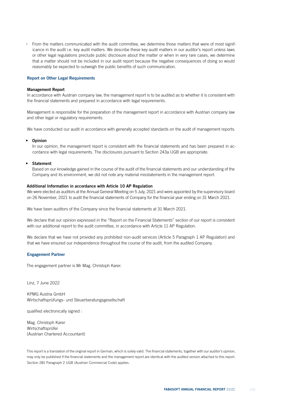• From the matters communicated with the audit committee, we determine those matters that were of most significance in the audit i.e. key audit matters. We describe these key audit matters in our auditor's report unless laws or other legal regulations preclude public disclosure about the matter or when in very rare cases, we determine that a matter should not be included in our audit report because the negative consequences of doing so would reasonably be expected to outweigh the public benefits of such communication.

## Report on Other Legal Requirements

#### Management Report

In accordance with Austrian company law, the management report is to be audited as to whether it is consistent with the financial statements and prepared in accordance with legal requirements.

Management is responsible for the preparation of the management report in accordance with Austrian company law and other legal or regulatory requirements.

We have conducted our audit in accordance with generally accepted standards on the audit of management reports.

#### • Opinion

In our opinion, the management report is consistent with the financial statements and has been prepared in accordance with legal requirements. The disclosures pursuant to Section 243a UGB are appropriate.

#### **Statement**

Based on our knowledge gained in the course of the audit of the financial statements and our understanding of the Company and its environment, we did not note any material misstatements in the management report.

#### Additional Information in accordance with Article 10 AP Regulation

We were elected as auditors at the Annual General Meeting on 5 July, 2021 and were appointed by the supervisory board on 26 November, 2021 to audit the financial statements of Company for the financial year ending on 31 March 2021.

We have been auditors of the Company since the financial statements at 31 March 2021.

We declare that our opinion expressed in the "Report on the Financial Statements" section of our report is consistent with our additional report to the audit committee, in accordance with Article 11 AP Regulation.

We declare that we have not provided any prohibited non-audit services (Article 5 Paragraph 1 AP Regulation) and that we have ensured our independence throughout the course of the audit, from the audited Company.

## Engagement Partner

The engagement partner is Mr Mag. Christoph Karer.

Linz, 7 June 2022

KPMG Austria GmbH Wirtschaftsprüfungs- und Steuerberatungsgesellschaft

qualified electronically signed :

Mag. Christoph Karer Wirtschaftsprüfer (Austrian Chartered Accountant)

This report is a translation of the original report in German, which is solely valid. The financial statements, together with our auditor's opinion, may only be published if the financial statements and the management report are identical with the audited version attached to this report. Section 281 Paragraph 2 UGB (Austrian Commercial Code) applies.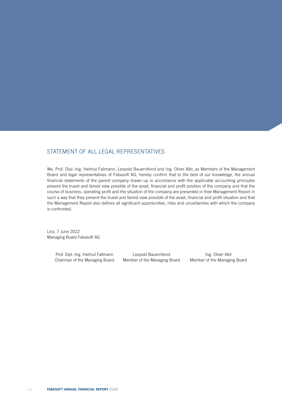# STATEMENT OF ALL LEGAL REPRESENTATIVES

We, Prof. Dipl.-Ing. Helmut Fallmann, Leopold Bauernfeind and Ing. Oliver Albl, as Members of the Management Board and legal representatives of Fabasoft AG, hereby confirm that to the best of our knowledge, the annual financial statements of the parent company drawn up in accordance with the applicable accounting principles present the truest and fairest view possible of the asset, financial and profit position of the company and that the course of business, operating profit and the situation of the company are presented in thee Management Report in such a way that they present the truest and fairest view possible of the asset, financial and profit situation and that the Management Report also defines all significant opportunities, risks and uncertainties with which the company is confronted.

Linz, 7 June 2022 Managing Board Fabasoft AG

> Prof. Dipl.-Ing. Helmut Fallmann Chairman of the Managing Board

Leopold Bauernfeind Member of the Managing Board

Ing. Oliver Albl Member of the Managing Board